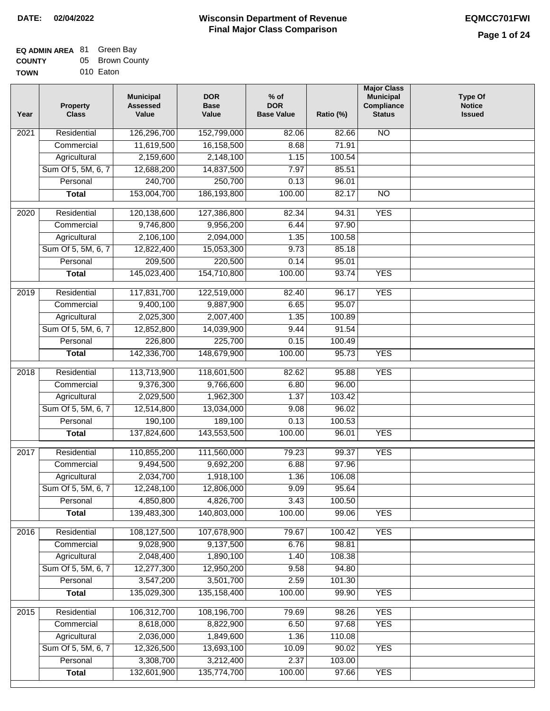### **EQ ADMIN AREA** 81 Green Bay **COUNTY TOW** 05 Brown County

| /Ν | 010 Eaton |  |
|----|-----------|--|
|    |           |  |

| Year              | <b>Property</b><br><b>Class</b>    | <b>Municipal</b><br><b>Assessed</b><br>Value | <b>DOR</b><br><b>Base</b><br>Value | % of<br><b>DOR</b><br><b>Base Value</b> | Ratio (%)       | <b>Major Class</b><br><b>Municipal</b><br>Compliance<br><b>Status</b> | <b>Type Of</b><br><b>Notice</b><br><b>Issued</b> |
|-------------------|------------------------------------|----------------------------------------------|------------------------------------|-----------------------------------------|-----------------|-----------------------------------------------------------------------|--------------------------------------------------|
| $\overline{202}1$ | Residential                        | 126,296,700                                  | 152,799,000                        | 82.06                                   | 82.66           | $\overline{NO}$                                                       |                                                  |
|                   | Commercial                         | 11,619,500                                   | 16,158,500                         | 8.68                                    | 71.91           |                                                                       |                                                  |
|                   | Agricultural                       | 2,159,600                                    | 2,148,100                          | 1.15                                    | 100.54          |                                                                       |                                                  |
|                   | Sum Of 5, 5M, 6, 7                 | 12,688,200                                   | 14,837,500                         | 7.97                                    | 85.51           |                                                                       |                                                  |
|                   | Personal                           | 240,700                                      | 250,700                            | 0.13                                    | 96.01           |                                                                       |                                                  |
|                   | <b>Total</b>                       | 153,004,700                                  | 186, 193, 800                      | 100.00                                  | 82.17           | $\overline{NO}$                                                       |                                                  |
| $\overline{2020}$ | Residential                        | 120,138,600                                  | 127,386,800                        | 82.34                                   | 94.31           | <b>YES</b>                                                            |                                                  |
|                   | Commercial                         | 9,746,800                                    | 9,956,200                          | 6.44                                    | 97.90           |                                                                       |                                                  |
|                   | Agricultural                       | 2,106,100                                    | 2,094,000                          | 1.35                                    | 100.58          |                                                                       |                                                  |
|                   | Sum Of 5, 5M, 6, 7                 | 12,822,400                                   | 15,053,300                         | 9.73                                    | 85.18           |                                                                       |                                                  |
|                   | Personal                           | 209,500                                      | 220,500                            | 0.14                                    | 95.01           |                                                                       |                                                  |
|                   | <b>Total</b>                       | 145,023,400                                  | 154,710,800                        | 100.00                                  | 93.74           | <b>YES</b>                                                            |                                                  |
|                   |                                    |                                              |                                    |                                         |                 |                                                                       |                                                  |
| 2019              | Residential                        | 117,831,700                                  | 122,519,000                        | 82.40                                   | 96.17           | <b>YES</b>                                                            |                                                  |
|                   | Commercial                         | 9,400,100                                    | 9,887,900                          | 6.65                                    | 95.07           |                                                                       |                                                  |
|                   | Agricultural                       | 2,025,300                                    | 2,007,400                          | 1.35                                    | 100.89          |                                                                       |                                                  |
|                   | Sum Of 5, 5M, 6, 7                 | 12,852,800                                   | 14,039,900                         | 9.44                                    | 91.54           |                                                                       |                                                  |
|                   | Personal                           | 226,800                                      | 225,700                            | 0.15                                    | 100.49          |                                                                       |                                                  |
|                   | <b>Total</b>                       | 142,336,700                                  | 148,679,900                        | 100.00                                  | 95.73           | <b>YES</b>                                                            |                                                  |
| 2018              | Residential                        | 113,713,900                                  | 118,601,500                        | 82.62                                   | 95.88           | <b>YES</b>                                                            |                                                  |
|                   | Commercial                         | 9,376,300                                    | 9,766,600                          | 6.80                                    | 96.00           |                                                                       |                                                  |
|                   | Agricultural                       | 2,029,500                                    | 1,962,300                          | 1.37                                    | 103.42          |                                                                       |                                                  |
|                   | Sum Of 5, 5M, 6, 7                 | 12,514,800                                   | 13,034,000                         | 9.08                                    | 96.02           |                                                                       |                                                  |
|                   | Personal                           | 190,100                                      | 189,100                            | 0.13                                    | 100.53          |                                                                       |                                                  |
|                   | <b>Total</b>                       | 137,824,600                                  | 143,553,500                        | 100.00                                  | 96.01           | <b>YES</b>                                                            |                                                  |
| 2017              | Residential                        | 110,855,200                                  | 111,560,000                        | 79.23                                   | 99.37           | <b>YES</b>                                                            |                                                  |
|                   | Commercial                         | 9,494,500                                    | 9,692,200                          | 6.88                                    | 97.96           |                                                                       |                                                  |
|                   | Agricultural                       | 2,034,700                                    | 1,918,100                          | 1.36                                    | 106.08          |                                                                       |                                                  |
|                   | Sum Of 5, 5M, 6, 7                 | 12,248,100                                   | 12,806,000                         | 9.09                                    | 95.64           |                                                                       |                                                  |
|                   | Personal                           | 4,850,800                                    | 4,826,700                          | 3.43                                    | 100.50          |                                                                       |                                                  |
|                   | <b>Total</b>                       | 139,483,300                                  | 140,803,000                        | 100.00                                  | 99.06           | <b>YES</b>                                                            |                                                  |
| 2016              | Residential                        | 108,127,500                                  | 107,678,900                        | 79.67                                   | 100.42          | <b>YES</b>                                                            |                                                  |
|                   | Commercial                         | 9,028,900                                    | 9,137,500                          | 6.76                                    | 98.81           |                                                                       |                                                  |
|                   | Agricultural                       | 2,048,400                                    | 1,890,100                          | 1.40                                    | 108.38          |                                                                       |                                                  |
|                   | Sum Of 5, 5M, 6, 7                 | 12,277,300                                   | 12,950,200                         | 9.58                                    | 94.80           |                                                                       |                                                  |
|                   | Personal                           | 3,547,200                                    | 3,501,700                          | 2.59                                    | 101.30          |                                                                       |                                                  |
|                   | <b>Total</b>                       | 135,029,300                                  | 135, 158, 400                      | 100.00                                  | 99.90           | <b>YES</b>                                                            |                                                  |
|                   |                                    |                                              |                                    |                                         |                 |                                                                       |                                                  |
| 2015              | Residential                        | 106,312,700                                  | 108,196,700                        | 79.69                                   | 98.26           | <b>YES</b>                                                            |                                                  |
|                   | Commercial                         | 8,618,000                                    | 8,822,900                          | 6.50                                    | 97.68<br>110.08 | <b>YES</b>                                                            |                                                  |
|                   | Agricultural<br>Sum Of 5, 5M, 6, 7 | 2,036,000<br>12,326,500                      | 1,849,600<br>13,693,100            | 1.36<br>10.09                           | 90.02           | <b>YES</b>                                                            |                                                  |
|                   | Personal                           | 3,308,700                                    | 3,212,400                          | 2.37                                    | 103.00          |                                                                       |                                                  |
|                   | <b>Total</b>                       | 132,601,900                                  | 135,774,700                        | 100.00                                  | 97.66           | <b>YES</b>                                                            |                                                  |
|                   |                                    |                                              |                                    |                                         |                 |                                                                       |                                                  |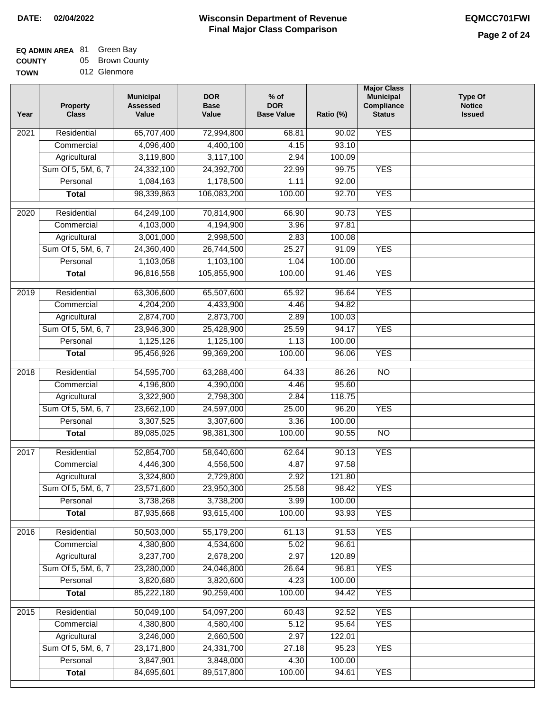#### **EQ ADMIN AREA** 81 Green Bay **COUNTY** 05 Brown County

**TOWN** 012 Glenmore

| Year              | <b>Property</b><br><b>Class</b> | <b>Municipal</b><br><b>Assessed</b><br>Value | <b>DOR</b><br><b>Base</b><br>Value | $%$ of<br><b>DOR</b><br><b>Base Value</b> | Ratio (%) | <b>Major Class</b><br><b>Municipal</b><br>Compliance<br><b>Status</b> | <b>Type Of</b><br><b>Notice</b><br><b>Issued</b> |
|-------------------|---------------------------------|----------------------------------------------|------------------------------------|-------------------------------------------|-----------|-----------------------------------------------------------------------|--------------------------------------------------|
| $\overline{202}1$ | Residential                     | 65,707,400                                   | 72,994,800                         | 68.81                                     | 90.02     | <b>YES</b>                                                            |                                                  |
|                   | Commercial                      | 4,096,400                                    | 4,400,100                          | 4.15                                      | 93.10     |                                                                       |                                                  |
|                   | Agricultural                    | 3,119,800                                    | 3,117,100                          | 2.94                                      | 100.09    |                                                                       |                                                  |
|                   | Sum Of 5, 5M, 6, 7              | 24,332,100                                   | 24,392,700                         | 22.99                                     | 99.75     | <b>YES</b>                                                            |                                                  |
|                   | Personal                        | 1,084,163                                    | 1,178,500                          | 1.11                                      | 92.00     |                                                                       |                                                  |
|                   | <b>Total</b>                    | 98,339,863                                   | 106,083,200                        | 100.00                                    | 92.70     | <b>YES</b>                                                            |                                                  |
| $\overline{2020}$ | Residential                     | 64,249,100                                   | 70,814,900                         | 66.90                                     | 90.73     | <b>YES</b>                                                            |                                                  |
|                   | Commercial                      | 4,103,000                                    | 4,194,900                          | 3.96                                      | 97.81     |                                                                       |                                                  |
|                   | Agricultural                    | 3,001,000                                    | 2,998,500                          | 2.83                                      | 100.08    |                                                                       |                                                  |
|                   | Sum Of 5, 5M, 6, 7              | 24,360,400                                   | 26,744,500                         | 25.27                                     | 91.09     | <b>YES</b>                                                            |                                                  |
|                   | Personal                        | 1,103,058                                    | 1,103,100                          | 1.04                                      | 100.00    |                                                                       |                                                  |
|                   | <b>Total</b>                    | 96,816,558                                   | 105,855,900                        | 100.00                                    | 91.46     | <b>YES</b>                                                            |                                                  |
| 2019              | Residential                     | 63,306,600                                   | 65,507,600                         | 65.92                                     | 96.64     | <b>YES</b>                                                            |                                                  |
|                   | Commercial                      | 4,204,200                                    | 4,433,900                          | 4.46                                      | 94.82     |                                                                       |                                                  |
|                   | Agricultural                    | 2,874,700                                    | 2,873,700                          | 2.89                                      | 100.03    |                                                                       |                                                  |
|                   | Sum Of 5, 5M, 6, 7              | 23,946,300                                   | 25,428,900                         | 25.59                                     | 94.17     | <b>YES</b>                                                            |                                                  |
|                   | Personal                        | 1,125,126                                    | 1,125,100                          | 1.13                                      | 100.00    |                                                                       |                                                  |
|                   | <b>Total</b>                    | 95,456,926                                   | 99,369,200                         | 100.00                                    | 96.06     | <b>YES</b>                                                            |                                                  |
| 2018              | Residential                     | 54,595,700                                   | 63,288,400                         | 64.33                                     | 86.26     | $\overline{NO}$                                                       |                                                  |
|                   | Commercial                      | 4,196,800                                    | 4,390,000                          | 4.46                                      | 95.60     |                                                                       |                                                  |
|                   | Agricultural                    | 3,322,900                                    | 2,798,300                          | 2.84                                      | 118.75    |                                                                       |                                                  |
|                   | Sum Of 5, 5M, 6, 7              | 23,662,100                                   | 24,597,000                         | 25.00                                     | 96.20     | <b>YES</b>                                                            |                                                  |
|                   | Personal                        | 3,307,525                                    | 3,307,600                          | 3.36                                      | 100.00    |                                                                       |                                                  |
|                   | <b>Total</b>                    | 89,085,025                                   | 98,381,300                         | 100.00                                    | 90.55     | <b>NO</b>                                                             |                                                  |
| $\overline{2017}$ | Residential                     | 52,854,700                                   | 58,640,600                         | 62.64                                     | 90.13     | <b>YES</b>                                                            |                                                  |
|                   | Commercial                      | 4,446,300                                    | 4,556,500                          | 4.87                                      | 97.58     |                                                                       |                                                  |
|                   | Agricultural                    | 3,324,800                                    | 2,729,800                          | 2.92                                      | 121.80    |                                                                       |                                                  |
|                   | Sum Of 5, 5M, 6, 7              | 23,571,600                                   | 23,950,300                         | 25.58                                     | 98.42     | <b>YES</b>                                                            |                                                  |
|                   | Personal                        | 3,738,268                                    | 3,738,200                          | 3.99                                      | 100.00    |                                                                       |                                                  |
|                   | <b>Total</b>                    | 87,935,668                                   | 93,615,400                         | 100.00                                    | 93.93     | <b>YES</b>                                                            |                                                  |
| 2016              | Residential                     | 50,503,000                                   | 55,179,200                         | 61.13                                     | 91.53     | <b>YES</b>                                                            |                                                  |
|                   | Commercial                      | 4,380,800                                    | 4,534,600                          | 5.02                                      | 96.61     |                                                                       |                                                  |
|                   | Agricultural                    | 3,237,700                                    | 2,678,200                          | 2.97                                      | 120.89    |                                                                       |                                                  |
|                   | Sum Of 5, 5M, 6, 7              | 23,280,000                                   | 24,046,800                         | 26.64                                     | 96.81     | <b>YES</b>                                                            |                                                  |
|                   | Personal                        | 3,820,680                                    | 3,820,600                          | 4.23                                      | 100.00    |                                                                       |                                                  |
|                   | <b>Total</b>                    | 85,222,180                                   | 90,259,400                         | 100.00                                    | 94.42     | <b>YES</b>                                                            |                                                  |
| 2015              | Residential                     | 50,049,100                                   | 54,097,200                         | 60.43                                     | 92.52     | <b>YES</b>                                                            |                                                  |
|                   | Commercial                      | 4,380,800                                    | 4,580,400                          | 5.12                                      | 95.64     | <b>YES</b>                                                            |                                                  |
|                   | Agricultural                    | 3,246,000                                    | 2,660,500                          | 2.97                                      | 122.01    |                                                                       |                                                  |
|                   | Sum Of 5, 5M, 6, 7              | 23,171,800                                   | 24,331,700                         | 27.18                                     | 95.23     | <b>YES</b>                                                            |                                                  |
|                   | Personal                        | 3,847,901                                    | 3,848,000                          | 4.30                                      | 100.00    |                                                                       |                                                  |
|                   | <b>Total</b>                    | 84,695,601                                   | 89,517,800                         | 100.00                                    | 94.61     | <b>YES</b>                                                            |                                                  |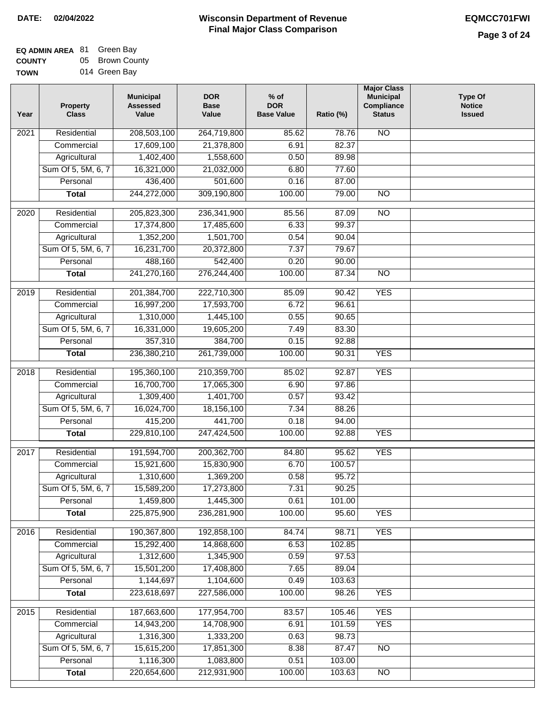| <b>EQ ADMIN AREA 81 Green Bay</b> |                 |
|-----------------------------------|-----------------|
| <b>COUNTY</b>                     | 05 Brown County |

**TOWN** 014 Green Bay

| Residential<br>N <sub>O</sub><br>$\overline{202}1$<br>208,503,100<br>264,719,800<br>85.62<br>78.76<br>17,609,100<br>21,378,800<br>6.91<br>82.37<br>Commercial<br>Agricultural<br>1,402,400<br>1,558,600<br>0.50<br>89.98<br>Sum Of 5, 5M, 6, 7<br>16,321,000<br>21,032,000<br>6.80<br>77.60<br>436,400<br>501,600<br>Personal<br>0.16<br>87.00<br>244,272,000<br>309,190,800<br>100.00<br>79.00<br>$\overline{NO}$<br><b>Total</b><br>$\overline{2020}$<br>Residential<br>205,823,300<br>236,341,900<br>85.56<br>87.09<br>$\overline{10}$<br>17,374,800<br>17,485,600<br>6.33<br>99.37<br>Commercial<br>1,501,700<br>1,352,200<br>0.54<br>90.04<br>Agricultural<br>Sum Of 5, 5M, 6, 7<br>16,231,700<br>20,372,800<br>7.37<br>79.67<br>542,400<br>Personal<br>488,160<br>0.20<br>90.00<br>241,270,160<br>276,244,400<br>100.00<br>87.34<br>$\overline{NO}$<br><b>Total</b><br><b>YES</b><br>Residential<br>201,384,700<br>222,710,300<br>85.09<br>90.42<br>2019<br>17,593,700<br>6.72<br>96.61<br>Commercial<br>16,997,200<br>1,310,000<br>1,445,100<br>0.55<br>90.65<br>Agricultural<br>Sum Of 5, 5M, 6, 7<br>16,331,000<br>19,605,200<br>7.49<br>83.30<br>357,310<br>384,700<br>Personal<br>92.88<br>0.15<br>261,739,000<br>100.00<br>90.31<br><b>YES</b><br><b>Total</b><br>236,380,210<br>Residential<br>195,360,100<br>210,359,700<br>92.87<br><b>YES</b><br>2018<br>85.02<br>16,700,700<br>Commercial<br>17,065,300<br>6.90<br>97.86<br>1,309,400<br>1,401,700<br>Agricultural<br>0.57<br>93.42<br>Sum Of 5, 5M, 6, 7<br>16,024,700<br>18,156,100<br>7.34<br>88.26<br>Personal<br>415,200<br>441,700<br>0.18<br>94.00<br>229,810,100<br>247,424,500<br>100.00<br><b>YES</b><br><b>Total</b><br>92.88<br>$\overline{2017}$<br>Residential<br>191,594,700<br>200,362,700<br><b>YES</b><br>84.80<br>95.62<br>Commercial<br>15,921,600<br>15,830,900<br>6.70<br>100.57<br>1,310,600<br>1,369,200<br>0.58<br>95.72<br>Agricultural<br>17,273,800<br>Sum Of 5, 5M, 6, 7<br>15,589,200<br>7.31<br>90.25<br>Personal<br>1,459,800<br>1,445,300<br>0.61<br>101.00<br>225,875,900<br>236,281,900<br>100.00<br>95.60<br><b>YES</b><br><b>Total</b><br>190,367,800<br>Residential<br>192,858,100<br><b>YES</b><br>2016<br>84.74<br>98.71<br>15,292,400<br>6.53<br>Commercial<br>14,868,600<br>102.85<br>1,312,600<br>Agricultural<br>1,345,900<br>0.59<br>97.53<br>Sum Of 5, 5M, 6, 7<br>15,501,200<br>17,408,800<br>7.65<br>89.04<br>Personal<br>1,144,697<br>1,104,600<br>103.63<br>0.49<br>223,618,697<br>227,586,000<br>100.00<br>98.26<br><b>YES</b><br><b>Total</b><br><b>YES</b><br>Residential<br>187,663,600<br>177,954,700<br>83.57<br>105.46<br>2015<br>14,943,200<br>14,708,900<br>6.91<br>101.59<br><b>YES</b><br>Commercial<br>1,316,300<br>1,333,200<br>0.63<br>98.73<br>Agricultural<br>Sum Of 5, 5M, 6, 7<br>15,615,200<br>17,851,300<br>8.38<br>87.47<br><b>NO</b><br>1,083,800<br>Personal<br>1,116,300<br>0.51<br>103.00<br>212,931,900<br>220,654,600<br>100.00<br>103.63<br><b>Total</b><br><b>NO</b> | Year | <b>Property</b><br><b>Class</b> | <b>Municipal</b><br><b>Assessed</b><br>Value | <b>DOR</b><br><b>Base</b><br>Value | $%$ of<br><b>DOR</b><br><b>Base Value</b> | Ratio (%) | <b>Major Class</b><br><b>Municipal</b><br>Compliance<br><b>Status</b> | <b>Type Of</b><br><b>Notice</b><br><b>Issued</b> |
|----------------------------------------------------------------------------------------------------------------------------------------------------------------------------------------------------------------------------------------------------------------------------------------------------------------------------------------------------------------------------------------------------------------------------------------------------------------------------------------------------------------------------------------------------------------------------------------------------------------------------------------------------------------------------------------------------------------------------------------------------------------------------------------------------------------------------------------------------------------------------------------------------------------------------------------------------------------------------------------------------------------------------------------------------------------------------------------------------------------------------------------------------------------------------------------------------------------------------------------------------------------------------------------------------------------------------------------------------------------------------------------------------------------------------------------------------------------------------------------------------------------------------------------------------------------------------------------------------------------------------------------------------------------------------------------------------------------------------------------------------------------------------------------------------------------------------------------------------------------------------------------------------------------------------------------------------------------------------------------------------------------------------------------------------------------------------------------------------------------------------------------------------------------------------------------------------------------------------------------------------------------------------------------------------------------------------------------------------------------------------------------------------------------------------------------------------------------------------------------------------------------------------------------------------------------------------------------------------------------------------------------------------------------------------------------------------------------------------------------------------------------------------------------------------------------------------------------------------------------------------------------------------------------------------------------------------------------------------------------------------------------------|------|---------------------------------|----------------------------------------------|------------------------------------|-------------------------------------------|-----------|-----------------------------------------------------------------------|--------------------------------------------------|
|                                                                                                                                                                                                                                                                                                                                                                                                                                                                                                                                                                                                                                                                                                                                                                                                                                                                                                                                                                                                                                                                                                                                                                                                                                                                                                                                                                                                                                                                                                                                                                                                                                                                                                                                                                                                                                                                                                                                                                                                                                                                                                                                                                                                                                                                                                                                                                                                                                                                                                                                                                                                                                                                                                                                                                                                                                                                                                                                                                                                                      |      |                                 |                                              |                                    |                                           |           |                                                                       |                                                  |
|                                                                                                                                                                                                                                                                                                                                                                                                                                                                                                                                                                                                                                                                                                                                                                                                                                                                                                                                                                                                                                                                                                                                                                                                                                                                                                                                                                                                                                                                                                                                                                                                                                                                                                                                                                                                                                                                                                                                                                                                                                                                                                                                                                                                                                                                                                                                                                                                                                                                                                                                                                                                                                                                                                                                                                                                                                                                                                                                                                                                                      |      |                                 |                                              |                                    |                                           |           |                                                                       |                                                  |
|                                                                                                                                                                                                                                                                                                                                                                                                                                                                                                                                                                                                                                                                                                                                                                                                                                                                                                                                                                                                                                                                                                                                                                                                                                                                                                                                                                                                                                                                                                                                                                                                                                                                                                                                                                                                                                                                                                                                                                                                                                                                                                                                                                                                                                                                                                                                                                                                                                                                                                                                                                                                                                                                                                                                                                                                                                                                                                                                                                                                                      |      |                                 |                                              |                                    |                                           |           |                                                                       |                                                  |
|                                                                                                                                                                                                                                                                                                                                                                                                                                                                                                                                                                                                                                                                                                                                                                                                                                                                                                                                                                                                                                                                                                                                                                                                                                                                                                                                                                                                                                                                                                                                                                                                                                                                                                                                                                                                                                                                                                                                                                                                                                                                                                                                                                                                                                                                                                                                                                                                                                                                                                                                                                                                                                                                                                                                                                                                                                                                                                                                                                                                                      |      |                                 |                                              |                                    |                                           |           |                                                                       |                                                  |
|                                                                                                                                                                                                                                                                                                                                                                                                                                                                                                                                                                                                                                                                                                                                                                                                                                                                                                                                                                                                                                                                                                                                                                                                                                                                                                                                                                                                                                                                                                                                                                                                                                                                                                                                                                                                                                                                                                                                                                                                                                                                                                                                                                                                                                                                                                                                                                                                                                                                                                                                                                                                                                                                                                                                                                                                                                                                                                                                                                                                                      |      |                                 |                                              |                                    |                                           |           |                                                                       |                                                  |
|                                                                                                                                                                                                                                                                                                                                                                                                                                                                                                                                                                                                                                                                                                                                                                                                                                                                                                                                                                                                                                                                                                                                                                                                                                                                                                                                                                                                                                                                                                                                                                                                                                                                                                                                                                                                                                                                                                                                                                                                                                                                                                                                                                                                                                                                                                                                                                                                                                                                                                                                                                                                                                                                                                                                                                                                                                                                                                                                                                                                                      |      |                                 |                                              |                                    |                                           |           |                                                                       |                                                  |
|                                                                                                                                                                                                                                                                                                                                                                                                                                                                                                                                                                                                                                                                                                                                                                                                                                                                                                                                                                                                                                                                                                                                                                                                                                                                                                                                                                                                                                                                                                                                                                                                                                                                                                                                                                                                                                                                                                                                                                                                                                                                                                                                                                                                                                                                                                                                                                                                                                                                                                                                                                                                                                                                                                                                                                                                                                                                                                                                                                                                                      |      |                                 |                                              |                                    |                                           |           |                                                                       |                                                  |
|                                                                                                                                                                                                                                                                                                                                                                                                                                                                                                                                                                                                                                                                                                                                                                                                                                                                                                                                                                                                                                                                                                                                                                                                                                                                                                                                                                                                                                                                                                                                                                                                                                                                                                                                                                                                                                                                                                                                                                                                                                                                                                                                                                                                                                                                                                                                                                                                                                                                                                                                                                                                                                                                                                                                                                                                                                                                                                                                                                                                                      |      |                                 |                                              |                                    |                                           |           |                                                                       |                                                  |
|                                                                                                                                                                                                                                                                                                                                                                                                                                                                                                                                                                                                                                                                                                                                                                                                                                                                                                                                                                                                                                                                                                                                                                                                                                                                                                                                                                                                                                                                                                                                                                                                                                                                                                                                                                                                                                                                                                                                                                                                                                                                                                                                                                                                                                                                                                                                                                                                                                                                                                                                                                                                                                                                                                                                                                                                                                                                                                                                                                                                                      |      |                                 |                                              |                                    |                                           |           |                                                                       |                                                  |
|                                                                                                                                                                                                                                                                                                                                                                                                                                                                                                                                                                                                                                                                                                                                                                                                                                                                                                                                                                                                                                                                                                                                                                                                                                                                                                                                                                                                                                                                                                                                                                                                                                                                                                                                                                                                                                                                                                                                                                                                                                                                                                                                                                                                                                                                                                                                                                                                                                                                                                                                                                                                                                                                                                                                                                                                                                                                                                                                                                                                                      |      |                                 |                                              |                                    |                                           |           |                                                                       |                                                  |
|                                                                                                                                                                                                                                                                                                                                                                                                                                                                                                                                                                                                                                                                                                                                                                                                                                                                                                                                                                                                                                                                                                                                                                                                                                                                                                                                                                                                                                                                                                                                                                                                                                                                                                                                                                                                                                                                                                                                                                                                                                                                                                                                                                                                                                                                                                                                                                                                                                                                                                                                                                                                                                                                                                                                                                                                                                                                                                                                                                                                                      |      |                                 |                                              |                                    |                                           |           |                                                                       |                                                  |
|                                                                                                                                                                                                                                                                                                                                                                                                                                                                                                                                                                                                                                                                                                                                                                                                                                                                                                                                                                                                                                                                                                                                                                                                                                                                                                                                                                                                                                                                                                                                                                                                                                                                                                                                                                                                                                                                                                                                                                                                                                                                                                                                                                                                                                                                                                                                                                                                                                                                                                                                                                                                                                                                                                                                                                                                                                                                                                                                                                                                                      |      |                                 |                                              |                                    |                                           |           |                                                                       |                                                  |
|                                                                                                                                                                                                                                                                                                                                                                                                                                                                                                                                                                                                                                                                                                                                                                                                                                                                                                                                                                                                                                                                                                                                                                                                                                                                                                                                                                                                                                                                                                                                                                                                                                                                                                                                                                                                                                                                                                                                                                                                                                                                                                                                                                                                                                                                                                                                                                                                                                                                                                                                                                                                                                                                                                                                                                                                                                                                                                                                                                                                                      |      |                                 |                                              |                                    |                                           |           |                                                                       |                                                  |
|                                                                                                                                                                                                                                                                                                                                                                                                                                                                                                                                                                                                                                                                                                                                                                                                                                                                                                                                                                                                                                                                                                                                                                                                                                                                                                                                                                                                                                                                                                                                                                                                                                                                                                                                                                                                                                                                                                                                                                                                                                                                                                                                                                                                                                                                                                                                                                                                                                                                                                                                                                                                                                                                                                                                                                                                                                                                                                                                                                                                                      |      |                                 |                                              |                                    |                                           |           |                                                                       |                                                  |
|                                                                                                                                                                                                                                                                                                                                                                                                                                                                                                                                                                                                                                                                                                                                                                                                                                                                                                                                                                                                                                                                                                                                                                                                                                                                                                                                                                                                                                                                                                                                                                                                                                                                                                                                                                                                                                                                                                                                                                                                                                                                                                                                                                                                                                                                                                                                                                                                                                                                                                                                                                                                                                                                                                                                                                                                                                                                                                                                                                                                                      |      |                                 |                                              |                                    |                                           |           |                                                                       |                                                  |
|                                                                                                                                                                                                                                                                                                                                                                                                                                                                                                                                                                                                                                                                                                                                                                                                                                                                                                                                                                                                                                                                                                                                                                                                                                                                                                                                                                                                                                                                                                                                                                                                                                                                                                                                                                                                                                                                                                                                                                                                                                                                                                                                                                                                                                                                                                                                                                                                                                                                                                                                                                                                                                                                                                                                                                                                                                                                                                                                                                                                                      |      |                                 |                                              |                                    |                                           |           |                                                                       |                                                  |
|                                                                                                                                                                                                                                                                                                                                                                                                                                                                                                                                                                                                                                                                                                                                                                                                                                                                                                                                                                                                                                                                                                                                                                                                                                                                                                                                                                                                                                                                                                                                                                                                                                                                                                                                                                                                                                                                                                                                                                                                                                                                                                                                                                                                                                                                                                                                                                                                                                                                                                                                                                                                                                                                                                                                                                                                                                                                                                                                                                                                                      |      |                                 |                                              |                                    |                                           |           |                                                                       |                                                  |
|                                                                                                                                                                                                                                                                                                                                                                                                                                                                                                                                                                                                                                                                                                                                                                                                                                                                                                                                                                                                                                                                                                                                                                                                                                                                                                                                                                                                                                                                                                                                                                                                                                                                                                                                                                                                                                                                                                                                                                                                                                                                                                                                                                                                                                                                                                                                                                                                                                                                                                                                                                                                                                                                                                                                                                                                                                                                                                                                                                                                                      |      |                                 |                                              |                                    |                                           |           |                                                                       |                                                  |
|                                                                                                                                                                                                                                                                                                                                                                                                                                                                                                                                                                                                                                                                                                                                                                                                                                                                                                                                                                                                                                                                                                                                                                                                                                                                                                                                                                                                                                                                                                                                                                                                                                                                                                                                                                                                                                                                                                                                                                                                                                                                                                                                                                                                                                                                                                                                                                                                                                                                                                                                                                                                                                                                                                                                                                                                                                                                                                                                                                                                                      |      |                                 |                                              |                                    |                                           |           |                                                                       |                                                  |
|                                                                                                                                                                                                                                                                                                                                                                                                                                                                                                                                                                                                                                                                                                                                                                                                                                                                                                                                                                                                                                                                                                                                                                                                                                                                                                                                                                                                                                                                                                                                                                                                                                                                                                                                                                                                                                                                                                                                                                                                                                                                                                                                                                                                                                                                                                                                                                                                                                                                                                                                                                                                                                                                                                                                                                                                                                                                                                                                                                                                                      |      |                                 |                                              |                                    |                                           |           |                                                                       |                                                  |
|                                                                                                                                                                                                                                                                                                                                                                                                                                                                                                                                                                                                                                                                                                                                                                                                                                                                                                                                                                                                                                                                                                                                                                                                                                                                                                                                                                                                                                                                                                                                                                                                                                                                                                                                                                                                                                                                                                                                                                                                                                                                                                                                                                                                                                                                                                                                                                                                                                                                                                                                                                                                                                                                                                                                                                                                                                                                                                                                                                                                                      |      |                                 |                                              |                                    |                                           |           |                                                                       |                                                  |
|                                                                                                                                                                                                                                                                                                                                                                                                                                                                                                                                                                                                                                                                                                                                                                                                                                                                                                                                                                                                                                                                                                                                                                                                                                                                                                                                                                                                                                                                                                                                                                                                                                                                                                                                                                                                                                                                                                                                                                                                                                                                                                                                                                                                                                                                                                                                                                                                                                                                                                                                                                                                                                                                                                                                                                                                                                                                                                                                                                                                                      |      |                                 |                                              |                                    |                                           |           |                                                                       |                                                  |
|                                                                                                                                                                                                                                                                                                                                                                                                                                                                                                                                                                                                                                                                                                                                                                                                                                                                                                                                                                                                                                                                                                                                                                                                                                                                                                                                                                                                                                                                                                                                                                                                                                                                                                                                                                                                                                                                                                                                                                                                                                                                                                                                                                                                                                                                                                                                                                                                                                                                                                                                                                                                                                                                                                                                                                                                                                                                                                                                                                                                                      |      |                                 |                                              |                                    |                                           |           |                                                                       |                                                  |
|                                                                                                                                                                                                                                                                                                                                                                                                                                                                                                                                                                                                                                                                                                                                                                                                                                                                                                                                                                                                                                                                                                                                                                                                                                                                                                                                                                                                                                                                                                                                                                                                                                                                                                                                                                                                                                                                                                                                                                                                                                                                                                                                                                                                                                                                                                                                                                                                                                                                                                                                                                                                                                                                                                                                                                                                                                                                                                                                                                                                                      |      |                                 |                                              |                                    |                                           |           |                                                                       |                                                  |
|                                                                                                                                                                                                                                                                                                                                                                                                                                                                                                                                                                                                                                                                                                                                                                                                                                                                                                                                                                                                                                                                                                                                                                                                                                                                                                                                                                                                                                                                                                                                                                                                                                                                                                                                                                                                                                                                                                                                                                                                                                                                                                                                                                                                                                                                                                                                                                                                                                                                                                                                                                                                                                                                                                                                                                                                                                                                                                                                                                                                                      |      |                                 |                                              |                                    |                                           |           |                                                                       |                                                  |
|                                                                                                                                                                                                                                                                                                                                                                                                                                                                                                                                                                                                                                                                                                                                                                                                                                                                                                                                                                                                                                                                                                                                                                                                                                                                                                                                                                                                                                                                                                                                                                                                                                                                                                                                                                                                                                                                                                                                                                                                                                                                                                                                                                                                                                                                                                                                                                                                                                                                                                                                                                                                                                                                                                                                                                                                                                                                                                                                                                                                                      |      |                                 |                                              |                                    |                                           |           |                                                                       |                                                  |
|                                                                                                                                                                                                                                                                                                                                                                                                                                                                                                                                                                                                                                                                                                                                                                                                                                                                                                                                                                                                                                                                                                                                                                                                                                                                                                                                                                                                                                                                                                                                                                                                                                                                                                                                                                                                                                                                                                                                                                                                                                                                                                                                                                                                                                                                                                                                                                                                                                                                                                                                                                                                                                                                                                                                                                                                                                                                                                                                                                                                                      |      |                                 |                                              |                                    |                                           |           |                                                                       |                                                  |
|                                                                                                                                                                                                                                                                                                                                                                                                                                                                                                                                                                                                                                                                                                                                                                                                                                                                                                                                                                                                                                                                                                                                                                                                                                                                                                                                                                                                                                                                                                                                                                                                                                                                                                                                                                                                                                                                                                                                                                                                                                                                                                                                                                                                                                                                                                                                                                                                                                                                                                                                                                                                                                                                                                                                                                                                                                                                                                                                                                                                                      |      |                                 |                                              |                                    |                                           |           |                                                                       |                                                  |
|                                                                                                                                                                                                                                                                                                                                                                                                                                                                                                                                                                                                                                                                                                                                                                                                                                                                                                                                                                                                                                                                                                                                                                                                                                                                                                                                                                                                                                                                                                                                                                                                                                                                                                                                                                                                                                                                                                                                                                                                                                                                                                                                                                                                                                                                                                                                                                                                                                                                                                                                                                                                                                                                                                                                                                                                                                                                                                                                                                                                                      |      |                                 |                                              |                                    |                                           |           |                                                                       |                                                  |
|                                                                                                                                                                                                                                                                                                                                                                                                                                                                                                                                                                                                                                                                                                                                                                                                                                                                                                                                                                                                                                                                                                                                                                                                                                                                                                                                                                                                                                                                                                                                                                                                                                                                                                                                                                                                                                                                                                                                                                                                                                                                                                                                                                                                                                                                                                                                                                                                                                                                                                                                                                                                                                                                                                                                                                                                                                                                                                                                                                                                                      |      |                                 |                                              |                                    |                                           |           |                                                                       |                                                  |
|                                                                                                                                                                                                                                                                                                                                                                                                                                                                                                                                                                                                                                                                                                                                                                                                                                                                                                                                                                                                                                                                                                                                                                                                                                                                                                                                                                                                                                                                                                                                                                                                                                                                                                                                                                                                                                                                                                                                                                                                                                                                                                                                                                                                                                                                                                                                                                                                                                                                                                                                                                                                                                                                                                                                                                                                                                                                                                                                                                                                                      |      |                                 |                                              |                                    |                                           |           |                                                                       |                                                  |
|                                                                                                                                                                                                                                                                                                                                                                                                                                                                                                                                                                                                                                                                                                                                                                                                                                                                                                                                                                                                                                                                                                                                                                                                                                                                                                                                                                                                                                                                                                                                                                                                                                                                                                                                                                                                                                                                                                                                                                                                                                                                                                                                                                                                                                                                                                                                                                                                                                                                                                                                                                                                                                                                                                                                                                                                                                                                                                                                                                                                                      |      |                                 |                                              |                                    |                                           |           |                                                                       |                                                  |
|                                                                                                                                                                                                                                                                                                                                                                                                                                                                                                                                                                                                                                                                                                                                                                                                                                                                                                                                                                                                                                                                                                                                                                                                                                                                                                                                                                                                                                                                                                                                                                                                                                                                                                                                                                                                                                                                                                                                                                                                                                                                                                                                                                                                                                                                                                                                                                                                                                                                                                                                                                                                                                                                                                                                                                                                                                                                                                                                                                                                                      |      |                                 |                                              |                                    |                                           |           |                                                                       |                                                  |
|                                                                                                                                                                                                                                                                                                                                                                                                                                                                                                                                                                                                                                                                                                                                                                                                                                                                                                                                                                                                                                                                                                                                                                                                                                                                                                                                                                                                                                                                                                                                                                                                                                                                                                                                                                                                                                                                                                                                                                                                                                                                                                                                                                                                                                                                                                                                                                                                                                                                                                                                                                                                                                                                                                                                                                                                                                                                                                                                                                                                                      |      |                                 |                                              |                                    |                                           |           |                                                                       |                                                  |
|                                                                                                                                                                                                                                                                                                                                                                                                                                                                                                                                                                                                                                                                                                                                                                                                                                                                                                                                                                                                                                                                                                                                                                                                                                                                                                                                                                                                                                                                                                                                                                                                                                                                                                                                                                                                                                                                                                                                                                                                                                                                                                                                                                                                                                                                                                                                                                                                                                                                                                                                                                                                                                                                                                                                                                                                                                                                                                                                                                                                                      |      |                                 |                                              |                                    |                                           |           |                                                                       |                                                  |
|                                                                                                                                                                                                                                                                                                                                                                                                                                                                                                                                                                                                                                                                                                                                                                                                                                                                                                                                                                                                                                                                                                                                                                                                                                                                                                                                                                                                                                                                                                                                                                                                                                                                                                                                                                                                                                                                                                                                                                                                                                                                                                                                                                                                                                                                                                                                                                                                                                                                                                                                                                                                                                                                                                                                                                                                                                                                                                                                                                                                                      |      |                                 |                                              |                                    |                                           |           |                                                                       |                                                  |
|                                                                                                                                                                                                                                                                                                                                                                                                                                                                                                                                                                                                                                                                                                                                                                                                                                                                                                                                                                                                                                                                                                                                                                                                                                                                                                                                                                                                                                                                                                                                                                                                                                                                                                                                                                                                                                                                                                                                                                                                                                                                                                                                                                                                                                                                                                                                                                                                                                                                                                                                                                                                                                                                                                                                                                                                                                                                                                                                                                                                                      |      |                                 |                                              |                                    |                                           |           |                                                                       |                                                  |
|                                                                                                                                                                                                                                                                                                                                                                                                                                                                                                                                                                                                                                                                                                                                                                                                                                                                                                                                                                                                                                                                                                                                                                                                                                                                                                                                                                                                                                                                                                                                                                                                                                                                                                                                                                                                                                                                                                                                                                                                                                                                                                                                                                                                                                                                                                                                                                                                                                                                                                                                                                                                                                                                                                                                                                                                                                                                                                                                                                                                                      |      |                                 |                                              |                                    |                                           |           |                                                                       |                                                  |
|                                                                                                                                                                                                                                                                                                                                                                                                                                                                                                                                                                                                                                                                                                                                                                                                                                                                                                                                                                                                                                                                                                                                                                                                                                                                                                                                                                                                                                                                                                                                                                                                                                                                                                                                                                                                                                                                                                                                                                                                                                                                                                                                                                                                                                                                                                                                                                                                                                                                                                                                                                                                                                                                                                                                                                                                                                                                                                                                                                                                                      |      |                                 |                                              |                                    |                                           |           |                                                                       |                                                  |
|                                                                                                                                                                                                                                                                                                                                                                                                                                                                                                                                                                                                                                                                                                                                                                                                                                                                                                                                                                                                                                                                                                                                                                                                                                                                                                                                                                                                                                                                                                                                                                                                                                                                                                                                                                                                                                                                                                                                                                                                                                                                                                                                                                                                                                                                                                                                                                                                                                                                                                                                                                                                                                                                                                                                                                                                                                                                                                                                                                                                                      |      |                                 |                                              |                                    |                                           |           |                                                                       |                                                  |
|                                                                                                                                                                                                                                                                                                                                                                                                                                                                                                                                                                                                                                                                                                                                                                                                                                                                                                                                                                                                                                                                                                                                                                                                                                                                                                                                                                                                                                                                                                                                                                                                                                                                                                                                                                                                                                                                                                                                                                                                                                                                                                                                                                                                                                                                                                                                                                                                                                                                                                                                                                                                                                                                                                                                                                                                                                                                                                                                                                                                                      |      |                                 |                                              |                                    |                                           |           |                                                                       |                                                  |
|                                                                                                                                                                                                                                                                                                                                                                                                                                                                                                                                                                                                                                                                                                                                                                                                                                                                                                                                                                                                                                                                                                                                                                                                                                                                                                                                                                                                                                                                                                                                                                                                                                                                                                                                                                                                                                                                                                                                                                                                                                                                                                                                                                                                                                                                                                                                                                                                                                                                                                                                                                                                                                                                                                                                                                                                                                                                                                                                                                                                                      |      |                                 |                                              |                                    |                                           |           |                                                                       |                                                  |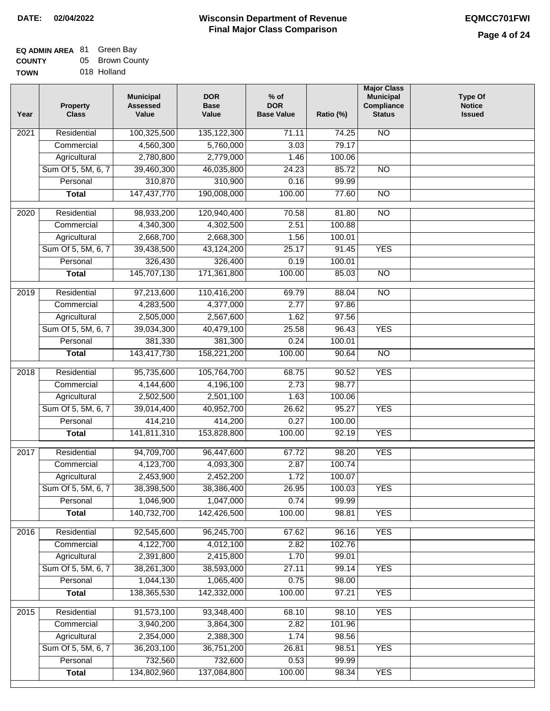### **EQ ADMIN AREA** 81 Green Bay **COUNTY TOWN** 05 Brown County

| 018 Holland |  |
|-------------|--|
|             |  |

| Year             | <b>Property</b><br><b>Class</b> | <b>Municipal</b><br><b>Assessed</b><br>Value | <b>DOR</b><br><b>Base</b><br>Value | $%$ of<br><b>DOR</b><br><b>Base Value</b> | Ratio (%) | <b>Major Class</b><br><b>Municipal</b><br>Compliance<br><b>Status</b> | <b>Type Of</b><br><b>Notice</b><br><b>Issued</b> |
|------------------|---------------------------------|----------------------------------------------|------------------------------------|-------------------------------------------|-----------|-----------------------------------------------------------------------|--------------------------------------------------|
| 2021             | Residential                     | 100,325,500                                  | 135, 122, 300                      | 71.11                                     | 74.25     | <b>NO</b>                                                             |                                                  |
|                  | Commercial                      | 4,560,300                                    | 5,760,000                          | 3.03                                      | 79.17     |                                                                       |                                                  |
|                  | Agricultural                    | 2,780,800                                    | 2,779,000                          | 1.46                                      | 100.06    |                                                                       |                                                  |
|                  | Sum Of 5, 5M, 6, 7              | 39,460,300                                   | 46,035,800                         | 24.23                                     | 85.72     | $\overline{NO}$                                                       |                                                  |
|                  | Personal                        | 310,870                                      | 310,900                            | 0.16                                      | 99.99     |                                                                       |                                                  |
|                  | <b>Total</b>                    | 147,437,770                                  | 190,008,000                        | 100.00                                    | 77.60     | $\overline{NO}$                                                       |                                                  |
| 2020             | Residential                     | 98,933,200                                   | 120,940,400                        | 70.58                                     | 81.80     | $\overline{NO}$                                                       |                                                  |
|                  | Commercial                      | 4,340,300                                    | 4,302,500                          | 2.51                                      | 100.88    |                                                                       |                                                  |
|                  | Agricultural                    | 2,668,700                                    | 2,668,300                          | 1.56                                      | 100.01    |                                                                       |                                                  |
|                  | Sum Of 5, 5M, 6, 7              | 39,438,500                                   | 43,124,200                         | 25.17                                     | 91.45     | <b>YES</b>                                                            |                                                  |
|                  | Personal                        | 326,430                                      | 326,400                            | 0.19                                      | 100.01    |                                                                       |                                                  |
|                  | <b>Total</b>                    | 145,707,130                                  | 171,361,800                        | 100.00                                    | 85.03     | <b>NO</b>                                                             |                                                  |
|                  |                                 |                                              |                                    |                                           |           |                                                                       |                                                  |
| $\frac{1}{2019}$ | Residential                     | 97,213,600                                   | 110,416,200                        | 69.79                                     | 88.04     | $\overline{NO}$                                                       |                                                  |
|                  | Commercial                      | 4,283,500                                    | 4,377,000                          | 2.77                                      | 97.86     |                                                                       |                                                  |
|                  | Agricultural                    | 2,505,000                                    | 2,567,600                          | 1.62                                      | 97.56     |                                                                       |                                                  |
|                  | Sum Of 5, 5M, 6, 7              | 39,034,300                                   | 40,479,100                         | 25.58                                     | 96.43     | <b>YES</b>                                                            |                                                  |
|                  | Personal                        | 381,330                                      | 381,300                            | 0.24                                      | 100.01    |                                                                       |                                                  |
|                  | <b>Total</b>                    | 143,417,730                                  | 158,221,200                        | 100.00                                    | 90.64     | $\overline{NO}$                                                       |                                                  |
| 2018             | Residential                     | 95,735,600                                   | 105,764,700                        | 68.75                                     | 90.52     | <b>YES</b>                                                            |                                                  |
|                  | Commercial                      | 4,144,600                                    | 4,196,100                          | 2.73                                      | 98.77     |                                                                       |                                                  |
|                  | Agricultural                    | 2,502,500                                    | 2,501,100                          | 1.63                                      | 100.06    |                                                                       |                                                  |
|                  | Sum Of 5, 5M, 6, 7              | 39,014,400                                   | 40,952,700                         | 26.62                                     | 95.27     | <b>YES</b>                                                            |                                                  |
|                  | Personal                        | 414,210                                      | 414,200                            | 0.27                                      | 100.00    |                                                                       |                                                  |
|                  | <b>Total</b>                    | 141,811,310                                  | 153,828,800                        | 100.00                                    | 92.19     | <b>YES</b>                                                            |                                                  |
| 2017             | Residential                     | 94,709,700                                   | 96,447,600                         | 67.72                                     | 98.20     | <b>YES</b>                                                            |                                                  |
|                  | Commercial                      | 4,123,700                                    | 4,093,300                          | 2.87                                      | 100.74    |                                                                       |                                                  |
|                  | Agricultural                    | 2,453,900                                    | 2,452,200                          | 1.72                                      | 100.07    |                                                                       |                                                  |
|                  | Sum Of 5, 5M, 6, 7              | 38,398,500                                   | 38,386,400                         | 26.95                                     | 100.03    | <b>YES</b>                                                            |                                                  |
|                  | Personal                        | 1,046,900                                    | 1,047,000                          | 0.74                                      | 99.99     |                                                                       |                                                  |
|                  | <b>Total</b>                    | 140,732,700                                  | 142,426,500                        | 100.00                                    | 98.81     | <b>YES</b>                                                            |                                                  |
| 2016             | Residential                     | 92,545,600                                   | 96,245,700                         | 67.62                                     | 96.16     | <b>YES</b>                                                            |                                                  |
|                  | Commercial                      | 4,122,700                                    | 4,012,100                          | 2.82                                      | 102.76    |                                                                       |                                                  |
|                  | Agricultural                    | 2,391,800                                    | 2,415,800                          | 1.70                                      | 99.01     |                                                                       |                                                  |
|                  | Sum Of 5, 5M, 6, 7              | 38,261,300                                   | 38,593,000                         | 27.11                                     | 99.14     | <b>YES</b>                                                            |                                                  |
|                  | Personal                        | 1,044,130                                    | 1,065,400                          | 0.75                                      | 98.00     |                                                                       |                                                  |
|                  | <b>Total</b>                    | 138,365,530                                  | 142,332,000                        | 100.00                                    | 97.21     | <b>YES</b>                                                            |                                                  |
| 2015             | Residential                     | 91,573,100                                   | 93,348,400                         | 68.10                                     | 98.10     | <b>YES</b>                                                            |                                                  |
|                  | Commercial                      | 3,940,200                                    | 3,864,300                          | 2.82                                      | 101.96    |                                                                       |                                                  |
|                  | Agricultural                    | 2,354,000                                    | 2,388,300                          | 1.74                                      | 98.56     |                                                                       |                                                  |
|                  | Sum Of 5, 5M, 6, 7              | 36,203,100                                   | 36,751,200                         | 26.81                                     | 98.51     | <b>YES</b>                                                            |                                                  |
|                  | Personal                        | 732,560                                      | 732,600                            | 0.53                                      | 99.99     |                                                                       |                                                  |
|                  | <b>Total</b>                    | 134,802,960                                  | 137,084,800                        | 100.00                                    | 98.34     | <b>YES</b>                                                            |                                                  |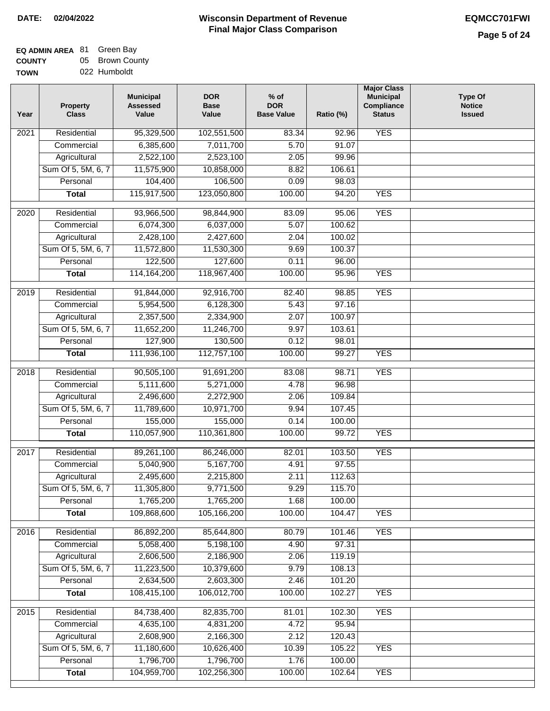| <b>EQ ADMIN AREA 81 Green Bay</b> |                 |
|-----------------------------------|-----------------|
| <b>COUNTY</b>                     | 05 Brown County |
| <b>TOWN</b>                       | 022 Humboldt    |

| Year              | <b>Property</b><br><b>Class</b> | <b>Municipal</b><br><b>Assessed</b><br>Value | <b>DOR</b><br><b>Base</b><br>Value | % of<br><b>DOR</b><br><b>Base Value</b> | Ratio (%) | <b>Major Class</b><br><b>Municipal</b><br>Compliance<br><b>Status</b> | <b>Type Of</b><br><b>Notice</b><br><b>Issued</b> |
|-------------------|---------------------------------|----------------------------------------------|------------------------------------|-----------------------------------------|-----------|-----------------------------------------------------------------------|--------------------------------------------------|
| 2021              | Residential                     | 95,329,500                                   | 102,551,500                        | 83.34                                   | 92.96     | <b>YES</b>                                                            |                                                  |
|                   | Commercial                      | 6,385,600                                    | 7,011,700                          | 5.70                                    | 91.07     |                                                                       |                                                  |
|                   | Agricultural                    | 2,522,100                                    | 2,523,100                          | 2.05                                    | 99.96     |                                                                       |                                                  |
|                   | Sum Of 5, 5M, 6, 7              | 11,575,900                                   | 10,858,000                         | 8.82                                    | 106.61    |                                                                       |                                                  |
|                   | Personal                        | 104,400                                      | 106,500                            | 0.09                                    | 98.03     |                                                                       |                                                  |
|                   | <b>Total</b>                    | 115,917,500                                  | 123,050,800                        | 100.00                                  | 94.20     | <b>YES</b>                                                            |                                                  |
| $\overline{2020}$ | Residential                     | 93,966,500                                   | 98,844,900                         | 83.09                                   | 95.06     | <b>YES</b>                                                            |                                                  |
|                   | Commercial                      | 6,074,300                                    | 6,037,000                          | 5.07                                    | 100.62    |                                                                       |                                                  |
|                   | Agricultural                    | 2,428,100                                    | 2,427,600                          | 2.04                                    | 100.02    |                                                                       |                                                  |
|                   | Sum Of 5, 5M, 6, 7              | 11,572,800                                   | 11,530,300                         | 9.69                                    | 100.37    |                                                                       |                                                  |
|                   | Personal                        | 122,500                                      | 127,600                            | 0.11                                    | 96.00     |                                                                       |                                                  |
|                   | <b>Total</b>                    | 114, 164, 200                                | 118,967,400                        | 100.00                                  | 95.96     | <b>YES</b>                                                            |                                                  |
|                   |                                 |                                              |                                    |                                         |           |                                                                       |                                                  |
| 2019              | Residential                     | 91,844,000                                   | 92,916,700                         | 82.40                                   | 98.85     | <b>YES</b>                                                            |                                                  |
|                   | Commercial                      | 5,954,500                                    | 6,128,300                          | 5.43                                    | 97.16     |                                                                       |                                                  |
|                   | Agricultural                    | 2,357,500                                    | 2,334,900                          | 2.07                                    | 100.97    |                                                                       |                                                  |
|                   | Sum Of 5, 5M, 6, 7              | 11,652,200                                   | 11,246,700                         | 9.97                                    | 103.61    |                                                                       |                                                  |
|                   | Personal                        | 127,900                                      | 130,500                            | 0.12                                    | 98.01     |                                                                       |                                                  |
|                   | <b>Total</b>                    | 111,936,100                                  | 112,757,100                        | 100.00                                  | 99.27     | <b>YES</b>                                                            |                                                  |
| 2018              | Residential                     | 90,505,100                                   | 91,691,200                         | 83.08                                   | 98.71     | <b>YES</b>                                                            |                                                  |
|                   | Commercial                      | 5,111,600                                    | 5,271,000                          | 4.78                                    | 96.98     |                                                                       |                                                  |
|                   | Agricultural                    | 2,496,600                                    | 2,272,900                          | 2.06                                    | 109.84    |                                                                       |                                                  |
|                   | Sum Of 5, 5M, 6, 7              | 11,789,600                                   | 10,971,700                         | 9.94                                    | 107.45    |                                                                       |                                                  |
|                   | Personal                        | 155,000                                      | 155,000                            | 0.14                                    | 100.00    |                                                                       |                                                  |
|                   | <b>Total</b>                    | 110,057,900                                  | 110,361,800                        | 100.00                                  | 99.72     | <b>YES</b>                                                            |                                                  |
| 2017              | Residential                     | 89,261,100                                   | 86,246,000                         | 82.01                                   | 103.50    | <b>YES</b>                                                            |                                                  |
|                   | Commercial                      | 5,040,900                                    | 5,167,700                          | 4.91                                    | 97.55     |                                                                       |                                                  |
|                   | Agricultural                    | 2,495,600                                    | 2,215,800                          | 2.11                                    | 112.63    |                                                                       |                                                  |
|                   | Sum Of 5, 5M, 6, 7              | 11,305,800                                   | 9,771,500                          | 9.29                                    | 115.70    |                                                                       |                                                  |
|                   | Personal                        | 1,765,200                                    | 1,765,200                          | 1.68                                    | 100.00    |                                                                       |                                                  |
|                   | <b>Total</b>                    | 109,868,600                                  | 105,166,200                        | 100.00                                  | 104.47    | <b>YES</b>                                                            |                                                  |
| 2016              | Residential                     | 86,892,200                                   | 85,644,800                         | 80.79                                   | 101.46    | <b>YES</b>                                                            |                                                  |
|                   | Commercial                      | 5,058,400                                    | 5,198,100                          | 4.90                                    | 97.31     |                                                                       |                                                  |
|                   | Agricultural                    | 2,606,500                                    | 2,186,900                          | 2.06                                    | 119.19    |                                                                       |                                                  |
|                   | Sum Of 5, 5M, 6, 7              | 11,223,500                                   | 10,379,600                         | 9.79                                    | 108.13    |                                                                       |                                                  |
|                   | Personal                        | 2,634,500                                    | 2,603,300                          | 2.46                                    | 101.20    |                                                                       |                                                  |
|                   | <b>Total</b>                    | 108,415,100                                  | 106,012,700                        | 100.00                                  | 102.27    | <b>YES</b>                                                            |                                                  |
| 2015              | Residential                     | 84,738,400                                   | 82,835,700                         | 81.01                                   | 102.30    | <b>YES</b>                                                            |                                                  |
|                   | Commercial                      | 4,635,100                                    | 4,831,200                          | $\overline{4.72}$                       | 95.94     |                                                                       |                                                  |
|                   | Agricultural                    | 2,608,900                                    | 2,166,300                          | 2.12                                    | 120.43    |                                                                       |                                                  |
|                   | Sum Of 5, 5M, 6, 7              | 11,180,600                                   | 10,626,400                         | 10.39                                   | 105.22    | <b>YES</b>                                                            |                                                  |
|                   | Personal                        | 1,796,700                                    | 1,796,700                          | 1.76                                    | 100.00    |                                                                       |                                                  |
|                   | <b>Total</b>                    | 104,959,700                                  | 102,256,300                        | 100.00                                  | 102.64    | <b>YES</b>                                                            |                                                  |
|                   |                                 |                                              |                                    |                                         |           |                                                                       |                                                  |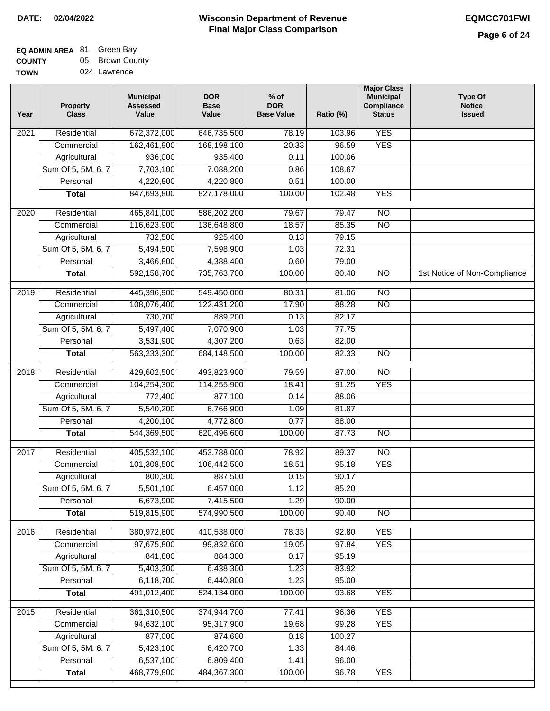| <b>EQ ADMIN AREA 81 Green Bay</b> |                 |
|-----------------------------------|-----------------|
| <b>COUNTY</b>                     | 05 Brown County |

**TOWN** 024 Lawrence

| Year              | <b>Property</b><br><b>Class</b> | <b>Municipal</b><br><b>Assessed</b><br>Value | <b>DOR</b><br><b>Base</b><br>Value | % of<br><b>DOR</b><br><b>Base Value</b> | Ratio (%) | <b>Major Class</b><br><b>Municipal</b><br>Compliance<br><b>Status</b> | <b>Type Of</b><br><b>Notice</b><br><b>Issued</b> |
|-------------------|---------------------------------|----------------------------------------------|------------------------------------|-----------------------------------------|-----------|-----------------------------------------------------------------------|--------------------------------------------------|
| $\overline{202}1$ | Residential                     | 672,372,000                                  | 646,735,500                        | 78.19                                   | 103.96    | <b>YES</b>                                                            |                                                  |
|                   | Commercial                      | 162,461,900                                  | 168,198,100                        | 20.33                                   | 96.59     | <b>YES</b>                                                            |                                                  |
|                   | Agricultural                    | 936,000                                      | 935,400                            | 0.11                                    | 100.06    |                                                                       |                                                  |
|                   | Sum Of 5, 5M, 6, 7              | 7,703,100                                    | 7,088,200                          | 0.86                                    | 108.67    |                                                                       |                                                  |
|                   | Personal                        | 4,220,800                                    | 4,220,800                          | 0.51                                    | 100.00    |                                                                       |                                                  |
|                   | <b>Total</b>                    | 847,693,800                                  | 827,178,000                        | 100.00                                  | 102.48    | <b>YES</b>                                                            |                                                  |
| 2020              | Residential                     | 465,841,000                                  | 586,202,200                        | 79.67                                   | 79.47     | $\overline{NO}$                                                       |                                                  |
|                   | Commercial                      | 116,623,900                                  | 136,648,800                        | 18.57                                   | 85.35     | $\overline{NO}$                                                       |                                                  |
|                   | Agricultural                    | 732,500                                      | 925,400                            | 0.13                                    | 79.15     |                                                                       |                                                  |
|                   | Sum Of 5, 5M, 6, 7              | 5,494,500                                    | 7,598,900                          | 1.03                                    | 72.31     |                                                                       |                                                  |
|                   | Personal                        | 3,466,800                                    | 4,388,400                          | 0.60                                    | 79.00     |                                                                       |                                                  |
|                   | <b>Total</b>                    | 592,158,700                                  | 735,763,700                        | 100.00                                  | 80.48     | $\overline{NO}$                                                       | 1st Notice of Non-Compliance                     |
| 2019              | Residential                     | 445,396,900                                  | 549,450,000                        | 80.31                                   | 81.06     | $\overline{10}$                                                       |                                                  |
|                   | Commercial                      | 108,076,400                                  | 122,431,200                        | 17.90                                   | 88.28     | $\overline{NO}$                                                       |                                                  |
|                   | Agricultural                    | 730,700                                      | 889,200                            | 0.13                                    | 82.17     |                                                                       |                                                  |
|                   | Sum Of 5, 5M, 6, 7              | 5,497,400                                    | 7,070,900                          | 1.03                                    | 77.75     |                                                                       |                                                  |
|                   | Personal                        | 3,531,900                                    | 4,307,200                          | 0.63                                    | 82.00     |                                                                       |                                                  |
|                   | <b>Total</b>                    | 563,233,300                                  | 684,148,500                        | 100.00                                  | 82.33     | $\overline{NO}$                                                       |                                                  |
| 2018              | Residential                     | 429,602,500                                  | 493,823,900                        | 79.59                                   | 87.00     | $\overline{10}$                                                       |                                                  |
|                   | Commercial                      | 104,254,300                                  | 114,255,900                        | 18.41                                   | 91.25     | <b>YES</b>                                                            |                                                  |
|                   | Agricultural                    | 772,400                                      | 877,100                            | 0.14                                    | 88.06     |                                                                       |                                                  |
|                   | Sum Of 5, 5M, 6, 7              | 5,540,200                                    | 6,766,900                          | 1.09                                    | 81.87     |                                                                       |                                                  |
|                   | Personal                        | 4,200,100                                    | 4,772,800                          | 0.77                                    | 88.00     |                                                                       |                                                  |
|                   | <b>Total</b>                    | 544,369,500                                  | 620,496,600                        | 100.00                                  | 87.73     | <b>NO</b>                                                             |                                                  |
|                   |                                 |                                              |                                    |                                         |           |                                                                       |                                                  |
| 2017              | Residential                     | 405,532,100                                  | 453,788,000                        | 78.92                                   | 89.37     | $\overline{NO}$                                                       |                                                  |
|                   | Commercial                      | 101,308,500                                  | 106,442,500                        | 18.51                                   | 95.18     | <b>YES</b>                                                            |                                                  |
|                   | Agricultural                    | 800,300                                      | 887,500                            | 0.15                                    | 90.17     |                                                                       |                                                  |
|                   | Sum Of 5, 5M, 6, 7              | 5,501,100                                    | 6,457,000                          | 1.12                                    | 85.20     |                                                                       |                                                  |
|                   | Personal                        | 6,673,900                                    | 7,415,500                          | 1.29                                    | 90.00     |                                                                       |                                                  |
|                   | <b>Total</b>                    | 519,815,900                                  | 574,990,500                        | 100.00                                  | 90.40     | <b>NO</b>                                                             |                                                  |
| 2016              | Residential                     | 380,972,800                                  | 410,538,000                        | 78.33                                   | 92.80     | <b>YES</b>                                                            |                                                  |
|                   | Commercial                      | 97,675,800                                   | 99,832,600                         | 19.05                                   | 97.84     | <b>YES</b>                                                            |                                                  |
|                   | Agricultural                    | 841,800                                      | 884,300                            | 0.17                                    | 95.19     |                                                                       |                                                  |
|                   | Sum Of 5, 5M, 6, 7              | 5,403,300                                    | 6,438,300                          | 1.23                                    | 83.92     |                                                                       |                                                  |
|                   | Personal                        | 6,118,700                                    | 6,440,800                          | 1.23                                    | 95.00     |                                                                       |                                                  |
|                   | <b>Total</b>                    | 491,012,400                                  | 524,134,000                        | 100.00                                  | 93.68     | <b>YES</b>                                                            |                                                  |
| 2015              | Residential                     | 361,310,500                                  | 374,944,700                        | 77.41                                   | 96.36     | <b>YES</b>                                                            |                                                  |
|                   | Commercial                      | 94,632,100                                   | 95,317,900                         | 19.68                                   | 99.28     | <b>YES</b>                                                            |                                                  |
|                   | Agricultural                    | 877,000                                      | 874,600                            | 0.18                                    | 100.27    |                                                                       |                                                  |
|                   | Sum Of 5, 5M, 6, 7              | 5,423,100                                    | 6,420,700                          | 1.33                                    | 84.46     |                                                                       |                                                  |
|                   | Personal                        | 6,537,100                                    | 6,809,400                          | 1.41                                    | 96.00     |                                                                       |                                                  |
|                   | <b>Total</b>                    | 468,779,800                                  | 484, 367, 300                      | 100.00                                  | 96.78     | <b>YES</b>                                                            |                                                  |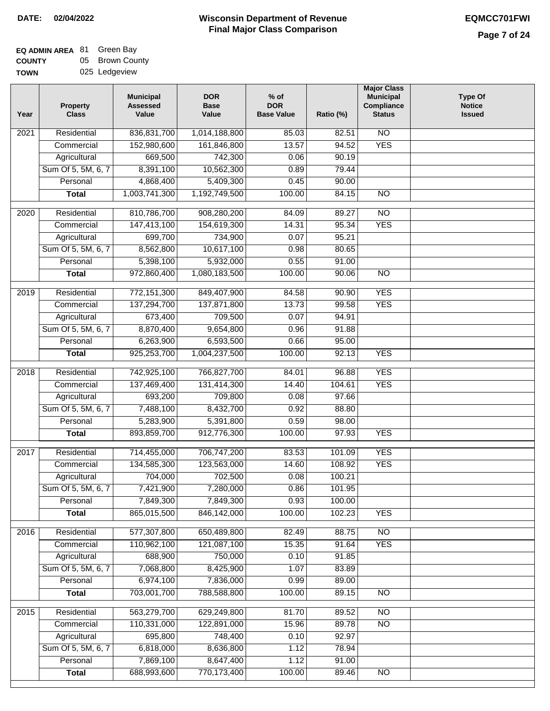| <b>EQ ADMIN AREA 81 Green Bay</b> |                 |
|-----------------------------------|-----------------|
| <b>COUNTY</b>                     | 05 Brown County |
| <b>TOWN</b>                       | 025 Ledgeview   |

| Year              | <b>Property</b><br><b>Class</b> | <b>Municipal</b><br><b>Assessed</b><br>Value | <b>DOR</b><br><b>Base</b><br>Value | % of<br><b>DOR</b><br><b>Base Value</b> | Ratio (%) | <b>Major Class</b><br><b>Municipal</b><br>Compliance<br><b>Status</b> | <b>Type Of</b><br><b>Notice</b><br><b>Issued</b> |
|-------------------|---------------------------------|----------------------------------------------|------------------------------------|-----------------------------------------|-----------|-----------------------------------------------------------------------|--------------------------------------------------|
| $\overline{202}1$ | Residential                     | 836,831,700                                  | 1,014,188,800                      | 85.03                                   | 82.51     | N <sub>O</sub>                                                        |                                                  |
|                   | Commercial                      | 152,980,600                                  | 161,846,800                        | 13.57                                   | 94.52     | <b>YES</b>                                                            |                                                  |
|                   | Agricultural                    | 669,500                                      | 742,300                            | 0.06                                    | 90.19     |                                                                       |                                                  |
|                   | Sum Of 5, 5M, 6, 7              | 8,391,100                                    | 10,562,300                         | 0.89                                    | 79.44     |                                                                       |                                                  |
|                   | Personal                        | 4,868,400                                    | 5,409,300                          | 0.45                                    | 90.00     |                                                                       |                                                  |
|                   | <b>Total</b>                    | 1,003,741,300                                | 1,192,749,500                      | 100.00                                  | 84.15     | $\overline{NO}$                                                       |                                                  |
| $\overline{2020}$ | Residential                     | 810,786,700                                  | 908,280,200                        | 84.09                                   | 89.27     | $\overline{10}$                                                       |                                                  |
|                   | Commercial                      | 147,413,100                                  | 154,619,300                        | 14.31                                   | 95.34     | <b>YES</b>                                                            |                                                  |
|                   | Agricultural                    | 699,700                                      | 734,900                            | 0.07                                    | 95.21     |                                                                       |                                                  |
|                   | Sum Of 5, 5M, 6, 7              | 8,562,800                                    | 10,617,100                         | 0.98                                    | 80.65     |                                                                       |                                                  |
|                   | Personal                        | 5,398,100                                    | 5,932,000                          | 0.55                                    | 91.00     |                                                                       |                                                  |
|                   | <b>Total</b>                    | 972,860,400                                  | 1,080,183,500                      | 100.00                                  | 90.06     | $\overline{NO}$                                                       |                                                  |
| $\frac{1}{2019}$  | Residential                     | 772,151,300                                  | 849,407,900                        | 84.58                                   | 90.90     | <b>YES</b>                                                            |                                                  |
|                   | Commercial                      | 137,294,700                                  | 137,871,800                        | 13.73                                   | 99.58     | <b>YES</b>                                                            |                                                  |
|                   | Agricultural                    | 673,400                                      | 709,500                            | 0.07                                    | 94.91     |                                                                       |                                                  |
|                   | Sum Of 5, 5M, 6, 7              | 8,870,400                                    | 9,654,800                          | 0.96                                    | 91.88     |                                                                       |                                                  |
|                   | Personal                        | 6,263,900                                    | 6,593,500                          | 0.66                                    | 95.00     |                                                                       |                                                  |
|                   | <b>Total</b>                    | 925,253,700                                  | 1,004,237,500                      | 100.00                                  | 92.13     | <b>YES</b>                                                            |                                                  |
| 2018              | Residential                     | 742,925,100                                  | 766,827,700                        | 84.01                                   | 96.88     | <b>YES</b>                                                            |                                                  |
|                   | Commercial                      | 137,469,400                                  | 131,414,300                        | 14.40                                   | 104.61    | <b>YES</b>                                                            |                                                  |
|                   | Agricultural                    | 693,200                                      | 709,800                            | 0.08                                    | 97.66     |                                                                       |                                                  |
|                   | Sum Of 5, 5M, 6, 7              | 7,488,100                                    | 8,432,700                          | 0.92                                    | 88.80     |                                                                       |                                                  |
|                   | Personal                        | 5,283,900                                    | 5,391,800                          | 0.59                                    | 98.00     |                                                                       |                                                  |
|                   | <b>Total</b>                    | 893,859,700                                  | 912,776,300                        | 100.00                                  | 97.93     | <b>YES</b>                                                            |                                                  |
| $\overline{2017}$ | Residential                     | 714,455,000                                  | 706,747,200                        | 83.53                                   | 101.09    | <b>YES</b>                                                            |                                                  |
|                   | Commercial                      | 134,585,300                                  | 123,563,000                        | 14.60                                   | 108.92    | <b>YES</b>                                                            |                                                  |
|                   | Agricultural                    | 704,000                                      | 702,500                            | 0.08                                    | 100.21    |                                                                       |                                                  |
|                   | Sum Of 5, 5M, 6, 7              | 7,421,900                                    | 7,280,000                          | 0.86                                    | 101.95    |                                                                       |                                                  |
|                   | Personal                        | 7,849,300                                    | 7,849,300                          | 0.93                                    | 100.00    |                                                                       |                                                  |
|                   | <b>Total</b>                    | 865,015,500                                  | 846,142,000                        | 100.00                                  | 102.23    | <b>YES</b>                                                            |                                                  |
| 2016              | Residential                     | 577,307,800                                  | 650,489,800                        | 82.49                                   | 88.75     | N <sub>O</sub>                                                        |                                                  |
|                   | Commercial                      | 110,962,100                                  | 121,087,100                        | 15.35                                   | 91.64     | <b>YES</b>                                                            |                                                  |
|                   | Agricultural                    | 688,900                                      | 750,000                            | 0.10                                    | 91.85     |                                                                       |                                                  |
|                   | Sum Of 5, 5M, 6, 7              | 7,068,800                                    | 8,425,900                          | 1.07                                    | 83.89     |                                                                       |                                                  |
|                   | Personal                        | 6,974,100                                    | 7,836,000                          | 0.99                                    | 89.00     |                                                                       |                                                  |
|                   | <b>Total</b>                    | 703,001,700                                  | 788,588,800                        | 100.00                                  | 89.15     | $\overline{NO}$                                                       |                                                  |
| 2015              | Residential                     | 563,279,700                                  | 629,249,800                        | 81.70                                   | 89.52     | <b>NO</b>                                                             |                                                  |
|                   | Commercial                      | 110,331,000                                  | 122,891,000                        | 15.96                                   | 89.78     | N <sub>O</sub>                                                        |                                                  |
|                   | Agricultural                    | 695,800                                      | 748,400                            | 0.10                                    | 92.97     |                                                                       |                                                  |
|                   | Sum Of 5, 5M, 6, 7              | 6,818,000                                    | 8,636,800                          | 1.12                                    | 78.94     |                                                                       |                                                  |
|                   | Personal                        | 7,869,100                                    | 8,647,400                          | 1.12                                    | 91.00     |                                                                       |                                                  |
|                   | <b>Total</b>                    | 688,993,600                                  | 770,173,400                        | 100.00                                  | 89.46     | N <sub>O</sub>                                                        |                                                  |
|                   |                                 |                                              |                                    |                                         |           |                                                                       |                                                  |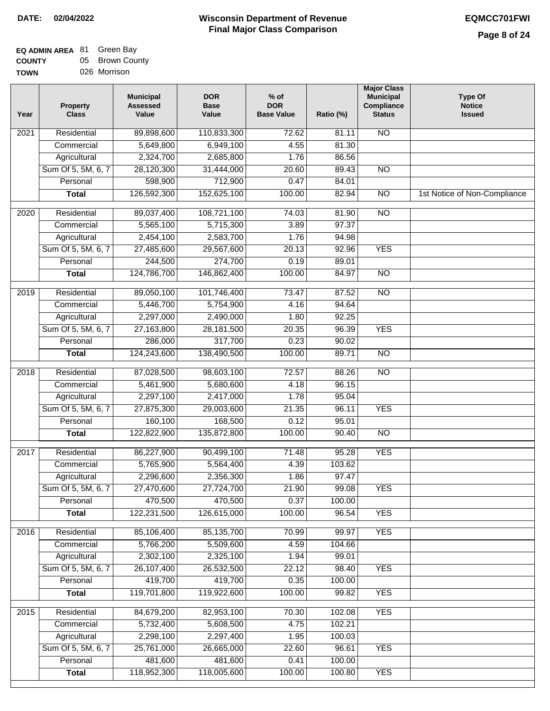| <b>EQ ADMIN AREA 81 Green Bay</b> |                 |
|-----------------------------------|-----------------|
| <b>COUNTY</b>                     | 05 Brown County |
| <b>TOWN</b>                       | 026 Morrison    |

| Year             | <b>Property</b><br><b>Class</b> | <b>Municipal</b><br><b>Assessed</b><br>Value | <b>DOR</b><br><b>Base</b><br>Value | $%$ of<br><b>DOR</b><br><b>Base Value</b> | Ratio (%) | <b>Major Class</b><br><b>Municipal</b><br>Compliance<br><b>Status</b> | <b>Type Of</b><br><b>Notice</b><br><b>Issued</b> |
|------------------|---------------------------------|----------------------------------------------|------------------------------------|-------------------------------------------|-----------|-----------------------------------------------------------------------|--------------------------------------------------|
| 2021             | Residential                     | 89,898,600                                   | 110,833,300                        | 72.62                                     | 81.11     | <b>NO</b>                                                             |                                                  |
|                  | Commercial                      | 5,649,800                                    | 6,949,100                          | 4.55                                      | 81.30     |                                                                       |                                                  |
|                  | Agricultural                    | 2,324,700                                    | 2,685,800                          | 1.76                                      | 86.56     |                                                                       |                                                  |
|                  | Sum Of 5, 5M, 6, 7              | 28,120,300                                   | 31,444,000                         | 20.60                                     | 89.43     | $\overline{NO}$                                                       |                                                  |
|                  | Personal                        | 598,900                                      | 712,900                            | 0.47                                      | 84.01     |                                                                       |                                                  |
|                  | <b>Total</b>                    | 126,592,300                                  | 152,625,100                        | 100.00                                    | 82.94     | $\overline{NO}$                                                       | 1st Notice of Non-Compliance                     |
| $\frac{1}{2020}$ | Residential                     | 89,037,400                                   | 108,721,100                        | 74.03                                     | 81.90     | $\overline{NO}$                                                       |                                                  |
|                  | Commercial                      | 5,565,100                                    | 5,715,300                          | 3.89                                      | 97.37     |                                                                       |                                                  |
|                  | Agricultural                    | 2,454,100                                    | 2,583,700                          | 1.76                                      | 94.98     |                                                                       |                                                  |
|                  | Sum Of 5, 5M, 6, 7              | 27,485,600                                   | 29,567,600                         | 20.13                                     | 92.96     | <b>YES</b>                                                            |                                                  |
|                  | Personal                        | 244,500                                      | 274,700                            | 0.19                                      | 89.01     |                                                                       |                                                  |
|                  | <b>Total</b>                    | 124,786,700                                  | 146,862,400                        | 100.00                                    | 84.97     | $\overline{NO}$                                                       |                                                  |
|                  |                                 |                                              |                                    |                                           |           |                                                                       |                                                  |
| $\frac{1}{2019}$ | Residential                     | 89,050,100                                   | 101,746,400                        | 73.47                                     | 87.52     | $\overline{NO}$                                                       |                                                  |
|                  | Commercial                      | 5,446,700                                    | 5,754,900                          | 4.16                                      | 94.64     |                                                                       |                                                  |
|                  | Agricultural                    | 2,297,000                                    | 2,490,000                          | 1.80                                      | 92.25     |                                                                       |                                                  |
|                  | Sum Of 5, 5M, 6, 7              | 27,163,800                                   | 28, 181, 500                       | 20.35                                     | 96.39     | <b>YES</b>                                                            |                                                  |
|                  | Personal                        | 286,000                                      | 317,700                            | 0.23                                      | 90.02     |                                                                       |                                                  |
|                  | <b>Total</b>                    | 124,243,600                                  | 138,490,500                        | 100.00                                    | 89.71     | $\overline{NO}$                                                       |                                                  |
| 2018             | Residential                     | 87,028,500                                   | 98,603,100                         | 72.57                                     | 88.26     | $\overline{NO}$                                                       |                                                  |
|                  | Commercial                      | 5,461,900                                    | 5,680,600                          | 4.18                                      | 96.15     |                                                                       |                                                  |
|                  | Agricultural                    | 2,297,100                                    | 2,417,000                          | 1.78                                      | 95.04     |                                                                       |                                                  |
|                  | Sum Of 5, 5M, 6, 7              | 27,875,300                                   | 29,003,600                         | 21.35                                     | 96.11     | <b>YES</b>                                                            |                                                  |
|                  | Personal                        | 160,100                                      | 168,500                            | 0.12                                      | 95.01     |                                                                       |                                                  |
|                  | <b>Total</b>                    | 122,822,900                                  | 135,872,800                        | 100.00                                    | 90.40     | $\overline{NO}$                                                       |                                                  |
| 2017             | Residential                     | 86,227,900                                   | 90,499,100                         | 71.48                                     | 95.28     | <b>YES</b>                                                            |                                                  |
|                  | Commercial                      | 5,765,900                                    | 5,564,400                          | 4.39                                      | 103.62    |                                                                       |                                                  |
|                  | Agricultural                    | 2,296,600                                    | 2,356,300                          | 1.86                                      | 97.47     |                                                                       |                                                  |
|                  | Sum Of 5, 5M, 6, 7              | 27,470,600                                   | 27,724,700                         | 21.90                                     | 99.08     | <b>YES</b>                                                            |                                                  |
|                  | Personal                        | 470,500                                      | 470,500                            | 0.37                                      | 100.00    |                                                                       |                                                  |
|                  | <b>Total</b>                    | 122,231,500                                  | 126,615,000                        | 100.00                                    | 96.54     | <b>YES</b>                                                            |                                                  |
| 2016             | Residential                     | 85,106,400                                   | 85, 135, 700                       | 70.99                                     | 99.97     | <b>YES</b>                                                            |                                                  |
|                  | Commercial                      | 5,766,200                                    | 5,509,600                          | 4.59                                      | 104.66    |                                                                       |                                                  |
|                  | Agricultural                    | 2,302,100                                    | 2,325,100                          | 1.94                                      | 99.01     |                                                                       |                                                  |
|                  | Sum Of 5, 5M, 6, 7              | 26,107,400                                   | 26,532,500                         | 22.12                                     | 98.40     | <b>YES</b>                                                            |                                                  |
|                  | Personal                        | 419,700                                      | 419,700                            | 0.35                                      | 100.00    |                                                                       |                                                  |
|                  | <b>Total</b>                    | 119,701,800                                  | 119,922,600                        | 100.00                                    | 99.82     | <b>YES</b>                                                            |                                                  |
|                  |                                 |                                              |                                    |                                           |           |                                                                       |                                                  |
| 2015             | Residential                     | 84,679,200                                   | 82,953,100                         | 70.30                                     | 102.08    | <b>YES</b>                                                            |                                                  |
|                  | Commercial                      | 5,732,400                                    | 5,608,500                          | 4.75                                      | 102.21    |                                                                       |                                                  |
|                  | Agricultural                    | 2,298,100                                    | 2,297,400                          | 1.95                                      | 100.03    |                                                                       |                                                  |
|                  | Sum Of 5, 5M, 6, 7              | 25,761,000                                   | 26,665,000                         | 22.60                                     | 96.61     | <b>YES</b>                                                            |                                                  |
|                  | Personal                        | 481,600                                      | 481,600                            | 0.41                                      | 100.00    |                                                                       |                                                  |
|                  | <b>Total</b>                    | 118,952,300                                  | 118,005,600                        | 100.00                                    | 100.80    | <b>YES</b>                                                            |                                                  |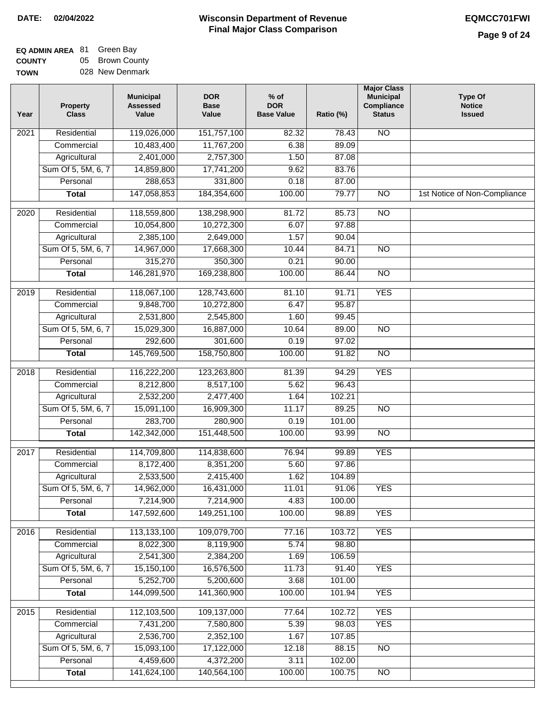| <b>EQ ADMIN AREA 81 Green Bay</b> |                 |
|-----------------------------------|-----------------|
| <b>COUNTY</b>                     | 05 Brown County |
| <b>TOWN</b>                       | 028 New Denmark |

| Year              | <b>Property</b><br><b>Class</b> | <b>Municipal</b><br><b>Assessed</b><br>Value | <b>DOR</b><br><b>Base</b><br>Value | $%$ of<br><b>DOR</b><br><b>Base Value</b> | Ratio (%)       | <b>Major Class</b><br><b>Municipal</b><br>Compliance<br><b>Status</b> | Type Of<br><b>Notice</b><br><b>Issued</b> |
|-------------------|---------------------------------|----------------------------------------------|------------------------------------|-------------------------------------------|-----------------|-----------------------------------------------------------------------|-------------------------------------------|
| 2021              | Residential                     | 119,026,000                                  | 151,757,100                        | 82.32                                     | 78.43           | <b>NO</b>                                                             |                                           |
|                   | Commercial                      | 10,483,400                                   | 11,767,200                         | 6.38                                      | 89.09           |                                                                       |                                           |
|                   | Agricultural                    | 2,401,000                                    | 2,757,300                          | 1.50                                      | 87.08           |                                                                       |                                           |
|                   | Sum Of 5, 5M, 6, 7              | 14,859,800                                   | 17,741,200                         | 9.62                                      | 83.76           |                                                                       |                                           |
|                   | Personal                        | 288,653                                      | 331,800                            | 0.18                                      | 87.00           |                                                                       |                                           |
|                   | <b>Total</b>                    | 147,058,853                                  | 184,354,600                        | 100.00                                    | 79.77           | $\overline{NO}$                                                       | 1st Notice of Non-Compliance              |
| 2020              | Residential                     | 118,559,800                                  | 138,298,900                        | 81.72                                     | 85.73           | $\overline{NO}$                                                       |                                           |
|                   | Commercial                      | 10,054,800                                   | 10,272,300                         | 6.07                                      | 97.88           |                                                                       |                                           |
|                   | Agricultural                    | 2,385,100                                    | 2,649,000                          | 1.57                                      | 90.04           |                                                                       |                                           |
|                   | Sum Of 5, 5M, 6, 7              | 14,967,000                                   | 17,668,300                         | 10.44                                     | 84.71           | <b>NO</b>                                                             |                                           |
|                   | Personal                        | 315,270                                      | 350,300                            | 0.21                                      | 90.00           |                                                                       |                                           |
|                   | <b>Total</b>                    | 146,281,970                                  | 169,238,800                        | 100.00                                    | 86.44           | $\overline{NO}$                                                       |                                           |
| 2019              | Residential                     | 118,067,100                                  | 128,743,600                        | 81.10                                     | 91.71           | <b>YES</b>                                                            |                                           |
|                   | Commercial                      | 9,848,700                                    | 10,272,800                         | 6.47                                      | 95.87           |                                                                       |                                           |
|                   | Agricultural                    | 2,531,800                                    | 2,545,800                          | 1.60                                      | 99.45           |                                                                       |                                           |
|                   | Sum Of 5, 5M, 6, 7              | 15,029,300                                   | 16,887,000                         | 10.64                                     | 89.00           | $\overline{NO}$                                                       |                                           |
|                   | Personal                        | 292,600                                      | 301,600                            | 0.19                                      | 97.02           |                                                                       |                                           |
|                   | <b>Total</b>                    | 145,769,500                                  | 158,750,800                        | 100.00                                    | 91.82           | $\overline{NO}$                                                       |                                           |
| 2018              | Residential                     | 116,222,200                                  | 123,263,800                        | 81.39                                     | 94.29           | <b>YES</b>                                                            |                                           |
|                   | Commercial                      | 8,212,800                                    | 8,517,100                          | 5.62                                      | 96.43           |                                                                       |                                           |
|                   | Agricultural                    | 2,532,200                                    | 2,477,400                          | 1.64                                      | 102.21          |                                                                       |                                           |
|                   | Sum Of 5, 5M, 6, 7              | 15,091,100                                   | 16,909,300                         | 11.17                                     | 89.25           | <b>NO</b>                                                             |                                           |
|                   | Personal                        | 283,700                                      | 280,900                            | 0.19                                      | 101.00          |                                                                       |                                           |
|                   | <b>Total</b>                    | 142,342,000                                  | 151,448,500                        | 100.00                                    | 93.99           | <b>NO</b>                                                             |                                           |
| $\overline{2017}$ | Residential                     | 114,709,800                                  | 114,838,600                        | 76.94                                     | 99.89           | <b>YES</b>                                                            |                                           |
|                   | Commercial                      | 8,172,400                                    | 8,351,200                          | 5.60                                      | 97.86           |                                                                       |                                           |
|                   | Agricultural                    | 2,533,500                                    | 2,415,400                          | 1.62                                      | 104.89          |                                                                       |                                           |
|                   | Sum Of 5, 5M, 6, 7              | 14,962,000                                   | 16,431,000                         | 11.01                                     | 91.06           | <b>YES</b>                                                            |                                           |
|                   | Personal                        | 7,214,900                                    | 7,214,900                          | 4.83                                      | 100.00          |                                                                       |                                           |
|                   | <b>Total</b>                    | 147,592,600                                  | 149,251,100                        | 100.00                                    | 98.89           | <b>YES</b>                                                            |                                           |
| 2016              | Residential                     | 113,133,100                                  | 109,079,700                        | 77.16                                     | 103.72          | <b>YES</b>                                                            |                                           |
|                   | Commercial                      | 8,022,300                                    | 8,119,900                          | 5.74                                      | 98.80           |                                                                       |                                           |
|                   | Agricultural                    | 2,541,300                                    | 2,384,200                          | 1.69                                      | 106.59          |                                                                       |                                           |
|                   | Sum Of 5, 5M, 6, 7              | 15,150,100                                   | 16,576,500                         | 11.73                                     | 91.40           | <b>YES</b>                                                            |                                           |
|                   | Personal                        | 5,252,700                                    | 5,200,600                          | 3.68                                      | 101.00          |                                                                       |                                           |
|                   | <b>Total</b>                    | 144,099,500                                  | 141,360,900                        | 100.00                                    | 101.94          | <b>YES</b>                                                            |                                           |
|                   |                                 |                                              |                                    | 77.64                                     |                 | <b>YES</b>                                                            |                                           |
| 2015              | Residential                     | 112,103,500<br>7,431,200                     | 109,137,000                        |                                           | 102.72          | <b>YES</b>                                                            |                                           |
|                   | Commercial<br>Agricultural      | 2,536,700                                    | 7,580,800<br>2,352,100             | 5.39<br>1.67                              | 98.03<br>107.85 |                                                                       |                                           |
|                   | Sum Of 5, 5M, 6, 7              | 15,093,100                                   | 17,122,000                         | 12.18                                     | 88.15           | <b>NO</b>                                                             |                                           |
|                   | Personal                        | 4,459,600                                    | 4,372,200                          | 3.11                                      | 102.00          |                                                                       |                                           |
|                   | <b>Total</b>                    | 141,624,100                                  | 140,564,100                        | 100.00                                    | 100.75          | NO                                                                    |                                           |
|                   |                                 |                                              |                                    |                                           |                 |                                                                       |                                           |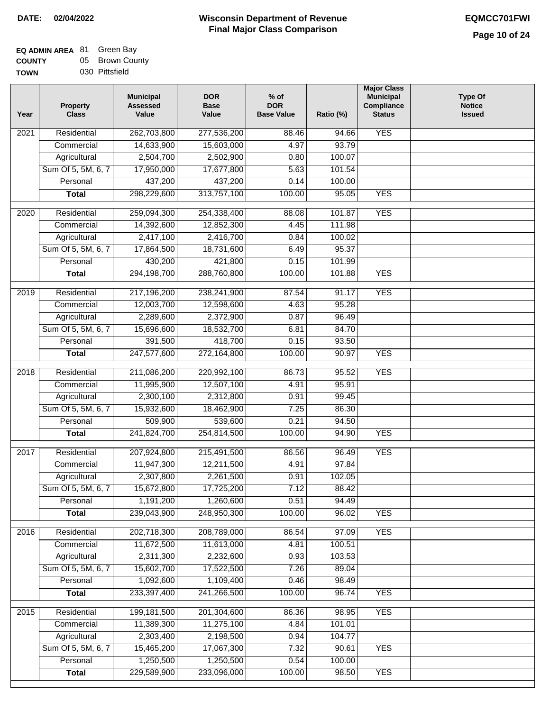| <b>EQ ADMIN AREA 81 Green Bay</b> |                 |
|-----------------------------------|-----------------|
| <b>COUNTY</b>                     | 05 Brown County |
| <b>TOWN</b>                       | 030 Pittsfield  |

| Year              | <b>Property</b><br><b>Class</b> | <b>Municipal</b><br><b>Assessed</b><br>Value | <b>DOR</b><br><b>Base</b><br>Value | $%$ of<br><b>DOR</b><br><b>Base Value</b> | Ratio (%)        | <b>Major Class</b><br><b>Municipal</b><br>Compliance<br><b>Status</b> | <b>Type Of</b><br><b>Notice</b><br><b>Issued</b> |
|-------------------|---------------------------------|----------------------------------------------|------------------------------------|-------------------------------------------|------------------|-----------------------------------------------------------------------|--------------------------------------------------|
| 2021              | Residential                     | 262,703,800                                  | 277,536,200                        | 88.46                                     | 94.66            | <b>YES</b>                                                            |                                                  |
|                   | Commercial                      | 14,633,900                                   | 15,603,000                         | 4.97                                      | 93.79            |                                                                       |                                                  |
|                   | Agricultural                    | 2,504,700                                    | 2,502,900                          | 0.80                                      | 100.07           |                                                                       |                                                  |
|                   | Sum Of 5, 5M, 6, 7              | 17,950,000                                   | 17,677,800                         | 5.63                                      | 101.54           |                                                                       |                                                  |
|                   | Personal                        | 437,200                                      | 437,200                            | 0.14                                      | 100.00           |                                                                       |                                                  |
|                   | <b>Total</b>                    | 298,229,600                                  | 313,757,100                        | 100.00                                    | 95.05            | <b>YES</b>                                                            |                                                  |
|                   |                                 | 259,094,300                                  | 254,338,400                        |                                           |                  | <b>YES</b>                                                            |                                                  |
| $\overline{2020}$ | Residential                     |                                              |                                    | 88.08                                     | 101.87<br>111.98 |                                                                       |                                                  |
|                   | Commercial                      | 14,392,600                                   | 12,852,300                         | 4.45                                      |                  |                                                                       |                                                  |
|                   | Agricultural                    | 2,417,100                                    | 2,416,700<br>18,731,600            | 0.84                                      | 100.02           |                                                                       |                                                  |
|                   | Sum Of 5, 5M, 6, 7<br>Personal  | 17,864,500<br>430,200                        | 421,800                            | 6.49<br>0.15                              | 95.37<br>101.99  |                                                                       |                                                  |
|                   |                                 | 294,198,700                                  | 288,760,800                        |                                           | 101.88           | <b>YES</b>                                                            |                                                  |
|                   | <b>Total</b>                    |                                              |                                    | 100.00                                    |                  |                                                                       |                                                  |
| 2019              | Residential                     | 217,196,200                                  | 238,241,900                        | 87.54                                     | 91.17            | <b>YES</b>                                                            |                                                  |
|                   | Commercial                      | 12,003,700                                   | 12,598,600                         | 4.63                                      | 95.28            |                                                                       |                                                  |
|                   | Agricultural                    | 2,289,600                                    | 2,372,900                          | 0.87                                      | 96.49            |                                                                       |                                                  |
|                   | Sum Of 5, 5M, 6, 7              | 15,696,600                                   | 18,532,700                         | 6.81                                      | 84.70            |                                                                       |                                                  |
|                   | Personal                        | 391,500                                      | 418,700                            | 0.15                                      | 93.50            |                                                                       |                                                  |
|                   | <b>Total</b>                    | 247,577,600                                  | 272,164,800                        | 100.00                                    | 90.97            | <b>YES</b>                                                            |                                                  |
| 2018              | Residential                     | 211,086,200                                  | 220,992,100                        | 86.73                                     | 95.52            | <b>YES</b>                                                            |                                                  |
|                   | Commercial                      | 11,995,900                                   | 12,507,100                         | 4.91                                      | 95.91            |                                                                       |                                                  |
|                   | Agricultural                    | 2,300,100                                    | 2,312,800                          | 0.91                                      | 99.45            |                                                                       |                                                  |
|                   | Sum Of 5, 5M, 6, 7              | 15,932,600                                   | 18,462,900                         | 7.25                                      | 86.30            |                                                                       |                                                  |
|                   | Personal                        | 509,900                                      | 539,600                            | 0.21                                      | 94.50            |                                                                       |                                                  |
|                   | <b>Total</b>                    | 241,824,700                                  | 254,814,500                        | 100.00                                    | 94.90            | <b>YES</b>                                                            |                                                  |
| 2017              | Residential                     | 207,924,800                                  | 215,491,500                        | 86.56                                     | 96.49            | <b>YES</b>                                                            |                                                  |
|                   | Commercial                      | 11,947,300                                   | 12,211,500                         | 4.91                                      | 97.84            |                                                                       |                                                  |
|                   | Agricultural                    | 2,307,800                                    | 2,261,500                          | 0.91                                      | 102.05           |                                                                       |                                                  |
|                   | Sum Of 5, 5M, 6, 7              | 15,672,800                                   | 17,725,200                         | 7.12                                      | 88.42            |                                                                       |                                                  |
|                   | Personal                        | 1,191,200                                    | 1,260,600                          | 0.51                                      | 94.49            |                                                                       |                                                  |
|                   | <b>Total</b>                    | 239,043,900                                  | 248,950,300                        | 100.00                                    | 96.02            | <b>YES</b>                                                            |                                                  |
| 2016              | Residential                     | 202,718,300                                  | 208,789,000                        | 86.54                                     | 97.09            | <b>YES</b>                                                            |                                                  |
|                   | Commercial                      | 11,672,500                                   | 11,613,000                         | 4.81                                      | 100.51           |                                                                       |                                                  |
|                   | Agricultural                    | 2,311,300                                    | 2,232,600                          | 0.93                                      | 103.53           |                                                                       |                                                  |
|                   | Sum Of 5, 5M, 6, 7              | 15,602,700                                   | 17,522,500                         | 7.26                                      | 89.04            |                                                                       |                                                  |
|                   | Personal                        | 1,092,600                                    | 1,109,400                          | 0.46                                      | 98.49            |                                                                       |                                                  |
|                   | <b>Total</b>                    | 233,397,400                                  | 241,266,500                        | 100.00                                    | 96.74            | <b>YES</b>                                                            |                                                  |
| 2015              | Residential                     | 199,181,500                                  | 201,304,600                        | 86.36                                     | 98.95            | <b>YES</b>                                                            |                                                  |
|                   | Commercial                      | 11,389,300                                   | 11,275,100                         | 4.84                                      | 101.01           |                                                                       |                                                  |
|                   | Agricultural                    | 2,303,400                                    | 2,198,500                          | 0.94                                      | 104.77           |                                                                       |                                                  |
|                   | Sum Of 5, 5M, 6, 7              | 15,465,200                                   | 17,067,300                         | 7.32                                      | 90.61            | <b>YES</b>                                                            |                                                  |
|                   | Personal                        | 1,250,500                                    | 1,250,500                          | 0.54                                      | 100.00           |                                                                       |                                                  |
|                   | <b>Total</b>                    | 229,589,900                                  | 233,096,000                        | 100.00                                    | 98.50            | <b>YES</b>                                                            |                                                  |
|                   |                                 |                                              |                                    |                                           |                  |                                                                       |                                                  |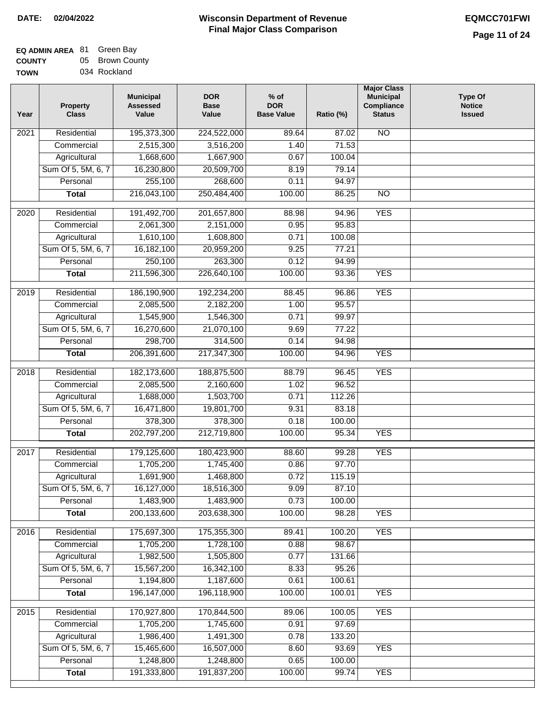| <b>EQ ADMIN AREA 81 Green Bay</b> |                 |
|-----------------------------------|-----------------|
| <b>COUNTY</b>                     | 05 Brown County |
| <b>TOWN</b>                       | 034 Rockland    |

| Year              | <b>Property</b><br><b>Class</b>    | <b>Municipal</b><br><b>Assessed</b><br>Value | <b>DOR</b><br><b>Base</b><br>Value | $%$ of<br><b>DOR</b><br><b>Base Value</b> | Ratio (%) | <b>Major Class</b><br><b>Municipal</b><br>Compliance<br><b>Status</b> | <b>Type Of</b><br><b>Notice</b><br><b>Issued</b> |
|-------------------|------------------------------------|----------------------------------------------|------------------------------------|-------------------------------------------|-----------|-----------------------------------------------------------------------|--------------------------------------------------|
| 2021              | Residential                        | 195,373,300                                  | 224,522,000                        | 89.64                                     | 87.02     | <b>NO</b>                                                             |                                                  |
|                   | Commercial                         | 2,515,300                                    | 3,516,200                          | 1.40                                      | 71.53     |                                                                       |                                                  |
|                   | Agricultural                       | 1,668,600                                    | 1,667,900                          | 0.67                                      | 100.04    |                                                                       |                                                  |
|                   | Sum Of 5, 5M, 6, 7                 | 16,230,800                                   | 20,509,700                         | 8.19                                      | 79.14     |                                                                       |                                                  |
|                   | Personal                           | 255,100                                      | 268,600                            | 0.11                                      | 94.97     |                                                                       |                                                  |
|                   | <b>Total</b>                       | 216,043,100                                  | 250,484,400                        | 100.00                                    | 86.25     | <b>NO</b>                                                             |                                                  |
| $\overline{2020}$ | Residential                        |                                              |                                    | 88.98                                     | 94.96     | <b>YES</b>                                                            |                                                  |
|                   |                                    | 191,492,700<br>2,061,300                     | 201,657,800<br>2,151,000           |                                           | 95.83     |                                                                       |                                                  |
|                   | Commercial                         | 1,610,100                                    | 1,608,800                          | 0.95<br>0.71                              | 100.08    |                                                                       |                                                  |
|                   | Agricultural<br>Sum Of 5, 5M, 6, 7 | 16,182,100                                   | 20,959,200                         | 9.25                                      | 77.21     |                                                                       |                                                  |
|                   | Personal                           | 250,100                                      | 263,300                            | 0.12                                      | 94.99     |                                                                       |                                                  |
|                   | <b>Total</b>                       | 211,596,300                                  | 226,640,100                        | 100.00                                    | 93.36     | <b>YES</b>                                                            |                                                  |
|                   |                                    |                                              |                                    |                                           |           |                                                                       |                                                  |
| 2019              | Residential                        | 186,190,900                                  | 192,234,200                        | 88.45                                     | 96.86     | <b>YES</b>                                                            |                                                  |
|                   | Commercial                         | 2,085,500                                    | 2,182,200                          | 1.00                                      | 95.57     |                                                                       |                                                  |
|                   | Agricultural                       | 1,545,900                                    | 1,546,300                          | 0.71                                      | 99.97     |                                                                       |                                                  |
|                   | Sum Of 5, 5M, 6, 7                 | 16,270,600                                   | 21,070,100                         | 9.69                                      | 77.22     |                                                                       |                                                  |
|                   | Personal                           | 298,700                                      | 314,500                            | 0.14                                      | 94.98     |                                                                       |                                                  |
|                   | <b>Total</b>                       | 206,391,600                                  | 217,347,300                        | 100.00                                    | 94.96     | <b>YES</b>                                                            |                                                  |
| 2018              | Residential                        | 182,173,600                                  | 188,875,500                        | 88.79                                     | 96.45     | <b>YES</b>                                                            |                                                  |
|                   | Commercial                         | 2,085,500                                    | 2,160,600                          | 1.02                                      | 96.52     |                                                                       |                                                  |
|                   | Agricultural                       | 1,688,000                                    | 1,503,700                          | 0.71                                      | 112.26    |                                                                       |                                                  |
|                   | Sum Of 5, 5M, 6, 7                 | 16,471,800                                   | 19,801,700                         | 9.31                                      | 83.18     |                                                                       |                                                  |
|                   | Personal                           | 378,300                                      | 378,300                            | 0.18                                      | 100.00    |                                                                       |                                                  |
|                   | <b>Total</b>                       | 202,797,200                                  | 212,719,800                        | 100.00                                    | 95.34     | <b>YES</b>                                                            |                                                  |
| 2017              | Residential                        | 179,125,600                                  | 180,423,900                        | 88.60                                     | 99.28     | <b>YES</b>                                                            |                                                  |
|                   | Commercial                         | 1,705,200                                    | 1,745,400                          | 0.86                                      | 97.70     |                                                                       |                                                  |
|                   | Agricultural                       | 1,691,900                                    | 1,468,800                          | 0.72                                      | 115.19    |                                                                       |                                                  |
|                   | Sum Of 5, 5M, 6, 7                 | 16,127,000                                   | 18,516,300                         | 9.09                                      | 87.10     |                                                                       |                                                  |
|                   | Personal                           | 1,483,900                                    | 1,483,900                          | 0.73                                      | 100.00    |                                                                       |                                                  |
|                   | <b>Total</b>                       | 200,133,600                                  | 203,638,300                        | 100.00                                    | 98.28     | <b>YES</b>                                                            |                                                  |
| 2016              | Residential                        | 175,697,300                                  | 175,355,300                        | 89.41                                     | 100.20    | <b>YES</b>                                                            |                                                  |
|                   | Commercial                         | 1,705,200                                    | 1,728,100                          | 0.88                                      | 98.67     |                                                                       |                                                  |
|                   | Agricultural                       | 1,982,500                                    | 1,505,800                          | 0.77                                      | 131.66    |                                                                       |                                                  |
|                   | Sum Of 5, 5M, 6, 7                 | 15,567,200                                   | 16,342,100                         | 8.33                                      | 95.26     |                                                                       |                                                  |
|                   | Personal                           | 1,194,800                                    | 1,187,600                          | 0.61                                      | 100.61    |                                                                       |                                                  |
|                   | <b>Total</b>                       | 196, 147, 000                                | 196,118,900                        | 100.00                                    | 100.01    | <b>YES</b>                                                            |                                                  |
| 2015              | Residential                        | 170,927,800                                  | 170,844,500                        | 89.06                                     | 100.05    | <b>YES</b>                                                            |                                                  |
|                   | Commercial                         | 1,705,200                                    | 1,745,600                          | 0.91                                      | 97.69     |                                                                       |                                                  |
|                   | Agricultural                       | 1,986,400                                    | 1,491,300                          | 0.78                                      | 133.20    |                                                                       |                                                  |
|                   | Sum Of 5, 5M, 6, 7                 | 15,465,600                                   | 16,507,000                         | 8.60                                      | 93.69     | <b>YES</b>                                                            |                                                  |
|                   | Personal                           | 1,248,800                                    | 1,248,800                          | 0.65                                      | 100.00    |                                                                       |                                                  |
|                   | <b>Total</b>                       | 191,333,800                                  | 191,837,200                        | 100.00                                    | 99.74     | <b>YES</b>                                                            |                                                  |
|                   |                                    |                                              |                                    |                                           |           |                                                                       |                                                  |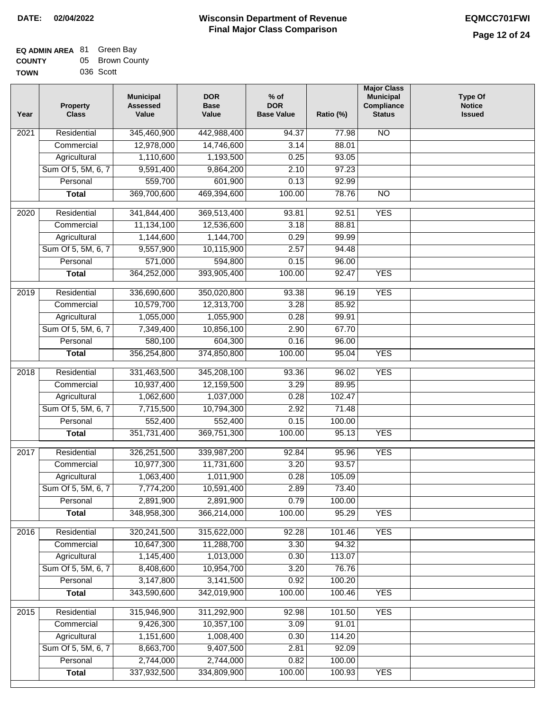| <b>EQ ADMIN AREA 81 Green Bay</b> |                 |
|-----------------------------------|-----------------|
| <b>COUNTY</b>                     | 05 Brown County |
| <b>TOWN</b>                       | 036 Scott       |

| Year              | <b>Property</b><br><b>Class</b> | <b>Municipal</b><br><b>Assessed</b><br>Value | <b>DOR</b><br><b>Base</b><br>Value | $%$ of<br><b>DOR</b><br><b>Base Value</b> | Ratio (%) | <b>Major Class</b><br><b>Municipal</b><br>Compliance<br><b>Status</b> | <b>Type Of</b><br><b>Notice</b><br><b>Issued</b> |
|-------------------|---------------------------------|----------------------------------------------|------------------------------------|-------------------------------------------|-----------|-----------------------------------------------------------------------|--------------------------------------------------|
| $\overline{202}1$ | Residential                     | 345,460,900                                  | 442,988,400                        | 94.37                                     | 77.98     | <b>NO</b>                                                             |                                                  |
|                   | Commercial                      | 12,978,000                                   | 14,746,600                         | 3.14                                      | 88.01     |                                                                       |                                                  |
|                   | Agricultural                    | 1,110,600                                    | 1,193,500                          | 0.25                                      | 93.05     |                                                                       |                                                  |
|                   | Sum Of 5, 5M, 6, 7              | 9,591,400                                    | 9,864,200                          | 2.10                                      | 97.23     |                                                                       |                                                  |
|                   | Personal                        | 559,700                                      | 601,900                            | 0.13                                      | 92.99     |                                                                       |                                                  |
|                   | <b>Total</b>                    | 369,700,600                                  | 469,394,600                        | 100.00                                    | 78.76     | <b>NO</b>                                                             |                                                  |
| $\overline{2020}$ | Residential                     | 341,844,400                                  | 369,513,400                        | 93.81                                     | 92.51     | <b>YES</b>                                                            |                                                  |
|                   | Commercial                      | 11,134,100                                   | 12,536,600                         | 3.18                                      | 88.81     |                                                                       |                                                  |
|                   | Agricultural                    | 1,144,600                                    | 1,144,700                          | 0.29                                      | 99.99     |                                                                       |                                                  |
|                   | Sum Of 5, 5M, 6, 7              | 9,557,900                                    | 10,115,900                         | 2.57                                      | 94.48     |                                                                       |                                                  |
|                   | Personal                        | 571,000                                      | 594,800                            | 0.15                                      | 96.00     |                                                                       |                                                  |
|                   | <b>Total</b>                    | 364,252,000                                  | 393,905,400                        | 100.00                                    | 92.47     | <b>YES</b>                                                            |                                                  |
| 2019              | Residential                     | 336,690,600                                  | 350,020,800                        | 93.38                                     | 96.19     | <b>YES</b>                                                            |                                                  |
|                   | Commercial                      | 10,579,700                                   | 12,313,700                         | 3.28                                      | 85.92     |                                                                       |                                                  |
|                   | Agricultural                    | 1,055,000                                    | 1,055,900                          | 0.28                                      | 99.91     |                                                                       |                                                  |
|                   | Sum Of 5, 5M, 6, 7              | 7,349,400                                    | 10,856,100                         | 2.90                                      | 67.70     |                                                                       |                                                  |
|                   | Personal                        | 580,100                                      | 604,300                            | 0.16                                      | 96.00     |                                                                       |                                                  |
|                   | <b>Total</b>                    | 356,254,800                                  | 374,850,800                        | 100.00                                    | 95.04     | <b>YES</b>                                                            |                                                  |
| 2018              | Residential                     | 331,463,500                                  | 345,208,100                        | 93.36                                     | 96.02     | <b>YES</b>                                                            |                                                  |
|                   | Commercial                      | 10,937,400                                   | 12,159,500                         | 3.29                                      | 89.95     |                                                                       |                                                  |
|                   | Agricultural                    | 1,062,600                                    | 1,037,000                          | 0.28                                      | 102.47    |                                                                       |                                                  |
|                   | Sum Of 5, 5M, 6, 7              | 7,715,500                                    | 10,794,300                         | 2.92                                      | 71.48     |                                                                       |                                                  |
|                   | Personal                        | 552,400                                      | 552,400                            | 0.15                                      | 100.00    |                                                                       |                                                  |
|                   | <b>Total</b>                    | 351,731,400                                  | 369,751,300                        | 100.00                                    | 95.13     | <b>YES</b>                                                            |                                                  |
| 2017              | Residential                     | 326,251,500                                  | 339,987,200                        | 92.84                                     | 95.96     | <b>YES</b>                                                            |                                                  |
|                   | Commercial                      | 10,977,300                                   | 11,731,600                         | 3.20                                      | 93.57     |                                                                       |                                                  |
|                   | Agricultural                    | 1,063,400                                    | 1,011,900                          | 0.28                                      | 105.09    |                                                                       |                                                  |
|                   | Sum Of 5, 5M, 6, 7              | 7,774,200                                    | 10,591,400                         | 2.89                                      | 73.40     |                                                                       |                                                  |
|                   | Personal                        | 2,891,900                                    | 2,891,900                          | 0.79                                      | 100.00    |                                                                       |                                                  |
|                   | <b>Total</b>                    | 348,958,300                                  | 366,214,000                        | 100.00                                    | 95.29     | <b>YES</b>                                                            |                                                  |
| 2016              | Residential                     | 320,241,500                                  | 315,622,000                        | 92.28                                     | 101.46    | <b>YES</b>                                                            |                                                  |
|                   | Commercial                      | 10,647,300                                   | 11,288,700                         | 3.30                                      | 94.32     |                                                                       |                                                  |
|                   | Agricultural                    | 1,145,400                                    | 1,013,000                          | 0.30                                      | 113.07    |                                                                       |                                                  |
|                   | Sum Of 5, 5M, 6, 7              | 8,408,600                                    | 10,954,700                         | 3.20                                      | 76.76     |                                                                       |                                                  |
|                   | Personal                        | 3,147,800                                    | 3,141,500                          | 0.92                                      | 100.20    |                                                                       |                                                  |
|                   | <b>Total</b>                    | 343,590,600                                  | 342,019,900                        | 100.00                                    | 100.46    | <b>YES</b>                                                            |                                                  |
| 2015              | Residential                     | 315,946,900                                  | 311,292,900                        | 92.98                                     | 101.50    | <b>YES</b>                                                            |                                                  |
|                   | Commercial                      | 9,426,300                                    | 10,357,100                         | 3.09                                      | 91.01     |                                                                       |                                                  |
|                   | Agricultural                    | 1,151,600                                    | 1,008,400                          | 0.30                                      | 114.20    |                                                                       |                                                  |
|                   | Sum Of 5, 5M, 6, 7              | 8,663,700                                    | 9,407,500                          | 2.81                                      | 92.09     |                                                                       |                                                  |
|                   | Personal                        | 2,744,000                                    | 2,744,000                          | 0.82                                      | 100.00    |                                                                       |                                                  |
|                   | <b>Total</b>                    | 337,932,500                                  | 334,809,900                        | 100.00                                    | 100.93    | <b>YES</b>                                                            |                                                  |
|                   |                                 |                                              |                                    |                                           |           |                                                                       |                                                  |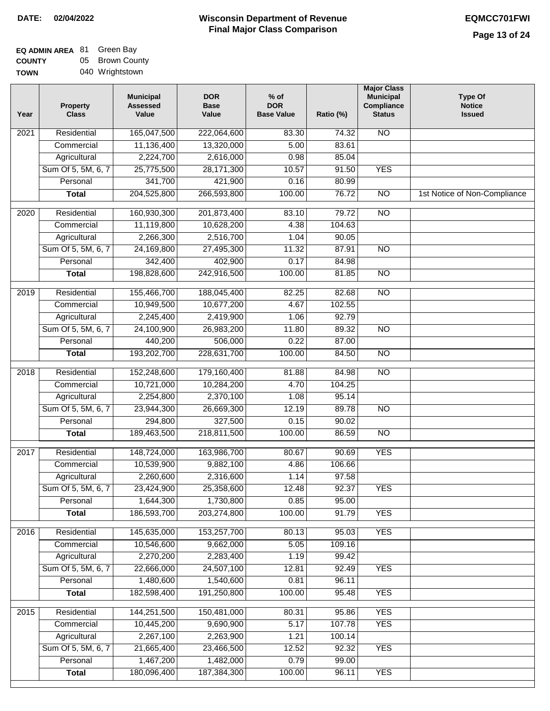| <b>EQ ADMIN AREA 81 Green Bay</b> |                 |
|-----------------------------------|-----------------|
| <b>COUNTY</b>                     | 05 Brown County |
| <b>TOWN</b>                       | 040 Wrightstown |

| Year              | <b>Property</b><br><b>Class</b> | <b>Municipal</b><br><b>Assessed</b><br>Value | <b>DOR</b><br><b>Base</b><br>Value | $%$ of<br><b>DOR</b><br><b>Base Value</b> | Ratio (%) | <b>Major Class</b><br><b>Municipal</b><br>Compliance<br><b>Status</b> | <b>Type Of</b><br><b>Notice</b><br><b>Issued</b> |
|-------------------|---------------------------------|----------------------------------------------|------------------------------------|-------------------------------------------|-----------|-----------------------------------------------------------------------|--------------------------------------------------|
| $\overline{202}1$ | Residential                     | 165,047,500                                  | 222,064,600                        | 83.30                                     | 74.32     | <b>NO</b>                                                             |                                                  |
|                   | Commercial                      | 11,136,400                                   | 13,320,000                         | 5.00                                      | 83.61     |                                                                       |                                                  |
|                   | Agricultural                    | 2,224,700                                    | 2,616,000                          | 0.98                                      | 85.04     |                                                                       |                                                  |
|                   | Sum Of 5, 5M, 6, 7              | 25,775,500                                   | 28,171,300                         | 10.57                                     | 91.50     | <b>YES</b>                                                            |                                                  |
|                   | Personal                        | 341,700                                      | 421,900                            | 0.16                                      | 80.99     |                                                                       |                                                  |
|                   | <b>Total</b>                    | 204,525,800                                  | 266,593,800                        | 100.00                                    | 76.72     | $\overline{NO}$                                                       | 1st Notice of Non-Compliance                     |
| $\overline{2020}$ | Residential                     | 160,930,300                                  | 201,873,400                        | 83.10                                     | 79.72     | <b>NO</b>                                                             |                                                  |
|                   | Commercial                      | 11,119,800                                   | 10,628,200                         | 4.38                                      | 104.63    |                                                                       |                                                  |
|                   | Agricultural                    | 2,266,300                                    | 2,516,700                          | 1.04                                      | 90.05     |                                                                       |                                                  |
|                   | Sum Of 5, 5M, 6, 7              | 24,169,800                                   | 27,495,300                         | 11.32                                     | 87.91     | $\overline{NO}$                                                       |                                                  |
|                   | Personal                        | 342,400                                      | 402,900                            | 0.17                                      | 84.98     |                                                                       |                                                  |
|                   | <b>Total</b>                    | 198,828,600                                  | 242,916,500                        | 100.00                                    | 81.85     | $\overline{NO}$                                                       |                                                  |
| 2019              | Residential                     | 155,466,700                                  | 188,045,400                        | 82.25                                     | 82.68     | $\overline{10}$                                                       |                                                  |
|                   | Commercial                      | 10,949,500                                   | 10,677,200                         | 4.67                                      | 102.55    |                                                                       |                                                  |
|                   | Agricultural                    | 2,245,400                                    | 2,419,900                          | 1.06                                      | 92.79     |                                                                       |                                                  |
|                   | Sum Of 5, 5M, 6, 7              | 24,100,900                                   | 26,983,200                         | 11.80                                     | 89.32     | $\overline{NO}$                                                       |                                                  |
|                   | Personal                        | 440,200                                      | 506,000                            | 0.22                                      | 87.00     |                                                                       |                                                  |
|                   | <b>Total</b>                    | 193,202,700                                  | 228,631,700                        | 100.00                                    | 84.50     | $\overline{NO}$                                                       |                                                  |
| 2018              | Residential                     | 152,248,600                                  | 179,160,400                        | 81.88                                     | 84.98     | $\overline{NO}$                                                       |                                                  |
|                   | Commercial                      | 10,721,000                                   | 10,284,200                         | 4.70                                      | 104.25    |                                                                       |                                                  |
|                   | Agricultural                    | 2,254,800                                    | 2,370,100                          | 1.08                                      | 95.14     |                                                                       |                                                  |
|                   | Sum Of 5, 5M, 6, 7              | 23,944,300                                   | 26,669,300                         | 12.19                                     | 89.78     | $\overline{10}$                                                       |                                                  |
|                   | Personal                        | 294,800                                      | 327,500                            | 0.15                                      | 90.02     |                                                                       |                                                  |
|                   | <b>Total</b>                    | 189,463,500                                  | 218,811,500                        | 100.00                                    | 86.59     | <b>NO</b>                                                             |                                                  |
|                   |                                 |                                              |                                    |                                           |           |                                                                       |                                                  |
| 2017              | Residential                     | 148,724,000                                  | 163,986,700                        | 80.67                                     | 90.69     | <b>YES</b>                                                            |                                                  |
|                   | Commercial                      | 10,539,900                                   | 9,882,100                          | 4.86                                      | 106.66    |                                                                       |                                                  |
|                   | Agricultural                    | 2,260,600                                    | 2,316,600                          | 1.14                                      | 97.58     |                                                                       |                                                  |
|                   | Sum Of 5, 5M, 6, 7              | 23,424,900                                   | 25,358,600                         | 12.48                                     | 92.37     | <b>YES</b>                                                            |                                                  |
|                   | Personal                        | 1,644,300                                    | 1,730,800                          | 0.85                                      | 95.00     |                                                                       |                                                  |
|                   | <b>Total</b>                    | 186,593,700                                  | 203,274,800                        | 100.00                                    | 91.79     | <b>YES</b>                                                            |                                                  |
| 2016              | Residential                     | 145,635,000                                  | 153,257,700                        | 80.13                                     | 95.03     | <b>YES</b>                                                            |                                                  |
|                   | Commercial                      | 10,546,600                                   | 9,662,000                          | 5.05                                      | 109.16    |                                                                       |                                                  |
|                   | Agricultural                    | 2,270,200                                    | 2,283,400                          | 1.19                                      | 99.42     |                                                                       |                                                  |
|                   | Sum Of 5, 5M, 6, 7              | 22,666,000                                   | 24,507,100                         | 12.81                                     | 92.49     | <b>YES</b>                                                            |                                                  |
|                   | Personal                        | 1,480,600                                    | 1,540,600                          | 0.81                                      | 96.11     |                                                                       |                                                  |
|                   | <b>Total</b>                    | 182,598,400                                  | 191,250,800                        | 100.00                                    | 95.48     | <b>YES</b>                                                            |                                                  |
| 2015              | Residential                     | 144,251,500                                  | 150,481,000                        | 80.31                                     | 95.86     | <b>YES</b>                                                            |                                                  |
|                   | Commercial                      | 10,445,200                                   | 9,690,900                          | 5.17                                      | 107.78    | <b>YES</b>                                                            |                                                  |
|                   | Agricultural                    | 2,267,100                                    | 2,263,900                          | 1.21                                      | 100.14    |                                                                       |                                                  |
|                   | Sum Of 5, 5M, 6, 7              | 21,665,400                                   | 23,466,500                         | 12.52                                     | 92.32     | <b>YES</b>                                                            |                                                  |
|                   | Personal                        | 1,467,200                                    | 1,482,000                          | 0.79                                      | 99.00     |                                                                       |                                                  |
|                   | <b>Total</b>                    | 180,096,400                                  | 187,384,300                        | 100.00                                    | 96.11     | <b>YES</b>                                                            |                                                  |
|                   |                                 |                                              |                                    |                                           |           |                                                                       |                                                  |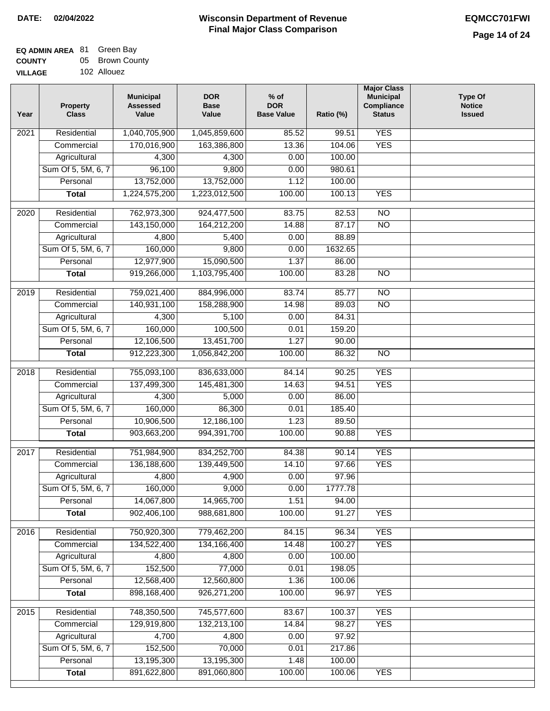### **EQ ADMIN AREA** 81 Green Bay **COUNTY VILLAG** 05 Brown County

| ЭE | 102 Allouez |  |
|----|-------------|--|
|    |             |  |

| Year              | <b>Property</b><br><b>Class</b>    | <b>DOR</b><br><b>Municipal</b><br><b>Assessed</b><br><b>Base</b><br>Value<br>Value |                 | $%$ of<br><b>DOR</b><br><b>Base Value</b><br>Ratio (%) |                | <b>Major Class</b><br><b>Municipal</b><br>Compliance<br><b>Status</b> | <b>Type Of</b><br><b>Notice</b><br><b>Issued</b> |
|-------------------|------------------------------------|------------------------------------------------------------------------------------|-----------------|--------------------------------------------------------|----------------|-----------------------------------------------------------------------|--------------------------------------------------|
| 2021              | Residential                        | 1,040,705,900                                                                      | 1,045,859,600   | 85.52                                                  | 99.51          | <b>YES</b>                                                            |                                                  |
|                   | Commercial                         | 170,016,900                                                                        | 163,386,800     | 13.36                                                  | 104.06         | <b>YES</b>                                                            |                                                  |
|                   | Agricultural                       | 4,300                                                                              | 4,300           | 0.00                                                   | 100.00         |                                                                       |                                                  |
|                   | Sum Of 5, 5M, 6, 7                 | 96,100                                                                             | 9,800           | 0.00                                                   | 980.61         |                                                                       |                                                  |
|                   | Personal                           | 13,752,000                                                                         | 13,752,000      | 1.12                                                   | 100.00         |                                                                       |                                                  |
|                   | <b>Total</b>                       | 1,224,575,200                                                                      | 1,223,012,500   | 100.00                                                 | 100.13         | <b>YES</b>                                                            |                                                  |
| 2020              | Residential                        | 762,973,300                                                                        | 924,477,500     | 83.75                                                  | 82.53          | $\overline{NO}$                                                       |                                                  |
|                   | Commercial                         | 143,150,000                                                                        | 164,212,200     | 14.88                                                  | 87.17          | $\overline{NO}$                                                       |                                                  |
|                   | Agricultural                       | 4,800                                                                              | 5,400           | 0.00                                                   | 88.89          |                                                                       |                                                  |
|                   | Sum Of 5, 5M, 6, 7                 | 160,000                                                                            | 9,800           | 0.00                                                   | 1632.65        |                                                                       |                                                  |
|                   | Personal                           | 12,977,900                                                                         | 15,090,500      | 1.37                                                   | 86.00          |                                                                       |                                                  |
|                   | <b>Total</b>                       | 919,266,000                                                                        | 1,103,795,400   | 100.00                                                 | 83.28          | $\overline{NO}$                                                       |                                                  |
| $\frac{1}{2019}$  | Residential                        | 759,021,400                                                                        | 884,996,000     | 83.74                                                  | 85.77          | $\overline{NO}$                                                       |                                                  |
|                   | Commercial                         | 140,931,100                                                                        | 158,288,900     | 14.98                                                  | 89.03          | $\overline{NO}$                                                       |                                                  |
|                   | Agricultural                       | 4,300                                                                              | 5,100           | 0.00                                                   | 84.31          |                                                                       |                                                  |
|                   | Sum Of 5, 5M, 6, 7                 | 160,000                                                                            | 100,500         | 0.01                                                   | 159.20         |                                                                       |                                                  |
|                   | Personal                           | 12,106,500                                                                         | 13,451,700      | 1.27                                                   | 90.00          |                                                                       |                                                  |
|                   | <b>Total</b>                       | 912,223,300                                                                        | 1,056,842,200   | 100.00                                                 | 86.32          | $\overline{NO}$                                                       |                                                  |
|                   |                                    |                                                                                    |                 |                                                        |                |                                                                       |                                                  |
| 2018              | Residential                        | 755,093,100                                                                        | 836,633,000     | 84.14                                                  | 90.25          | <b>YES</b>                                                            |                                                  |
|                   | Commercial                         | 137,499,300                                                                        | 145,481,300     | 14.63                                                  | 94.51          | <b>YES</b>                                                            |                                                  |
|                   | Agricultural                       | 4,300                                                                              | 5,000           | 0.00                                                   | 86.00          |                                                                       |                                                  |
|                   | Sum Of 5, 5M, 6, 7                 | 160,000                                                                            | 86,300          | 0.01                                                   | 185.40         |                                                                       |                                                  |
|                   | Personal                           | 10,906,500                                                                         | 12,186,100      | 1.23                                                   | 89.50          |                                                                       |                                                  |
|                   | <b>Total</b>                       | 903,663,200                                                                        | 994,391,700     | 100.00                                                 | 90.88          | <b>YES</b>                                                            |                                                  |
| $\overline{2017}$ | Residential                        | 751,984,900                                                                        | 834,252,700     | 84.38                                                  | 90.14          | <b>YES</b>                                                            |                                                  |
|                   | Commercial                         | 136,188,600                                                                        | 139,449,500     | 14.10                                                  | 97.66          | <b>YES</b>                                                            |                                                  |
|                   | Agricultural                       | 4,800                                                                              | 4,900           | 0.00                                                   | 97.96          |                                                                       |                                                  |
|                   | Sum Of 5, 5M, 6, 7                 | 160,000                                                                            | 9,000           | 0.00                                                   | 1777.78        |                                                                       |                                                  |
|                   | Personal                           | 14,067,800                                                                         | 14,965,700      | 1.51                                                   | 94.00          |                                                                       |                                                  |
|                   | <b>Total</b>                       | 902,406,100                                                                        | 988,681,800     | 100.00                                                 | 91.27          | <b>YES</b>                                                            |                                                  |
| 2016              | Residential                        | 750,920,300                                                                        | 779,462,200     | 84.15                                                  | 96.34          | <b>YES</b>                                                            |                                                  |
|                   | Commercial                         | 134,522,400                                                                        | 134, 166, 400   | 14.48                                                  | 100.27         | <b>YES</b>                                                            |                                                  |
|                   | Agricultural                       | 4,800                                                                              | 4,800           | 0.00                                                   | 100.00         |                                                                       |                                                  |
|                   | Sum Of 5, 5M, 6, 7                 | 152,500                                                                            | 77,000          | 0.01                                                   | 198.05         |                                                                       |                                                  |
|                   | Personal                           | 12,568,400                                                                         | 12,560,800      | 1.36                                                   | 100.06         |                                                                       |                                                  |
|                   | <b>Total</b>                       | 898,168,400                                                                        | 926, 271, 200   | 100.00                                                 | 96.97          | <b>YES</b>                                                            |                                                  |
|                   |                                    |                                                                                    |                 |                                                        |                |                                                                       |                                                  |
| 2015              | Residential                        | 748,350,500                                                                        | 745,577,600     | 83.67                                                  | 100.37         | <b>YES</b>                                                            |                                                  |
|                   | Commercial                         | 129,919,800<br>4,700                                                               | 132,213,100     | 14.84                                                  | 98.27<br>97.92 | <b>YES</b>                                                            |                                                  |
|                   | Agricultural<br>Sum Of 5, 5M, 6, 7 |                                                                                    | 4,800<br>70,000 | 0.00<br>0.01                                           | 217.86         |                                                                       |                                                  |
|                   | Personal                           | 152,500<br>13,195,300                                                              | 13,195,300      | 1.48                                                   | 100.00         |                                                                       |                                                  |
|                   | <b>Total</b>                       | 891,622,800                                                                        | 891,060,800     | 100.00                                                 | 100.06         | <b>YES</b>                                                            |                                                  |
|                   |                                    |                                                                                    |                 |                                                        |                |                                                                       |                                                  |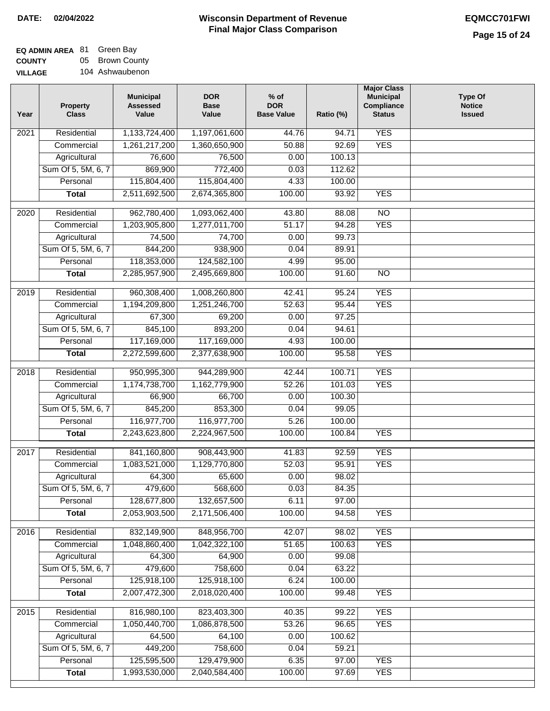| EQ ADMIN AREA 81 Green Bay |                 |
|----------------------------|-----------------|
| <b>COUNTY</b>              | 05 Brown County |
| <b>VILLAGE</b>             | 104 Ashwaubenon |

| Year              | <b>Property</b><br><b>Class</b>    | <b>Municipal</b><br><b>Assessed</b><br>Value | <b>DOR</b><br><b>Base</b><br>Value | $%$ of<br><b>DOR</b><br><b>Base Value</b> | Ratio (%)      | <b>Major Class</b><br><b>Municipal</b><br>Compliance<br><b>Status</b> | Type Of<br><b>Notice</b><br><b>Issued</b> |
|-------------------|------------------------------------|----------------------------------------------|------------------------------------|-------------------------------------------|----------------|-----------------------------------------------------------------------|-------------------------------------------|
| 2021              | Residential                        | 1,133,724,400                                | 1,197,061,600                      | 44.76                                     | 94.71          | <b>YES</b>                                                            |                                           |
|                   | Commercial                         | 1,261,217,200                                | 1,360,650,900                      | 50.88                                     | 92.69          | <b>YES</b>                                                            |                                           |
|                   | Agricultural                       | 76,600                                       | 76,500                             | 0.00                                      | 100.13         |                                                                       |                                           |
|                   | Sum Of 5, 5M, 6, 7                 | 869,900                                      | 772,400                            | 0.03                                      | 112.62         |                                                                       |                                           |
|                   | Personal                           | 115,804,400                                  | 115,804,400                        | 4.33                                      | 100.00         |                                                                       |                                           |
|                   | <b>Total</b>                       | 2,511,692,500                                | 2,674,365,800                      | 100.00                                    | 93.92          | <b>YES</b>                                                            |                                           |
| 2020              | Residential                        | 962,780,400                                  | 1,093,062,400                      | 43.80                                     | 88.08          | $\overline{NO}$                                                       |                                           |
|                   | Commercial                         | 1,203,905,800                                | 1,277,011,700                      | 51.17                                     | 94.28          | <b>YES</b>                                                            |                                           |
|                   | Agricultural                       | 74,500                                       | 74,700                             | 0.00                                      | 99.73          |                                                                       |                                           |
|                   | Sum Of 5, 5M, 6, 7                 | 844,200                                      | 938,900                            | 0.04                                      | 89.91          |                                                                       |                                           |
|                   | Personal                           | 118,353,000                                  | 124,582,100                        | 4.99                                      | 95.00          |                                                                       |                                           |
|                   | <b>Total</b>                       | 2,285,957,900                                | 2,495,669,800                      | 100.00                                    | 91.60          | $\overline{NO}$                                                       |                                           |
|                   |                                    |                                              |                                    |                                           |                |                                                                       |                                           |
| 2019              | Residential                        | 960,308,400                                  | 1,008,260,800                      | 42.41                                     | 95.24          | <b>YES</b>                                                            |                                           |
|                   | Commercial                         | 1,194,209,800                                | 1,251,246,700                      | 52.63                                     | 95.44          | <b>YES</b>                                                            |                                           |
|                   | Agricultural                       | 67,300                                       | 69,200                             | 0.00                                      | 97.25          |                                                                       |                                           |
|                   | Sum Of 5, 5M, 6, 7                 | 845,100                                      | 893,200                            | 0.04                                      | 94.61          |                                                                       |                                           |
|                   | Personal                           | 117,169,000                                  | 117,169,000                        | 4.93                                      | 100.00         |                                                                       |                                           |
|                   | <b>Total</b>                       | 2,272,599,600                                | 2,377,638,900                      | 100.00                                    | 95.58          | <b>YES</b>                                                            |                                           |
| 2018              | Residential                        | 950,995,300                                  | 944,289,900                        | 42.44                                     | 100.71         | <b>YES</b>                                                            |                                           |
|                   | Commercial                         | 1,174,738,700                                | 1,162,779,900                      | 52.26                                     | 101.03         | <b>YES</b>                                                            |                                           |
|                   | Agricultural                       | 66,900                                       | 66,700                             | 0.00                                      | 100.30         |                                                                       |                                           |
|                   | Sum Of 5, 5M, 6, 7                 | 845,200                                      | 853,300                            | 0.04                                      | 99.05          |                                                                       |                                           |
|                   | Personal                           | 116,977,700                                  | 116,977,700                        | 5.26                                      | 100.00         |                                                                       |                                           |
|                   | <b>Total</b>                       | 2,243,623,800                                | 2,224,967,500                      | 100.00                                    | 100.84         | <b>YES</b>                                                            |                                           |
| $\overline{2017}$ | Residential                        | 841,160,800                                  | 908,443,900                        | 41.83                                     | 92.59          | <b>YES</b>                                                            |                                           |
|                   | Commercial                         | 1,083,521,000                                | 1,129,770,800                      | 52.03                                     | 95.91          | <b>YES</b>                                                            |                                           |
|                   | Agricultural                       | 64,300                                       | 65,600                             | 0.00                                      | 98.02          |                                                                       |                                           |
|                   | Sum Of 5, 5M, 6, 7                 | 479,600                                      | 568,600                            | 0.03                                      | 84.35          |                                                                       |                                           |
|                   | Personal                           | 128,677,800                                  | 132,657,500                        | 6.11                                      | 97.00          |                                                                       |                                           |
|                   | <b>Total</b>                       | 2,053,903,500                                | 2,171,506,400                      | 100.00                                    | 94.58          | <b>YES</b>                                                            |                                           |
|                   |                                    |                                              |                                    |                                           |                |                                                                       |                                           |
| 2016              | Residential                        | 832,149,900                                  | 848,956,700                        | 42.07                                     | 98.02          | <b>YES</b>                                                            |                                           |
|                   | Commercial                         | 1,048,860,400                                | 1,042,322,100                      | 51.65                                     | 100.63         | <b>YES</b>                                                            |                                           |
|                   | Agricultural<br>Sum Of 5, 5M, 6, 7 | 64,300<br>479,600                            | 64,900<br>758,600                  | 0.00<br>0.04                              | 99.08<br>63.22 |                                                                       |                                           |
|                   | Personal                           | 125,918,100                                  | 125,918,100                        | 6.24                                      | 100.00         |                                                                       |                                           |
|                   | <b>Total</b>                       | 2,007,472,300                                | 2,018,020,400                      | 100.00                                    | 99.48          | <b>YES</b>                                                            |                                           |
|                   |                                    |                                              |                                    |                                           |                |                                                                       |                                           |
| 2015              | Residential                        | 816,980,100                                  | 823,403,300                        | 40.35                                     | 99.22          | <b>YES</b>                                                            |                                           |
|                   | Commercial                         | 1,050,440,700                                | 1,086,878,500                      | 53.26                                     | 96.65          | <b>YES</b>                                                            |                                           |
|                   | Agricultural                       | 64,500                                       | 64,100                             | 0.00                                      | 100.62         |                                                                       |                                           |
|                   | Sum Of 5, 5M, 6, 7                 | 449,200                                      | 758,600                            | 0.04                                      | 59.21          |                                                                       |                                           |
|                   | Personal                           | 125,595,500                                  | 129,479,900                        | 6.35                                      | 97.00          | <b>YES</b>                                                            |                                           |
|                   | <b>Total</b>                       | 1,993,530,000                                | 2,040,584,400                      | 100.00                                    | 97.69          | <b>YES</b>                                                            |                                           |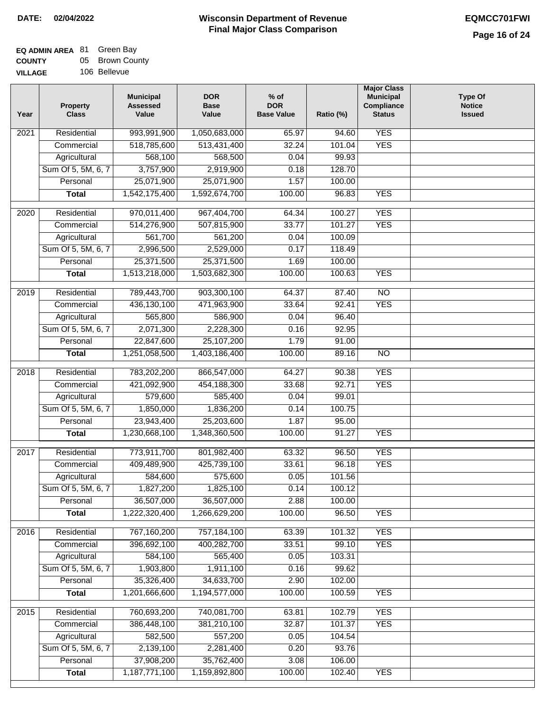### **EQ ADMIN AREA** 81 Green Bay **COUNTY VILLAGE** 05 Brown County

106 Bellevue

| Year              | <b>Property</b><br><b>Class</b>    | <b>Municipal</b><br><b>Assessed</b><br>Value | <b>DOR</b><br><b>Base</b><br>Value | % of<br><b>DOR</b><br><b>Base Value</b> | Ratio (%)        | <b>Major Class</b><br><b>Municipal</b><br>Compliance<br><b>Status</b> | <b>Type Of</b><br><b>Notice</b><br><b>Issued</b> |
|-------------------|------------------------------------|----------------------------------------------|------------------------------------|-----------------------------------------|------------------|-----------------------------------------------------------------------|--------------------------------------------------|
| $\overline{202}1$ | Residential                        | 993,991,900                                  | 1,050,683,000                      | 65.97                                   | 94.60            | <b>YES</b>                                                            |                                                  |
|                   | Commercial                         | 518,785,600                                  | 513,431,400                        | 32.24                                   | 101.04           | <b>YES</b>                                                            |                                                  |
|                   | Agricultural                       | 568,100                                      | 568,500                            | 0.04                                    | 99.93            |                                                                       |                                                  |
|                   | Sum Of 5, 5M, 6, 7                 | 3,757,900                                    | 2,919,900                          | 0.18                                    | 128.70           |                                                                       |                                                  |
|                   | Personal                           | 25,071,900                                   | 25,071,900                         | 1.57                                    | 100.00           |                                                                       |                                                  |
|                   | <b>Total</b>                       | 1,542,175,400                                | 1,592,674,700                      | 100.00                                  | 96.83            | <b>YES</b>                                                            |                                                  |
| $\overline{2020}$ | Residential                        | 970,011,400                                  | 967,404,700                        | 64.34                                   | 100.27           | <b>YES</b>                                                            |                                                  |
|                   | Commercial                         | 514,276,900                                  | 507,815,900                        | 33.77                                   | 101.27           | <b>YES</b>                                                            |                                                  |
|                   | Agricultural                       | 561,700                                      | 561,200                            | 0.04                                    | 100.09           |                                                                       |                                                  |
|                   | Sum Of 5, 5M, 6, 7                 | 2,996,500                                    | 2,529,000                          | 0.17                                    | 118.49           |                                                                       |                                                  |
|                   | Personal                           | 25,371,500                                   | 25,371,500                         | 1.69                                    | 100.00           |                                                                       |                                                  |
|                   | <b>Total</b>                       | 1,513,218,000                                | 1,503,682,300                      | 100.00                                  | 100.63           | <b>YES</b>                                                            |                                                  |
|                   |                                    |                                              |                                    |                                         |                  |                                                                       |                                                  |
| $\frac{1}{2019}$  | Residential                        | 789,443,700                                  | 903,300,100                        | 64.37                                   | 87.40            | $\overline{3}$                                                        |                                                  |
|                   | Commercial                         | 436,130,100                                  | 471,963,900                        | 33.64                                   | 92.41            | <b>YES</b>                                                            |                                                  |
|                   | Agricultural                       | 565,800                                      | 586,900                            | 0.04                                    | 96.40            |                                                                       |                                                  |
|                   | Sum Of 5, 5M, 6, 7                 | 2,071,300                                    | 2,228,300                          | 0.16                                    | 92.95            |                                                                       |                                                  |
|                   | Personal                           | 22,847,600                                   | 25,107,200                         | 1.79                                    | 91.00            |                                                                       |                                                  |
|                   | <b>Total</b>                       | 1,251,058,500                                | 1,403,186,400                      | 100.00                                  | 89.16            | $\overline{NO}$                                                       |                                                  |
| 2018              | Residential                        | 783,202,200                                  | 866,547,000                        | 64.27                                   | 90.38            | <b>YES</b>                                                            |                                                  |
|                   | Commercial                         | 421,092,900                                  | 454,188,300                        | 33.68                                   | 92.71            | <b>YES</b>                                                            |                                                  |
|                   | Agricultural                       | 579,600                                      | 585,400                            | 0.04                                    | 99.01            |                                                                       |                                                  |
|                   | Sum Of 5, 5M, 6, 7                 | 1,850,000                                    | 1,836,200                          | 0.14                                    | 100.75           |                                                                       |                                                  |
|                   | Personal                           | 23,943,400                                   | 25,203,600                         | 1.87                                    | 95.00            |                                                                       |                                                  |
|                   | <b>Total</b>                       | 1,230,668,100                                | 1,348,360,500                      | 100.00                                  | 91.27            | <b>YES</b>                                                            |                                                  |
| $\overline{2017}$ | Residential                        | 773,911,700                                  | 801,982,400                        | 63.32                                   | 96.50            | <b>YES</b>                                                            |                                                  |
|                   | Commercial                         | 409,489,900                                  | 425,739,100                        | 33.61                                   | 96.18            | <b>YES</b>                                                            |                                                  |
|                   | Agricultural                       | 584,600                                      | 575,600                            | 0.05                                    | 101.56           |                                                                       |                                                  |
|                   | Sum Of 5, 5M, 6, 7                 | 1,827,200                                    | 1,825,100                          | 0.14                                    | 100.12           |                                                                       |                                                  |
|                   | Personal                           | 36,507,000                                   | 36,507,000                         | 2.88                                    | 100.00           |                                                                       |                                                  |
|                   | <b>Total</b>                       | 1,222,320,400                                | 1,266,629,200                      | 100.00                                  | 96.50            | <b>YES</b>                                                            |                                                  |
| 2016              | Residential                        | 767,160,200                                  | 757,184,100                        | 63.39                                   | 101.32           | <b>YES</b>                                                            |                                                  |
|                   | Commercial                         | 396,692,100                                  | 400,282,700                        | 33.51                                   | 99.10            | <b>YES</b>                                                            |                                                  |
|                   | Agricultural                       | 584,100                                      | 565,400                            | 0.05                                    | 103.31           |                                                                       |                                                  |
|                   | Sum Of 5, 5M, 6, 7                 | 1,903,800                                    | 1,911,100                          | 0.16                                    | 99.62            |                                                                       |                                                  |
|                   | Personal                           | 35,326,400                                   | 34,633,700                         | 2.90                                    | 102.00           |                                                                       |                                                  |
|                   | <b>Total</b>                       | 1,201,666,600                                | 1,194,577,000                      | 100.00                                  | 100.59           | <b>YES</b>                                                            |                                                  |
|                   |                                    |                                              |                                    |                                         |                  |                                                                       |                                                  |
| 2015              | Residential                        | 760,693,200                                  | 740,081,700                        | 63.81                                   | 102.79           | <b>YES</b>                                                            |                                                  |
|                   | Commercial                         | 386,448,100<br>582,500                       | 381,210,100<br>557,200             | 32.87<br>0.05                           | 101.37<br>104.54 | <b>YES</b>                                                            |                                                  |
|                   | Agricultural<br>Sum Of 5, 5M, 6, 7 |                                              |                                    | 0.20                                    |                  |                                                                       |                                                  |
|                   | Personal                           | 2,139,100<br>37,908,200                      | 2,281,400<br>35,762,400            | 3.08                                    | 93.76<br>106.00  |                                                                       |                                                  |
|                   | <b>Total</b>                       | 1,187,771,100                                | 1,159,892,800                      | 100.00                                  | 102.40           | <b>YES</b>                                                            |                                                  |
|                   |                                    |                                              |                                    |                                         |                  |                                                                       |                                                  |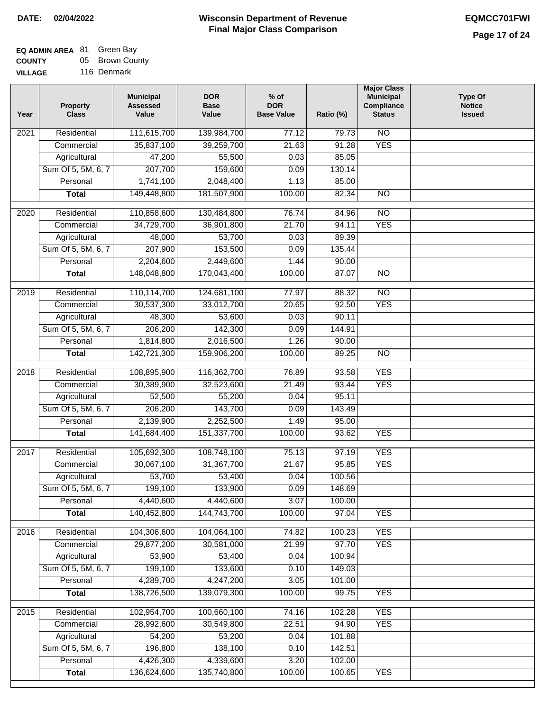#### **EQ ADMIN AREA** 81 Green Bay **COUNTY** 05 Brown County

**VILLAGE** 116 Denmark

| Year              | <b>Property</b><br><b>Class</b> | <b>DOR</b><br><b>Municipal</b><br><b>Assessed</b><br><b>Base</b><br>Value<br>Value |                      | % of<br><b>DOR</b><br><b>Base Value</b><br>Ratio (%) |                | <b>Major Class</b><br><b>Municipal</b><br>Compliance<br><b>Status</b> | <b>Type Of</b><br><b>Notice</b><br><b>Issued</b> |
|-------------------|---------------------------------|------------------------------------------------------------------------------------|----------------------|------------------------------------------------------|----------------|-----------------------------------------------------------------------|--------------------------------------------------|
| $\overline{202}1$ | Residential                     | 111,615,700                                                                        | 139,984,700          | 77.12                                                | 79.73          | $\overline{NO}$                                                       |                                                  |
|                   | Commercial                      | 35,837,100                                                                         | 39,259,700           | 21.63                                                | 91.28          | <b>YES</b>                                                            |                                                  |
|                   | Agricultural                    | 47,200                                                                             | 55,500               | 0.03                                                 | 85.05          |                                                                       |                                                  |
|                   | Sum Of 5, 5M, 6, 7              | 207,700                                                                            | 159,600              | 0.09                                                 | 130.14         |                                                                       |                                                  |
|                   | Personal                        | 1,741,100                                                                          | 2,048,400            | 1.13                                                 | 85.00          |                                                                       |                                                  |
|                   | <b>Total</b>                    | 149,448,800                                                                        | 181,507,900          | 100.00                                               | 82.34          | $\overline{NO}$                                                       |                                                  |
| $\overline{2020}$ | Residential                     | 110,858,600                                                                        | 130,484,800          | 76.74                                                | 84.96          | $\overline{NO}$                                                       |                                                  |
|                   | Commercial                      | 34,729,700                                                                         | 36,901,800           | 21.70                                                | 94.11          | <b>YES</b>                                                            |                                                  |
|                   | Agricultural                    | 48,000                                                                             | 53,700               | 0.03                                                 | 89.39          |                                                                       |                                                  |
|                   | Sum Of 5, 5M, 6, 7              | 207,900                                                                            | 153,500              | 0.09                                                 | 135.44         |                                                                       |                                                  |
|                   | Personal                        | 2,204,600                                                                          | 2,449,600            | 1.44                                                 | 90.00          |                                                                       |                                                  |
|                   | <b>Total</b>                    | 148,048,800                                                                        | 170,043,400          | 100.00                                               | 87.07          | $\overline{NO}$                                                       |                                                  |
|                   |                                 |                                                                                    |                      |                                                      |                |                                                                       |                                                  |
| 2019              | Residential                     | 110,114,700                                                                        | 124,681,100          | 77.97                                                | 88.32          | $\overline{N}$                                                        |                                                  |
|                   | Commercial                      | 30,537,300                                                                         | 33,012,700           | 20.65                                                | 92.50          | <b>YES</b>                                                            |                                                  |
|                   | Agricultural                    | 48,300                                                                             | 53,600               | 0.03                                                 | 90.11          |                                                                       |                                                  |
|                   | Sum Of 5, 5M, 6, 7              | 206,200                                                                            | 142,300              | 0.09                                                 | 144.91         |                                                                       |                                                  |
|                   | Personal                        | 1,814,800                                                                          | 2,016,500            | 1.26                                                 | 90.00          |                                                                       |                                                  |
|                   | <b>Total</b>                    | 142,721,300                                                                        | 159,906,200          | 100.00                                               | 89.25          | $\overline{NO}$                                                       |                                                  |
| 2018              | Residential                     | 108,895,900                                                                        | 116,362,700          | 76.89                                                | 93.58          | <b>YES</b>                                                            |                                                  |
|                   | Commercial                      | 30,389,900                                                                         | 32,523,600           | 21.49                                                | 93.44          | <b>YES</b>                                                            |                                                  |
|                   | Agricultural                    | 52,500                                                                             | 55,200               | 0.04                                                 | 95.11          |                                                                       |                                                  |
|                   | Sum Of 5, 5M, 6, 7              | 206,200                                                                            | 143,700              | 0.09                                                 | 143.49         |                                                                       |                                                  |
|                   | Personal                        | 2,139,900                                                                          | 2,252,500            | 1.49                                                 | 95.00          |                                                                       |                                                  |
|                   | <b>Total</b>                    | 141,684,400                                                                        | 151,337,700          | 100.00                                               | 93.62          | <b>YES</b>                                                            |                                                  |
|                   |                                 |                                                                                    | 108,748,100          |                                                      |                |                                                                       |                                                  |
| 2017              | Residential<br>Commercial       | 105,692,300                                                                        |                      | 75.13<br>21.67                                       | 97.19<br>95.85 | <b>YES</b><br><b>YES</b>                                              |                                                  |
|                   | Agricultural                    | 30,067,100<br>53,700                                                               | 31,367,700<br>53,400 | 0.04                                                 | 100.56         |                                                                       |                                                  |
|                   | Sum Of 5, 5M, 6, 7              | 199,100                                                                            | 133,900              | 0.09                                                 | 148.69         |                                                                       |                                                  |
|                   | Personal                        | 4,440,600                                                                          | 4,440,600            | 3.07                                                 | 100.00         |                                                                       |                                                  |
|                   | <b>Total</b>                    | 140,452,800                                                                        | 144,743,700          | 100.00                                               | 97.04          | <b>YES</b>                                                            |                                                  |
|                   |                                 |                                                                                    |                      |                                                      |                |                                                                       |                                                  |
| 2016              | Residential                     | 104,306,600                                                                        | 104,064,100          | 74.82                                                | 100.23         | <b>YES</b>                                                            |                                                  |
|                   | Commercial                      | 29,877,200                                                                         | 30,581,000           | 21.99                                                | 97.70          | <b>YES</b>                                                            |                                                  |
|                   | Agricultural                    | 53,900                                                                             | 53,400               | 0.04                                                 | 100.94         |                                                                       |                                                  |
|                   | Sum Of 5, 5M, 6, 7              | 199,100                                                                            | 133,600              | 0.10                                                 | 149.03         |                                                                       |                                                  |
|                   | Personal                        | 4,289,700                                                                          | 4,247,200            | 3.05                                                 | 101.00         |                                                                       |                                                  |
|                   | <b>Total</b>                    | 138,726,500                                                                        | 139,079,300          | 100.00                                               | 99.75          | <b>YES</b>                                                            |                                                  |
| 2015              | Residential                     | 102,954,700                                                                        | 100,660,100          | 74.16                                                | 102.28         | <b>YES</b>                                                            |                                                  |
|                   | Commercial                      | 28,992,600                                                                         | 30,549,800           | 22.51                                                | 94.90          | <b>YES</b>                                                            |                                                  |
|                   | Agricultural                    | 54,200                                                                             | 53,200               | 0.04                                                 | 101.88         |                                                                       |                                                  |
|                   | Sum Of 5, 5M, 6, 7              | 196,800                                                                            | 138,100              | 0.10                                                 | 142.51         |                                                                       |                                                  |
|                   | Personal                        | 4,426,300                                                                          | 4,339,600            | 3.20                                                 | 102.00         |                                                                       |                                                  |
|                   | <b>Total</b>                    | 136,624,600                                                                        | 135,740,800          | 100.00                                               | 100.65         | <b>YES</b>                                                            |                                                  |
|                   |                                 |                                                                                    |                      |                                                      |                |                                                                       |                                                  |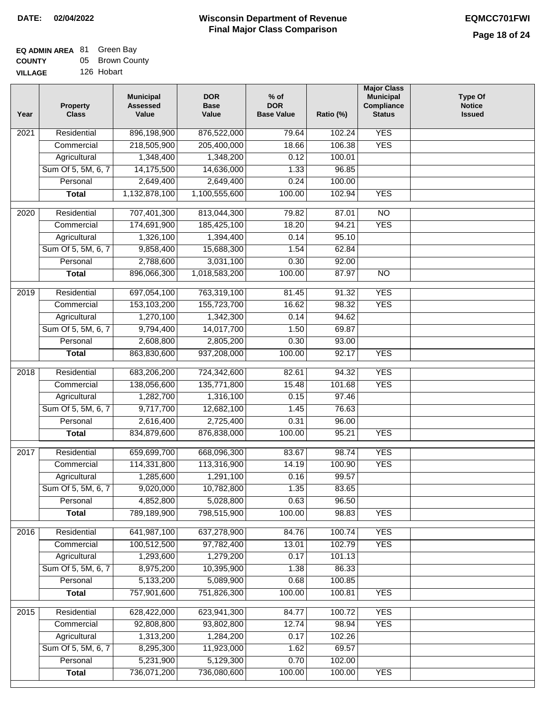#### **EQ ADMIN AREA** 81 Green Bay **COUNTY VILLAGE** 05 Brown County 126 Hobart

| Year              | <b>Property</b><br><b>Class</b> | <b>Municipal</b><br><b>Assessed</b><br>Value | <b>DOR</b><br><b>Base</b><br>Value | $%$ of<br><b>DOR</b><br><b>Base Value</b> | Ratio (%) | <b>Major Class</b><br><b>Municipal</b><br>Compliance<br><b>Status</b> | <b>Type Of</b><br><b>Notice</b><br><b>Issued</b> |
|-------------------|---------------------------------|----------------------------------------------|------------------------------------|-------------------------------------------|-----------|-----------------------------------------------------------------------|--------------------------------------------------|
| 2021              | Residential                     | 896,198,900                                  | 876,522,000                        | 79.64                                     | 102.24    | <b>YES</b>                                                            |                                                  |
|                   | Commercial                      | 218,505,900                                  | 205,400,000                        | 18.66                                     | 106.38    | <b>YES</b>                                                            |                                                  |
|                   | Agricultural                    | 1,348,400                                    | 1,348,200                          | 0.12                                      | 100.01    |                                                                       |                                                  |
|                   | Sum Of 5, 5M, 6, 7              | 14,175,500                                   | 14,636,000                         | 1.33                                      | 96.85     |                                                                       |                                                  |
|                   | Personal                        | 2,649,400                                    | 2,649,400                          | 0.24                                      | 100.00    |                                                                       |                                                  |
|                   | <b>Total</b>                    | 1,132,878,100                                | 1,100,555,600                      | 100.00                                    | 102.94    | <b>YES</b>                                                            |                                                  |
| $\overline{2020}$ | Residential                     | 707,401,300                                  | 813,044,300                        | 79.82                                     | 87.01     | $\overline{NO}$                                                       |                                                  |
|                   | Commercial                      | 174,691,900                                  | 185,425,100                        | 18.20                                     | 94.21     | <b>YES</b>                                                            |                                                  |
|                   | Agricultural                    | 1,326,100                                    | 1,394,400                          | 0.14                                      | 95.10     |                                                                       |                                                  |
|                   | Sum Of 5, 5M, 6, 7              | 9,858,400                                    | 15,688,300                         | 1.54                                      | 62.84     |                                                                       |                                                  |
|                   | Personal                        | 2,788,600                                    | 3,031,100                          | 0.30                                      | 92.00     |                                                                       |                                                  |
|                   | <b>Total</b>                    | 896,066,300                                  | 1,018,583,200                      | 100.00                                    | 87.97     | $\overline{NO}$                                                       |                                                  |
|                   |                                 |                                              |                                    |                                           |           |                                                                       |                                                  |
| $\frac{1}{2019}$  | Residential                     | 697,054,100                                  | 763,319,100                        | 81.45                                     | 91.32     | <b>YES</b>                                                            |                                                  |
|                   | Commercial                      | 153,103,200                                  | 155,723,700                        | 16.62                                     | 98.32     | <b>YES</b>                                                            |                                                  |
|                   | Agricultural                    | 1,270,100                                    | 1,342,300                          | 0.14                                      | 94.62     |                                                                       |                                                  |
|                   | Sum Of 5, 5M, 6, 7              | 9,794,400                                    | 14,017,700                         | 1.50                                      | 69.87     |                                                                       |                                                  |
|                   | Personal                        | 2,608,800                                    | 2,805,200                          | 0.30                                      | 93.00     |                                                                       |                                                  |
|                   | <b>Total</b>                    | 863,830,600                                  | 937,208,000                        | 100.00                                    | 92.17     | <b>YES</b>                                                            |                                                  |
| 2018              | Residential                     | 683,206,200                                  | 724,342,600                        | 82.61                                     | 94.32     | <b>YES</b>                                                            |                                                  |
|                   | Commercial                      | 138,056,600                                  | 135,771,800                        | 15.48                                     | 101.68    | <b>YES</b>                                                            |                                                  |
|                   | Agricultural                    | 1,282,700                                    | 1,316,100                          | 0.15                                      | 97.46     |                                                                       |                                                  |
|                   | Sum Of 5, 5M, 6, 7              | 9,717,700                                    | 12,682,100                         | 1.45                                      | 76.63     |                                                                       |                                                  |
|                   | Personal                        | 2,616,400                                    | 2,725,400                          | 0.31                                      | 96.00     |                                                                       |                                                  |
|                   | <b>Total</b>                    | 834,879,600                                  | 876,838,000                        | 100.00                                    | 95.21     | <b>YES</b>                                                            |                                                  |
| $\overline{2017}$ | Residential                     | 659,699,700                                  | 668,096,300                        | 83.67                                     | 98.74     | <b>YES</b>                                                            |                                                  |
|                   | Commercial                      | 114,331,800                                  | 113,316,900                        | 14.19                                     | 100.90    | <b>YES</b>                                                            |                                                  |
|                   | Agricultural                    | 1,285,600                                    | 1,291,100                          | 0.16                                      | 99.57     |                                                                       |                                                  |
|                   | Sum Of 5, 5M, 6, 7              | 9,020,000                                    | 10,782,800                         | 1.35                                      | 83.65     |                                                                       |                                                  |
|                   | Personal                        | 4,852,800                                    | 5,028,800                          | 0.63                                      | 96.50     |                                                                       |                                                  |
|                   | <b>Total</b>                    | 789,189,900                                  | 798,515,900                        | 100.00                                    | 98.83     | <b>YES</b>                                                            |                                                  |
| 2016              | Residential                     | 641,987,100                                  | 637,278,900                        | 84.76                                     | 100.74    | <b>YES</b>                                                            |                                                  |
|                   | Commercial                      | 100,512,500                                  | 97,782,400                         | 13.01                                     | 102.79    | <b>YES</b>                                                            |                                                  |
|                   | Agricultural                    | 1,293,600                                    | 1,279,200                          | 0.17                                      | 101.13    |                                                                       |                                                  |
|                   | Sum Of 5, 5M, 6, 7              | 8,975,200                                    | 10,395,900                         | 1.38                                      | 86.33     |                                                                       |                                                  |
|                   | Personal                        | 5,133,200                                    | 5,089,900                          | 0.68                                      | 100.85    |                                                                       |                                                  |
|                   | <b>Total</b>                    | 757,901,600                                  | 751,826,300                        | 100.00                                    | 100.81    | <b>YES</b>                                                            |                                                  |
|                   |                                 |                                              |                                    |                                           |           |                                                                       |                                                  |
| 2015              | Residential                     | 628,422,000                                  | 623,941,300                        | 84.77                                     | 100.72    | <b>YES</b>                                                            |                                                  |
|                   | Commercial                      | 92,808,800                                   | 93,802,800                         | 12.74                                     | 98.94     | <b>YES</b>                                                            |                                                  |
|                   | Agricultural                    | 1,313,200                                    | 1,284,200                          | 0.17                                      | 102.26    |                                                                       |                                                  |
|                   | Sum Of 5, 5M, 6, 7              | 8,295,300                                    | 11,923,000                         | 1.62                                      | 69.57     |                                                                       |                                                  |
|                   | Personal                        | 5,231,900                                    | 5,129,300                          | 0.70                                      | 102.00    |                                                                       |                                                  |
|                   | <b>Total</b>                    | 736,071,200                                  | 736,080,600                        | 100.00                                    | 100.00    | <b>YES</b>                                                            |                                                  |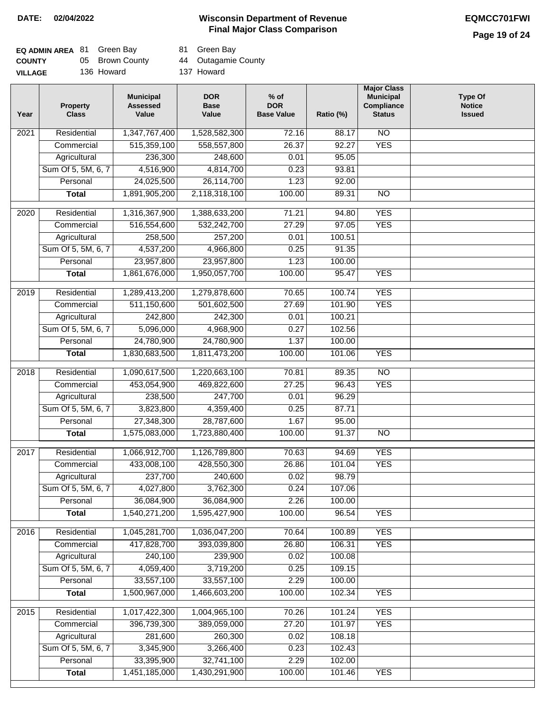# **Page 19 of 24**

| <b>EQ ADMIN AREA 81 Green Bay</b> |                 | 81 Green E |
|-----------------------------------|-----------------|------------|
| <b>COUNTY</b>                     | 05 Brown County | 44 Outagar |
| <b>VILLAGE</b>                    | 136 Howard      | 137 Howard |

81 Green Bay

05 Brown County 44 Outagamie County

| Year              | <b>Property</b><br><b>Class</b> | <b>Municipal</b><br><b>Assessed</b><br>Value | <b>DOR</b><br><b>Base</b><br>Value | $%$ of<br><b>DOR</b><br><b>Base Value</b> | Ratio (%) | <b>Major Class</b><br><b>Municipal</b><br>Compliance<br><b>Status</b> | <b>Type Of</b><br><b>Notice</b><br><b>Issued</b> |
|-------------------|---------------------------------|----------------------------------------------|------------------------------------|-------------------------------------------|-----------|-----------------------------------------------------------------------|--------------------------------------------------|
| $\overline{202}1$ | Residential                     | 1,347,767,400                                | 1,528,582,300                      | 72.16                                     | 88.17     | $\overline{NO}$                                                       |                                                  |
|                   | Commercial                      | 515,359,100                                  | 558,557,800                        | 26.37                                     | 92.27     | <b>YES</b>                                                            |                                                  |
|                   | Agricultural                    | 236,300                                      | 248,600                            | 0.01                                      | 95.05     |                                                                       |                                                  |
|                   | Sum Of 5, 5M, 6, 7              | 4,516,900                                    | 4,814,700                          | 0.23                                      | 93.81     |                                                                       |                                                  |
|                   | Personal                        | 24,025,500                                   | 26,114,700                         | 1.23                                      | 92.00     |                                                                       |                                                  |
|                   | <b>Total</b>                    | 1,891,905,200                                | 2,118,318,100                      | 100.00                                    | 89.31     | <b>NO</b>                                                             |                                                  |
| $\overline{2020}$ | Residential                     | 1,316,367,900                                | 1,388,633,200                      | 71.21                                     | 94.80     | <b>YES</b>                                                            |                                                  |
|                   | Commercial                      | 516,554,600                                  | 532,242,700                        | 27.29                                     | 97.05     | <b>YES</b>                                                            |                                                  |
|                   | Agricultural                    | 258,500                                      | 257,200                            | 0.01                                      | 100.51    |                                                                       |                                                  |
|                   | Sum Of 5, 5M, 6, 7              | 4,537,200                                    | 4,966,800                          | 0.25                                      | 91.35     |                                                                       |                                                  |
|                   | Personal                        | 23,957,800                                   | 23,957,800                         | 1.23                                      | 100.00    |                                                                       |                                                  |
|                   | <b>Total</b>                    | 1,861,676,000                                | 1,950,057,700                      | 100.00                                    | 95.47     | <b>YES</b>                                                            |                                                  |
| 2019              | Residential                     | 1,289,413,200                                | 1,279,878,600                      | 70.65                                     | 100.74    | <b>YES</b>                                                            |                                                  |
|                   | Commercial                      | 511,150,600                                  | 501,602,500                        | 27.69                                     | 101.90    | <b>YES</b>                                                            |                                                  |
|                   | Agricultural                    | 242,800                                      | 242,300                            | 0.01                                      | 100.21    |                                                                       |                                                  |
|                   | Sum Of 5, 5M, 6, 7              | 5,096,000                                    | 4,968,900                          | 0.27                                      | 102.56    |                                                                       |                                                  |
|                   | Personal                        | 24,780,900                                   | 24,780,900                         | 1.37                                      | 100.00    |                                                                       |                                                  |
|                   | <b>Total</b>                    | 1,830,683,500                                | 1,811,473,200                      | 100.00                                    | 101.06    | <b>YES</b>                                                            |                                                  |
|                   |                                 |                                              |                                    |                                           |           |                                                                       |                                                  |
| 2018              | Residential                     | 1,090,617,500                                | 1,220,663,100                      | 70.81                                     | 89.35     | N <sub>O</sub>                                                        |                                                  |
|                   | Commercial                      | 453,054,900                                  | 469,822,600                        | 27.25                                     | 96.43     | <b>YES</b>                                                            |                                                  |
|                   | Agricultural                    | 238,500                                      | 247,700                            | 0.01                                      | 96.29     |                                                                       |                                                  |
|                   | Sum Of 5, 5M, 6, 7              | 3,823,800                                    | 4,359,400                          | 0.25                                      | 87.71     |                                                                       |                                                  |
|                   | Personal                        | 27,348,300                                   | 28,787,600                         | 1.67                                      | 95.00     |                                                                       |                                                  |
|                   | <b>Total</b>                    | 1,575,083,000                                | 1,723,880,400                      | 100.00                                    | 91.37     | $\overline{NO}$                                                       |                                                  |
| 2017              | Residential                     | 1,066,912,700                                | 1,126,789,800                      | 70.63                                     | 94.69     | <b>YES</b>                                                            |                                                  |
|                   | Commercial                      | 433,008,100                                  | 428,550,300                        | 26.86                                     | 101.04    | <b>YES</b>                                                            |                                                  |
|                   | Agricultural                    | 237,700                                      | 240,600                            | 0.02                                      | 98.79     |                                                                       |                                                  |
|                   | Sum Of 5, 5M, 6, 7              | 4,027,800                                    | 3,762,300                          | 0.24                                      | 107.06    |                                                                       |                                                  |
|                   | Personal                        | 36,084,900                                   | 36,084,900                         | 2.26                                      | 100.00    |                                                                       |                                                  |
|                   | <b>Total</b>                    | 1,540,271,200                                | 1,595,427,900                      | 100.00                                    | 96.54     | <b>YES</b>                                                            |                                                  |
| 2016              | Residential                     | 1,045,281,700                                | 1,036,047,200                      | 70.64                                     | 100.89    | <b>YES</b>                                                            |                                                  |
|                   | Commercial                      | 417,828,700                                  | 393,039,800                        | 26.80                                     | 106.31    | <b>YES</b>                                                            |                                                  |
|                   | Agricultural                    | 240,100                                      | 239,900                            | 0.02                                      | 100.08    |                                                                       |                                                  |
|                   | Sum Of 5, 5M, 6, 7              | 4,059,400                                    | 3,719,200                          | 0.25                                      | 109.15    |                                                                       |                                                  |
|                   | Personal                        | 33,557,100                                   | 33,557,100                         | 2.29                                      | 100.00    |                                                                       |                                                  |
|                   | <b>Total</b>                    | 1,500,967,000                                | 1,466,603,200                      | 100.00                                    | 102.34    | <b>YES</b>                                                            |                                                  |
| 2015              | Residential                     | 1,017,422,300                                | 1,004,965,100                      | 70.26                                     | 101.24    | <b>YES</b>                                                            |                                                  |
|                   | Commercial                      | 396,739,300                                  | 389,059,000                        | 27.20                                     | 101.97    | <b>YES</b>                                                            |                                                  |
|                   | Agricultural                    | 281,600                                      | 260,300                            | 0.02                                      | 108.18    |                                                                       |                                                  |
|                   | Sum Of 5, 5M, 6, 7              | 3,345,900                                    | 3,266,400                          | 0.23                                      | 102.43    |                                                                       |                                                  |
|                   | Personal                        | 33,395,900                                   | 32,741,100                         | 2.29                                      | 102.00    |                                                                       |                                                  |
|                   | <b>Total</b>                    | 1,451,185,000                                | 1,430,291,900                      | 100.00                                    | 101.46    | <b>YES</b>                                                            |                                                  |
|                   |                                 |                                              |                                    |                                           |           |                                                                       |                                                  |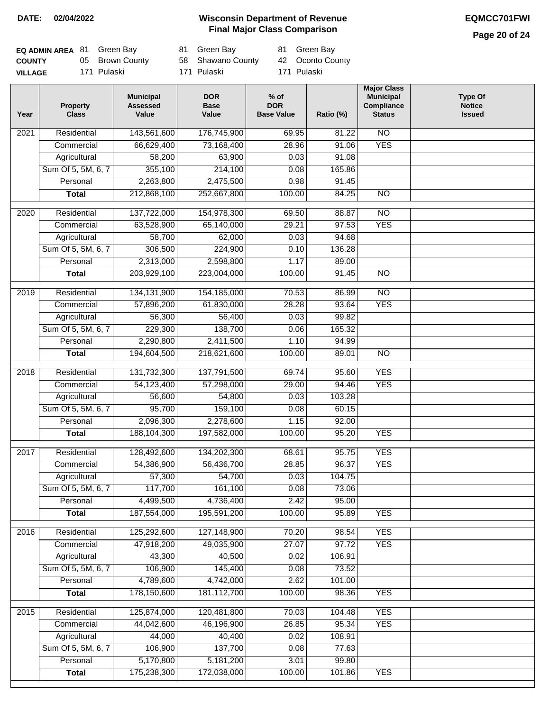**Page 20 of 24**

| <b>EQ ADMIN AREA 81 Green Bay</b> |                 | 81 Green Bay      | 81 Green Bay     |
|-----------------------------------|-----------------|-------------------|------------------|
| <b>COUNTY</b>                     | 05 Brown County | 58 Shawano County | 42 Oconto County |
| <b>VILLAGE</b>                    | 171 Pulaski     | 171 Pulaski       | 171 Pulaski      |

| Year | <b>Property</b><br><b>Class</b> | <b>Municipal</b><br><b>Assessed</b><br>Value | <b>DOR</b><br><b>Base</b><br>Value | $%$ of<br><b>DOR</b><br><b>Base Value</b> | Ratio (%) | <b>Major Class</b><br><b>Municipal</b><br>Compliance<br><b>Status</b> | <b>Type Of</b><br><b>Notice</b><br><b>Issued</b> |
|------|---------------------------------|----------------------------------------------|------------------------------------|-------------------------------------------|-----------|-----------------------------------------------------------------------|--------------------------------------------------|
| 2021 | Residential                     | 143,561,600                                  | 176,745,900                        | 69.95                                     | 81.22     | $\overline{NO}$                                                       |                                                  |
|      | Commercial                      | 66,629,400                                   | 73,168,400                         | 28.96                                     | 91.06     | <b>YES</b>                                                            |                                                  |
|      | Agricultural                    | 58,200                                       | 63,900                             | 0.03                                      | 91.08     |                                                                       |                                                  |
|      | Sum Of 5, 5M, 6, 7              | 355,100                                      | 214,100                            | 0.08                                      | 165.86    |                                                                       |                                                  |
|      | Personal                        | 2,263,800                                    | 2,475,500                          | 0.98                                      | 91.45     |                                                                       |                                                  |
|      | <b>Total</b>                    | 212,868,100                                  | 252,667,800                        | 100.00                                    | 84.25     | $\overline{NO}$                                                       |                                                  |
| 2020 | Residential                     | 137,722,000                                  | 154,978,300                        | 69.50                                     | 88.87     | $\overline{NO}$                                                       |                                                  |
|      | Commercial                      | 63,528,900                                   | 65,140,000                         | 29.21                                     | 97.53     | <b>YES</b>                                                            |                                                  |
|      | Agricultural                    | 58,700                                       | 62,000                             | 0.03                                      | 94.68     |                                                                       |                                                  |
|      | Sum Of 5, 5M, 6, 7              | 306,500                                      | 224,900                            | 0.10                                      | 136.28    |                                                                       |                                                  |
|      | Personal                        | 2,313,000                                    | 2,598,800                          | 1.17                                      | 89.00     |                                                                       |                                                  |
|      | <b>Total</b>                    | 203,929,100                                  | 223,004,000                        | 100.00                                    | 91.45     | $\overline{NO}$                                                       |                                                  |
| 2019 | Residential                     | 134, 131, 900                                | 154,185,000                        | 70.53                                     | 86.99     | $\overline{NO}$                                                       |                                                  |
|      | Commercial                      | 57,896,200                                   | 61,830,000                         | 28.28                                     | 93.64     | <b>YES</b>                                                            |                                                  |
|      | Agricultural                    | 56,300                                       | 56,400                             | 0.03                                      | 99.82     |                                                                       |                                                  |
|      | Sum Of 5, 5M, 6, 7              | 229,300                                      | 138,700                            | 0.06                                      | 165.32    |                                                                       |                                                  |
|      | Personal                        | 2,290,800                                    | 2,411,500                          | 1.10                                      | 94.99     |                                                                       |                                                  |
|      | <b>Total</b>                    | 194,604,500                                  | 218,621,600                        | 100.00                                    | 89.01     | $\overline{NO}$                                                       |                                                  |
|      |                                 |                                              |                                    |                                           |           |                                                                       |                                                  |
| 2018 | Residential                     | 131,732,300                                  | 137,791,500                        | 69.74                                     | 95.60     | <b>YES</b>                                                            |                                                  |
|      | Commercial                      | 54,123,400                                   | 57,298,000                         | 29.00                                     | 94.46     | <b>YES</b>                                                            |                                                  |
|      | Agricultural                    | 56,600                                       | 54,800                             | 0.03                                      | 103.28    |                                                                       |                                                  |
|      | Sum Of 5, 5M, 6, 7              | 95,700                                       | 159,100                            | 0.08                                      | 60.15     |                                                                       |                                                  |
|      | Personal                        | 2,096,300                                    | 2,278,600                          | 1.15<br>100.00                            | 92.00     | <b>YES</b>                                                            |                                                  |
|      | <b>Total</b>                    | 188,104,300                                  | 197,582,000                        |                                           | 95.20     |                                                                       |                                                  |
| 2017 | Residential                     | 128,492,600                                  | 134,202,300                        | 68.61                                     | 95.75     | <b>YES</b>                                                            |                                                  |
|      | Commercial                      | 54,386,900                                   | 56,436,700                         | 28.85                                     | 96.37     | <b>YES</b>                                                            |                                                  |
|      | Agricultural                    | 57,300                                       | 54,700                             | 0.03                                      | 104.75    |                                                                       |                                                  |
|      | Sum Of 5, 5M, 6, 7              | 117,700                                      | 161,100                            | 0.08                                      | 73.06     |                                                                       |                                                  |
|      | Personal                        | 4,499,500                                    | 4,736,400                          | 2.42                                      | 95.00     |                                                                       |                                                  |
|      | <b>Total</b>                    | 187,554,000                                  | 195,591,200                        | 100.00                                    | 95.89     | <b>YES</b>                                                            |                                                  |
| 2016 | Residential                     | 125,292,600                                  | 127,148,900                        | 70.20                                     | 98.54     | <b>YES</b>                                                            |                                                  |
|      | Commercial                      | 47,918,200                                   | 49,035,900                         | 27.07                                     | 97.72     | <b>YES</b>                                                            |                                                  |
|      | Agricultural                    | 43,300                                       | 40,500                             | 0.02                                      | 106.91    |                                                                       |                                                  |
|      | Sum Of 5, 5M, 6, 7              | 106,900                                      | 145,400                            | 0.08                                      | 73.52     |                                                                       |                                                  |
|      | Personal                        | 4,789,600                                    | 4,742,000                          | 2.62                                      | 101.00    |                                                                       |                                                  |
|      | <b>Total</b>                    | 178,150,600                                  | 181,112,700                        | 100.00                                    | 98.36     | <b>YES</b>                                                            |                                                  |
| 2015 | Residential                     | 125,874,000                                  | 120,481,800                        | 70.03                                     | 104.48    | <b>YES</b>                                                            |                                                  |
|      | Commercial                      | 44,042,600                                   | 46,196,900                         | 26.85                                     | 95.34     | <b>YES</b>                                                            |                                                  |
|      | Agricultural                    | 44,000                                       | 40,400                             | 0.02                                      | 108.91    |                                                                       |                                                  |
|      | Sum Of 5, 5M, 6, 7              | 106,900                                      | 137,700                            | 0.08                                      | 77.63     |                                                                       |                                                  |
|      | Personal                        | 5,170,800                                    | 5,181,200                          | 3.01                                      | 99.80     |                                                                       |                                                  |
|      | <b>Total</b>                    | 175,238,300                                  | 172,038,000                        | 100.00                                    | 101.86    | <b>YES</b>                                                            |                                                  |
|      |                                 |                                              |                                    |                                           |           |                                                                       |                                                  |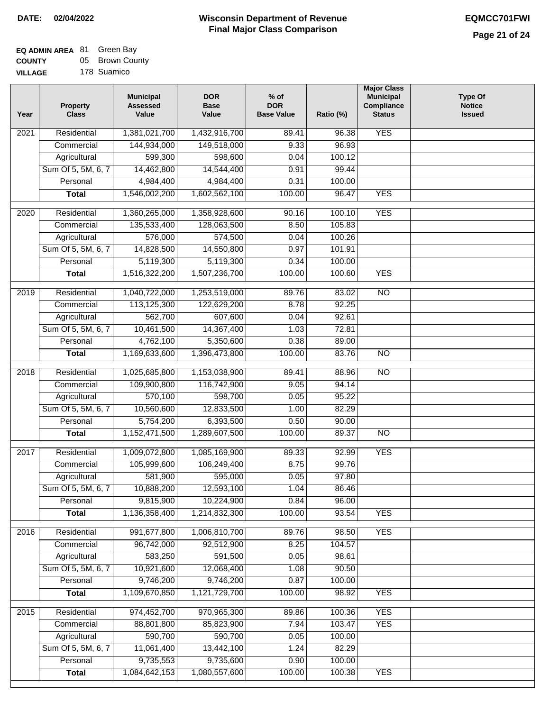#### **EQ ADMIN AREA** 81 Green Bay **COUNTY** 05 Brown County

**VILLAGE** 178 Suamico

| Year | <b>Property</b><br><b>Class</b> | <b>Municipal</b><br><b>Assessed</b><br>Value | <b>DOR</b><br><b>Base</b><br>Value | $%$ of<br><b>DOR</b><br><b>Base Value</b> | Ratio (%) | <b>Major Class</b><br><b>Municipal</b><br>Compliance<br><b>Status</b> | <b>Type Of</b><br><b>Notice</b><br><b>Issued</b> |
|------|---------------------------------|----------------------------------------------|------------------------------------|-------------------------------------------|-----------|-----------------------------------------------------------------------|--------------------------------------------------|
| 2021 | Residential                     | 1,381,021,700                                | 1,432,916,700                      | 89.41                                     | 96.38     | <b>YES</b>                                                            |                                                  |
|      | Commercial                      | 144,934,000                                  | 149,518,000                        | 9.33                                      | 96.93     |                                                                       |                                                  |
|      | Agricultural                    | 599,300                                      | 598,600                            | 0.04                                      | 100.12    |                                                                       |                                                  |
|      | Sum Of 5, 5M, 6, 7              | 14,462,800                                   | 14,544,400                         | 0.91                                      | 99.44     |                                                                       |                                                  |
|      | Personal                        | 4,984,400                                    | 4,984,400                          | 0.31                                      | 100.00    |                                                                       |                                                  |
|      | <b>Total</b>                    | 1,546,002,200                                | 1,602,562,100                      | 100.00                                    | 96.47     | <b>YES</b>                                                            |                                                  |
| 2020 | Residential                     | 1,360,265,000                                | 1,358,928,600                      | 90.16                                     | 100.10    | <b>YES</b>                                                            |                                                  |
|      | Commercial                      | 135,533,400                                  | 128,063,500                        | 8.50                                      | 105.83    |                                                                       |                                                  |
|      | Agricultural                    | 576,000                                      | 574,500                            | 0.04                                      | 100.26    |                                                                       |                                                  |
|      | Sum Of 5, 5M, 6, 7              | 14,828,500                                   | 14,550,800                         | 0.97                                      | 101.91    |                                                                       |                                                  |
|      | Personal                        | 5,119,300                                    | 5,119,300                          | 0.34                                      | 100.00    |                                                                       |                                                  |
|      | <b>Total</b>                    | 1,516,322,200                                | 1,507,236,700                      | 100.00                                    | 100.60    | <b>YES</b>                                                            |                                                  |
|      |                                 |                                              |                                    |                                           |           |                                                                       |                                                  |
| 2019 | Residential                     | 1,040,722,000                                | 1,253,519,000                      | 89.76                                     | 83.02     | $\overline{NO}$                                                       |                                                  |
|      | Commercial                      | 113,125,300                                  | 122,629,200                        | 8.78                                      | 92.25     |                                                                       |                                                  |
|      | Agricultural                    | 562,700                                      | 607,600                            | 0.04                                      | 92.61     |                                                                       |                                                  |
|      | Sum Of 5, 5M, 6, 7              | 10,461,500                                   | 14,367,400                         | 1.03                                      | 72.81     |                                                                       |                                                  |
|      | Personal                        | 4,762,100                                    | 5,350,600                          | 0.38                                      | 89.00     |                                                                       |                                                  |
|      | <b>Total</b>                    | 1,169,633,600                                | 1,396,473,800                      | 100.00                                    | 83.76     | $\overline{NO}$                                                       |                                                  |
| 2018 | Residential                     | 1,025,685,800                                | 1,153,038,900                      | 89.41                                     | 88.96     | $\overline{NO}$                                                       |                                                  |
|      | Commercial                      | 109,900,800                                  | 116,742,900                        | 9.05                                      | 94.14     |                                                                       |                                                  |
|      | Agricultural                    | 570,100                                      | 598,700                            | 0.05                                      | 95.22     |                                                                       |                                                  |
|      | Sum Of 5, 5M, 6, 7              | 10,560,600                                   | 12,833,500                         | 1.00                                      | 82.29     |                                                                       |                                                  |
|      | Personal                        | 5,754,200                                    | 6,393,500                          | 0.50                                      | 90.00     |                                                                       |                                                  |
|      | <b>Total</b>                    | 1,152,471,500                                | 1,289,607,500                      | 100.00                                    | 89.37     | <b>NO</b>                                                             |                                                  |
| 2017 | Residential                     | 1,009,072,800                                | 1,085,169,900                      | 89.33                                     | 92.99     | <b>YES</b>                                                            |                                                  |
|      | Commercial                      | 105,999,600                                  | 106,249,400                        | 8.75                                      | 99.76     |                                                                       |                                                  |
|      | Agricultural                    | 581,900                                      | 595,000                            | 0.05                                      | 97.80     |                                                                       |                                                  |
|      | Sum Of 5, 5M, 6, 7              | 10,888,200                                   | 12,593,100                         | 1.04                                      | 86.46     |                                                                       |                                                  |
|      | Personal                        | 9,815,900                                    | 10,224,900                         | 0.84                                      | 96.00     |                                                                       |                                                  |
|      | <b>Total</b>                    | 1,136,358,400                                | 1,214,832,300                      | 100.00                                    | 93.54     | <b>YES</b>                                                            |                                                  |
|      |                                 |                                              |                                    |                                           |           |                                                                       |                                                  |
| 2016 | Residential                     | 991,677,800                                  | 1,006,810,700                      | 89.76                                     | 98.50     | <b>YES</b>                                                            |                                                  |
|      | Commercial                      | 96,742,000                                   | 92,512,900                         | 8.25                                      | 104.57    |                                                                       |                                                  |
|      | Agricultural                    | 583,250                                      | 591,500                            | 0.05                                      | 98.61     |                                                                       |                                                  |
|      | Sum Of 5, 5M, 6, 7              | 10,921,600                                   | 12,068,400                         | 1.08                                      | 90.50     |                                                                       |                                                  |
|      | Personal                        | 9,746,200                                    | 9,746,200                          | 0.87                                      | 100.00    |                                                                       |                                                  |
|      | <b>Total</b>                    | 1,109,670,850                                | 1,121,729,700                      | 100.00                                    | 98.92     | <b>YES</b>                                                            |                                                  |
| 2015 | Residential                     | 974,452,700                                  | 970,965,300                        | 89.86                                     | 100.36    | <b>YES</b>                                                            |                                                  |
|      | Commercial                      | 88,801,800                                   | 85,823,900                         | 7.94                                      | 103.47    | <b>YES</b>                                                            |                                                  |
|      | Agricultural                    | 590,700                                      | 590,700                            | 0.05                                      | 100.00    |                                                                       |                                                  |
|      | Sum Of 5, 5M, 6, 7              | 11,061,400                                   | 13,442,100                         | 1.24                                      | 82.29     |                                                                       |                                                  |
|      | Personal                        | 9,735,553                                    | 9,735,600                          | 0.90                                      | 100.00    |                                                                       |                                                  |
|      | <b>Total</b>                    | 1,084,642,153                                | 1,080,557,600                      | 100.00                                    | 100.38    | <b>YES</b>                                                            |                                                  |
|      |                                 |                                              |                                    |                                           |           |                                                                       |                                                  |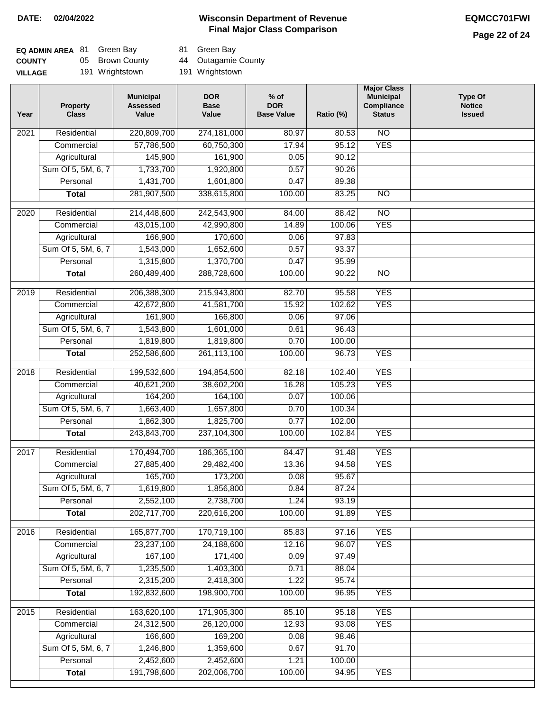# **Page 22 of 24**

| <b>EQ ADMIN AREA 81 Green Bay</b> |                 | 81 Green Bay    |
|-----------------------------------|-----------------|-----------------|
| <b>COUNTY</b>                     | 05 Brown County | 44 Outagamie 0  |
| <b>VILLAGE</b>                    | 191 Wrightstown | 191 Wrightstown |

05 Brown County 44 Outagamie County

| Year | <b>Property</b><br><b>Class</b> | <b>Municipal</b><br><b>Assessed</b><br>Value | <b>DOR</b><br><b>Base</b><br>Value | % of<br><b>DOR</b><br><b>Base Value</b> | Ratio (%) | <b>Major Class</b><br><b>Municipal</b><br>Compliance<br><b>Status</b> | <b>Type Of</b><br><b>Notice</b><br><b>Issued</b> |
|------|---------------------------------|----------------------------------------------|------------------------------------|-----------------------------------------|-----------|-----------------------------------------------------------------------|--------------------------------------------------|
| 2021 | Residential                     | 220,809,700                                  | 274,181,000                        | 80.97                                   | 80.53     | N <sub>O</sub>                                                        |                                                  |
|      | Commercial                      | 57,786,500                                   | 60,750,300                         | 17.94                                   | 95.12     | <b>YES</b>                                                            |                                                  |
|      | Agricultural                    | 145,900                                      | 161,900                            | 0.05                                    | 90.12     |                                                                       |                                                  |
|      | Sum Of 5, 5M, 6, 7              | 1,733,700                                    | 1,920,800                          | 0.57                                    | 90.26     |                                                                       |                                                  |
|      | Personal                        | 1,431,700                                    | 1,601,800                          | 0.47                                    | 89.38     |                                                                       |                                                  |
|      | <b>Total</b>                    | 281,907,500                                  | 338,615,800                        | 100.00                                  | 83.25     | $\overline{NO}$                                                       |                                                  |
| 2020 | Residential                     | 214,448,600                                  | 242,543,900                        | 84.00                                   | 88.42     | $\overline{NO}$                                                       |                                                  |
|      | Commercial                      | 43,015,100                                   | 42,990,800                         | 14.89                                   | 100.06    | <b>YES</b>                                                            |                                                  |
|      | Agricultural                    | 166,900                                      | 170,600                            | 0.06                                    | 97.83     |                                                                       |                                                  |
|      | Sum Of 5, 5M, 6, 7              | 1,543,000                                    | 1,652,600                          | 0.57                                    | 93.37     |                                                                       |                                                  |
|      | Personal                        | 1,315,800                                    | 1,370,700                          | 0.47                                    | 95.99     |                                                                       |                                                  |
|      | <b>Total</b>                    | 260,489,400                                  | 288,728,600                        | 100.00                                  | 90.22     | $\overline{NO}$                                                       |                                                  |
| 2019 | Residential                     | 206,388,300                                  | 215,943,800                        | 82.70                                   | 95.58     | <b>YES</b>                                                            |                                                  |
|      | Commercial                      | 42,672,800                                   | 41,581,700                         | 15.92                                   | 102.62    | <b>YES</b>                                                            |                                                  |
|      | Agricultural                    | 161,900                                      | 166,800                            | 0.06                                    | 97.06     |                                                                       |                                                  |
|      | Sum Of 5, 5M, 6, 7              | 1,543,800                                    | 1,601,000                          | 0.61                                    | 96.43     |                                                                       |                                                  |
|      | Personal                        | 1,819,800                                    | 1,819,800                          | 0.70                                    | 100.00    |                                                                       |                                                  |
|      | <b>Total</b>                    | 252,586,600                                  | 261,113,100                        | 100.00                                  | 96.73     | <b>YES</b>                                                            |                                                  |
| 2018 | Residential                     | 199,532,600                                  | 194,854,500                        | 82.18                                   | 102.40    | <b>YES</b>                                                            |                                                  |
|      | Commercial                      | 40,621,200                                   | 38,602,200                         | 16.28                                   | 105.23    | <b>YES</b>                                                            |                                                  |
|      | Agricultural                    | 164,200                                      | 164,100                            | 0.07                                    | 100.06    |                                                                       |                                                  |
|      | Sum Of 5, 5M, 6, 7              | 1,663,400                                    | 1,657,800                          | 0.70                                    | 100.34    |                                                                       |                                                  |
|      | Personal                        | 1,862,300                                    | 1,825,700                          | 0.77                                    | 102.00    |                                                                       |                                                  |
|      | <b>Total</b>                    | 243,843,700                                  | 237,104,300                        | 100.00                                  | 102.84    | <b>YES</b>                                                            |                                                  |
| 2017 | Residential                     | 170,494,700                                  | 186,365,100                        | 84.47                                   | 91.48     | <b>YES</b>                                                            |                                                  |
|      | Commercial                      | 27,885,400                                   | 29,482,400                         | 13.36                                   | 94.58     | <b>YES</b>                                                            |                                                  |
|      | Agricultural                    | 165,700                                      | 173,200                            | 0.08                                    | 95.67     |                                                                       |                                                  |
|      | Sum Of 5, 5M, 6, 7              | 1,619,800                                    | 1,856,800                          | 0.84                                    | 87.24     |                                                                       |                                                  |
|      | Personal                        | 2,552,100                                    | 2,738,700                          | 1.24                                    | 93.19     |                                                                       |                                                  |
|      | <b>Total</b>                    | 202,717,700                                  | 220,616,200                        | 100.00                                  | 91.89     | <b>YES</b>                                                            |                                                  |
| 2016 | Residential                     | 165,877,700                                  | 170,719,100                        | 85.83                                   | 97.16     | <b>YES</b>                                                            |                                                  |
|      | Commercial                      | 23,237,100                                   | 24,188,600                         | 12.16                                   | 96.07     | <b>YES</b>                                                            |                                                  |
|      | Agricultural                    | 167,100                                      | 171,400                            | 0.09                                    | 97.49     |                                                                       |                                                  |
|      | Sum Of 5, 5M, 6, 7              | 1,235,500                                    | 1,403,300                          | 0.71                                    | 88.04     |                                                                       |                                                  |
|      | Personal                        | 2,315,200                                    | 2,418,300                          | 1.22                                    | 95.74     |                                                                       |                                                  |
|      | <b>Total</b>                    | 192,832,600                                  | 198,900,700                        | 100.00                                  | 96.95     | <b>YES</b>                                                            |                                                  |
| 2015 | Residential                     | 163,620,100                                  | 171,905,300                        | 85.10                                   | 95.18     | <b>YES</b>                                                            |                                                  |
|      | Commercial                      | 24,312,500                                   | 26,120,000                         | 12.93                                   | 93.08     | <b>YES</b>                                                            |                                                  |
|      | Agricultural                    | 166,600                                      | 169,200                            | 0.08                                    | 98.46     |                                                                       |                                                  |
|      | Sum Of 5, 5M, 6, 7              | 1,246,800                                    | 1,359,600                          | 0.67                                    | 91.70     |                                                                       |                                                  |
|      | Personal                        | 2,452,600                                    | 2,452,600                          | 1.21                                    | 100.00    |                                                                       |                                                  |
|      | <b>Total</b>                    | 191,798,600                                  | 202,006,700                        | 100.00                                  | 94.95     | <b>YES</b>                                                            |                                                  |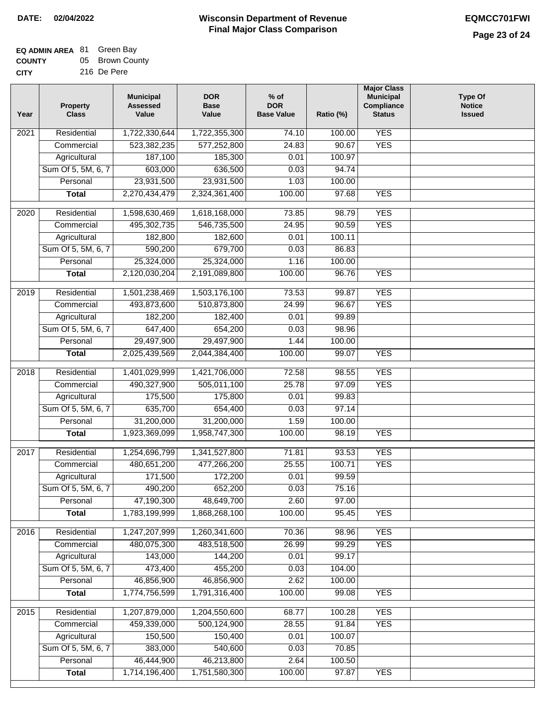#### **EQ ADMIN AREA** 81 Green Bay **COUNTY** 05 Brown County

| <b>CITY</b> | 216 De Pere |  |
|-------------|-------------|--|
|             |             |  |

| Year              | <b>Property</b><br><b>Class</b>    | <b>Municipal</b><br><b>Assessed</b><br>Value | <b>DOR</b><br><b>Base</b><br>Value | % of<br><b>DOR</b><br><b>Base Value</b> | Ratio (%)       | <b>Major Class</b><br><b>Municipal</b><br>Compliance<br><b>Status</b> | <b>Type Of</b><br><b>Notice</b><br><b>Issued</b> |
|-------------------|------------------------------------|----------------------------------------------|------------------------------------|-----------------------------------------|-----------------|-----------------------------------------------------------------------|--------------------------------------------------|
| $\overline{202}1$ | Residential                        | 1,722,330,644                                | 1,722,355,300                      | 74.10                                   | 100.00          | <b>YES</b>                                                            |                                                  |
|                   | Commercial                         | 523,382,235                                  | 577,252,800                        | 24.83                                   | 90.67           | <b>YES</b>                                                            |                                                  |
|                   | Agricultural                       | 187,100                                      | 185,300                            | 0.01                                    | 100.97          |                                                                       |                                                  |
|                   | Sum Of 5, 5M, 6, 7                 | 603,000                                      | 636,500                            | 0.03                                    | 94.74           |                                                                       |                                                  |
|                   | Personal                           | 23,931,500                                   | 23,931,500                         | 1.03                                    | 100.00          |                                                                       |                                                  |
|                   | <b>Total</b>                       | 2,270,434,479                                | 2,324,361,400                      | 100.00                                  | 97.68           | <b>YES</b>                                                            |                                                  |
| $\overline{2020}$ | Residential                        | 1,598,630,469                                | 1,618,168,000                      | 73.85                                   | 98.79           | <b>YES</b>                                                            |                                                  |
|                   | Commercial                         | 495,302,735                                  | 546,735,500                        | 24.95                                   | 90.59           | <b>YES</b>                                                            |                                                  |
|                   | Agricultural                       | 182,800                                      | 182,600                            | 0.01                                    | 100.11          |                                                                       |                                                  |
|                   | Sum Of 5, 5M, 6, 7                 | 590,200                                      | 679,700                            | 0.03                                    | 86.83           |                                                                       |                                                  |
|                   | Personal                           | 25,324,000                                   | 25,324,000                         | 1.16                                    | 100.00          |                                                                       |                                                  |
|                   | <b>Total</b>                       | 2,120,030,204                                | 2,191,089,800                      | 100.00                                  | 96.76           | <b>YES</b>                                                            |                                                  |
|                   |                                    |                                              |                                    |                                         |                 |                                                                       |                                                  |
| 2019              | Residential                        | 1,501,238,469                                | 1,503,176,100                      | 73.53                                   | 99.87           | <b>YES</b>                                                            |                                                  |
|                   | Commercial                         | 493,873,600                                  | 510,873,800                        | 24.99                                   | 96.67           | <b>YES</b>                                                            |                                                  |
|                   | Agricultural                       | 182,200                                      | 182,400                            | 0.01                                    | 99.89           |                                                                       |                                                  |
|                   | Sum Of 5, 5M, 6, 7                 | 647,400                                      | 654,200                            | 0.03                                    | 98.96           |                                                                       |                                                  |
|                   | Personal                           | 29,497,900                                   | 29,497,900                         | 1.44                                    | 100.00          |                                                                       |                                                  |
|                   | <b>Total</b>                       | 2,025,439,569                                | 2,044,384,400                      | 100.00                                  | 99.07           | <b>YES</b>                                                            |                                                  |
| 2018              | Residential                        | 1,401,029,999                                | 1,421,706,000                      | 72.58                                   | 98.55           | <b>YES</b>                                                            |                                                  |
|                   | Commercial                         | 490,327,900                                  | 505,011,100                        | 25.78                                   | 97.09           | <b>YES</b>                                                            |                                                  |
|                   | Agricultural                       | 175,500                                      | 175,800                            | 0.01                                    | 99.83           |                                                                       |                                                  |
|                   | Sum Of 5, 5M, 6, 7                 | 635,700                                      | 654,400                            | 0.03                                    | 97.14           |                                                                       |                                                  |
|                   | Personal                           | 31,200,000                                   | 31,200,000                         | 1.59                                    | 100.00          |                                                                       |                                                  |
|                   | <b>Total</b>                       | 1,923,369,099                                | 1,958,747,300                      | 100.00                                  | 98.19           | <b>YES</b>                                                            |                                                  |
| $\overline{2017}$ | Residential                        | 1,254,696,799                                | 1,341,527,800                      | 71.81                                   | 93.53           | <b>YES</b>                                                            |                                                  |
|                   | Commercial                         | 480,651,200                                  | 477,266,200                        | 25.55                                   | 100.71          | <b>YES</b>                                                            |                                                  |
|                   | Agricultural                       | 171,500                                      | 172,200                            | 0.01                                    | 99.59           |                                                                       |                                                  |
|                   | Sum Of 5, 5M, 6, 7                 | 490,200                                      | 652,200                            | 0.03                                    | 75.16           |                                                                       |                                                  |
|                   | Personal                           | 47,190,300                                   | 48,649,700                         | 2.60                                    | 97.00           |                                                                       |                                                  |
|                   | <b>Total</b>                       | 1,783,199,999                                | 1,868,268,100                      | 100.00                                  | 95.45           | <b>YES</b>                                                            |                                                  |
| 2016              | Residential                        | 1,247,207,999                                | 1,260,341,600                      | 70.36                                   | 98.96           | <b>YES</b>                                                            |                                                  |
|                   | Commercial                         | 480,075,300                                  | 483,518,500                        | 26.99                                   | 99.29           | <b>YES</b>                                                            |                                                  |
|                   | Agricultural                       | 143,000                                      | 144,200                            | 0.01                                    | 99.17           |                                                                       |                                                  |
|                   | Sum Of 5, 5M, 6, 7                 | 473,400                                      | 455,200                            | 0.03                                    | 104.00          |                                                                       |                                                  |
|                   | Personal                           | 46,856,900                                   | 46,856,900                         | 2.62                                    | 100.00          |                                                                       |                                                  |
|                   | <b>Total</b>                       | 1,774,756,599                                | 1,791,316,400                      | 100.00                                  | 99.08           | <b>YES</b>                                                            |                                                  |
|                   |                                    |                                              |                                    |                                         |                 |                                                                       |                                                  |
| 2015              | Residential                        | 1,207,879,000                                | 1,204,550,600                      | 68.77                                   | 100.28          | <b>YES</b>                                                            |                                                  |
|                   | Commercial                         | 459,339,000<br>150,500                       | 500,124,900<br>150,400             | 28.55<br>0.01                           | 91.84<br>100.07 | <b>YES</b>                                                            |                                                  |
|                   | Agricultural<br>Sum Of 5, 5M, 6, 7 | 383,000                                      | 540,600                            | 0.03                                    | 70.85           |                                                                       |                                                  |
|                   | Personal                           | 46,444,900                                   | 46,213,800                         | 2.64                                    | 100.50          |                                                                       |                                                  |
|                   | <b>Total</b>                       | 1,714,196,400                                | 1,751,580,300                      | 100.00                                  | 97.87           | <b>YES</b>                                                            |                                                  |
|                   |                                    |                                              |                                    |                                         |                 |                                                                       |                                                  |